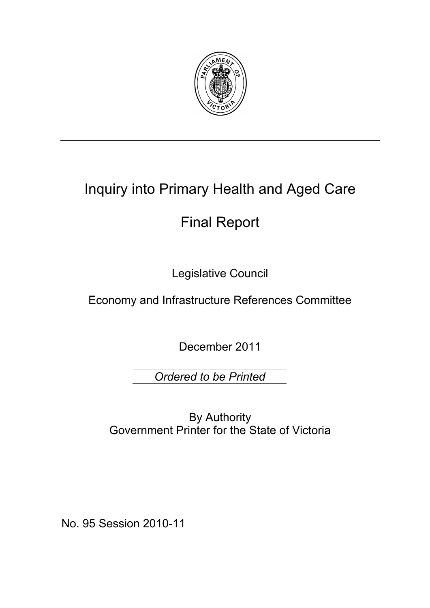

# Inquiry into Primary Health and Aged Care

# Final Report

Legislative Council

Economy and Infrastructure References Committee

December 2011

*Ordered to be Printed*

By Authority Government Printer for the State of Victoria

No. 95 Session 2010-11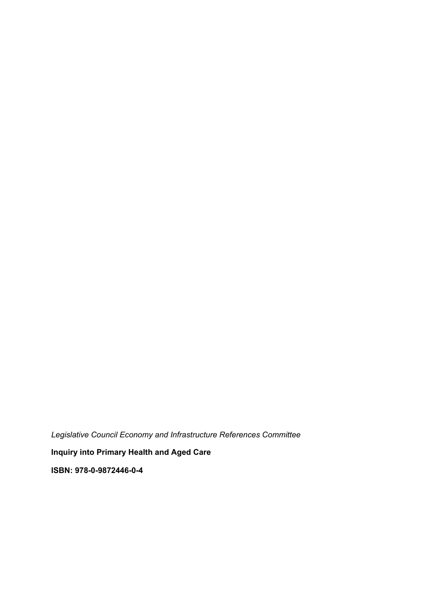*Legislative Council Economy and Infrastructure References Committee* 

**Inquiry into Primary Health and Aged Care** 

**ISBN: 978-0-9872446-0-4**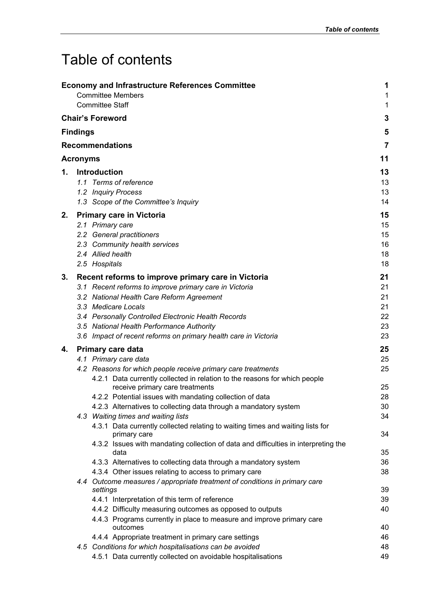# Table of contents

|    |                 | <b>Economy and Infrastructure References Committee</b><br><b>Committee Members</b><br><b>Committee Staff</b>  | 1<br>1   |  |  |
|----|-----------------|---------------------------------------------------------------------------------------------------------------|----------|--|--|
|    |                 | <b>Chair's Foreword</b>                                                                                       | 1<br>3   |  |  |
|    | <b>Findings</b> |                                                                                                               | 5        |  |  |
|    |                 |                                                                                                               |          |  |  |
|    |                 | <b>Recommendations</b>                                                                                        | 7        |  |  |
|    | <b>Acronyms</b> |                                                                                                               | 11       |  |  |
| 1. |                 | Introduction                                                                                                  | 13       |  |  |
|    |                 | 1.1 Terms of reference                                                                                        | 13       |  |  |
|    |                 | 1.2 Inquiry Process                                                                                           | 13       |  |  |
|    |                 | 1.3 Scope of the Committee's Inquiry                                                                          | 14       |  |  |
| 2. |                 | <b>Primary care in Victoria</b>                                                                               | 15       |  |  |
|    |                 | 2.1 Primary care                                                                                              | 15       |  |  |
|    |                 | 2.2 General practitioners                                                                                     | 15       |  |  |
|    |                 | 2.3 Community health services                                                                                 | 16       |  |  |
|    |                 | 2.4 Allied health<br>2.5 Hospitals                                                                            | 18<br>18 |  |  |
|    |                 |                                                                                                               |          |  |  |
| 3. |                 | Recent reforms to improve primary care in Victoria                                                            | 21<br>21 |  |  |
|    |                 | 3.1 Recent reforms to improve primary care in Victoria                                                        |          |  |  |
|    |                 | 3.2 National Health Care Reform Agreement<br>3.3 Medicare Locals                                              |          |  |  |
|    |                 | 3.4 Personally Controlled Electronic Health Records                                                           | 21<br>22 |  |  |
|    |                 | 3.5 National Health Performance Authority                                                                     | 23       |  |  |
|    |                 | 3.6 Impact of recent reforms on primary health care in Victoria                                               | 23       |  |  |
| 4. |                 | <b>Primary care data</b>                                                                                      | 25       |  |  |
|    |                 | 4.1 Primary care data                                                                                         |          |  |  |
|    |                 | 4.2 Reasons for which people receive primary care treatments                                                  | 25       |  |  |
|    |                 | 4.2.1 Data currently collected in relation to the reasons for which people<br>receive primary care treatments | 25       |  |  |
|    |                 | 4.2.2 Potential issues with mandating collection of data                                                      | 28       |  |  |
|    |                 | 4.2.3 Alternatives to collecting data through a mandatory system                                              | 30       |  |  |
|    |                 | 4.3 Waiting times and waiting lists                                                                           | 34       |  |  |
|    |                 | 4.3.1 Data currently collected relating to waiting times and waiting lists for<br>primary care                | 34       |  |  |
|    |                 | 4.3.2 Issues with mandating collection of data and difficulties in interpreting the<br>data                   | 35       |  |  |
|    |                 | 4.3.3 Alternatives to collecting data through a mandatory system                                              | 36       |  |  |
|    |                 | 4.3.4 Other issues relating to access to primary care                                                         | 38       |  |  |
|    |                 | 4.4 Outcome measures / appropriate treatment of conditions in primary care<br>settings                        | 39       |  |  |
|    |                 | 4.4.1 Interpretation of this term of reference                                                                | 39       |  |  |
|    |                 | 4.4.2 Difficulty measuring outcomes as opposed to outputs                                                     | 40       |  |  |
|    |                 | 4.4.3 Programs currently in place to measure and improve primary care                                         |          |  |  |
|    |                 | outcomes                                                                                                      | 40       |  |  |
|    |                 | 4.4.4 Appropriate treatment in primary care settings                                                          | 46       |  |  |
|    |                 | 4.5 Conditions for which hospitalisations can be avoided                                                      | 48       |  |  |
|    |                 | 4.5.1 Data currently collected on avoidable hospitalisations                                                  | 49       |  |  |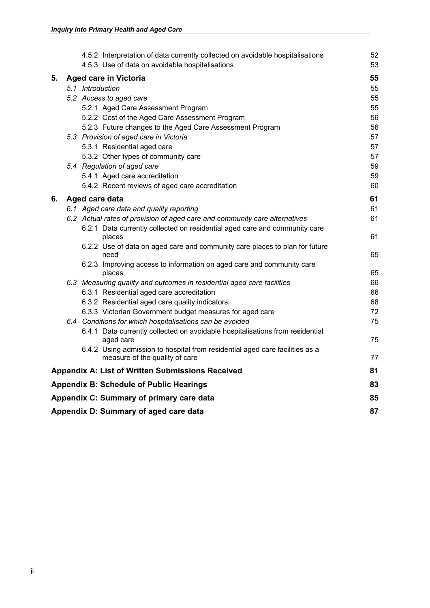|    |                |  | 4.5.2 Interpretation of data currently collected on avoidable hospitalisations                                 | 52 |
|----|----------------|--|----------------------------------------------------------------------------------------------------------------|----|
|    |                |  | 4.5.3 Use of data on avoidable hospitalisations                                                                | 53 |
| 5. |                |  | <b>Aged care in Victoria</b>                                                                                   | 55 |
|    |                |  | 5.1 Introduction                                                                                               | 55 |
|    |                |  | 5.2 Access to aged care                                                                                        | 55 |
|    |                |  | 5.2.1 Aged Care Assessment Program                                                                             | 55 |
|    |                |  | 5.2.2 Cost of the Aged Care Assessment Program                                                                 | 56 |
|    |                |  | 5.2.3 Future changes to the Aged Care Assessment Program                                                       | 56 |
|    |                |  | 5.3 Provision of aged care in Victoria                                                                         | 57 |
|    |                |  | 5.3.1 Residential aged care                                                                                    | 57 |
|    |                |  | 5.3.2 Other types of community care                                                                            | 57 |
|    |                |  | 5.4 Regulation of aged care                                                                                    | 59 |
|    |                |  | 5.4.1 Aged care accreditation                                                                                  | 59 |
|    |                |  | 5.4.2 Recent reviews of aged care accreditation                                                                | 60 |
| 6. | Aged care data |  |                                                                                                                |    |
|    |                |  | 6.1 Aged care data and quality reporting                                                                       | 61 |
|    |                |  | 6.2 Actual rates of provision of aged care and community care alternatives                                     | 61 |
|    |                |  | 6.2.1 Data currently collected on residential aged care and community care<br>places                           | 61 |
|    |                |  | 6.2.2 Use of data on aged care and community care places to plan for future<br>need                            | 65 |
|    |                |  | 6.2.3 Improving access to information on aged care and community care<br>places                                | 65 |
|    |                |  | 6.3 Measuring quality and outcomes in residential aged care facilities                                         | 66 |
|    |                |  | 6.3.1 Residential aged care accreditation                                                                      | 66 |
|    |                |  | 6.3.2 Residential aged care quality indicators                                                                 | 68 |
|    |                |  | 6.3.3 Victorian Government budget measures for aged care                                                       | 72 |
|    |                |  | 6.4 Conditions for which hospitalisations can be avoided                                                       | 75 |
|    |                |  | 6.4.1 Data currently collected on avoidable hospitalisations from residential<br>aged care                     | 75 |
|    |                |  | 6.4.2 Using admission to hospital from residential aged care facilities as a<br>measure of the quality of care | 77 |
|    |                |  | <b>Appendix A: List of Written Submissions Received</b>                                                        | 81 |
|    |                |  | <b>Appendix B: Schedule of Public Hearings</b>                                                                 | 83 |
|    |                |  | Appendix C: Summary of primary care data                                                                       | 85 |
|    |                |  | Appendix D: Summary of aged care data                                                                          | 87 |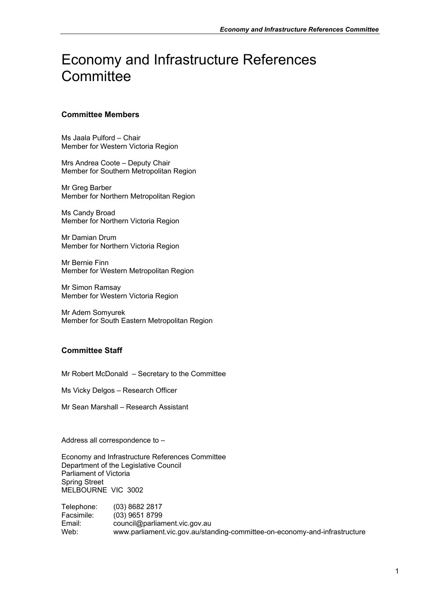# Economy and Infrastructure References **Committee**

# **Committee Members**

Ms Jaala Pulford – Chair Member for Western Victoria Region

Mrs Andrea Coote – Deputy Chair Member for Southern Metropolitan Region

Mr Greg Barber Member for Northern Metropolitan Region

Ms Candy Broad Member for Northern Victoria Region

Mr Damian Drum Member for Northern Victoria Region

Mr Bernie Finn Member for Western Metropolitan Region

Mr Simon Ramsay Member for Western Victoria Region

Mr Adem Somyurek Member for South Eastern Metropolitan Region

# **Committee Staff**

Mr Robert McDonald – Secretary to the Committee

Ms Vicky Delgos – Research Officer

Mr Sean Marshall – Research Assistant

Address all correspondence to –

Economy and Infrastructure References Committee Department of the Legislative Council Parliament of Victoria Spring Street MELBOURNE VIC 3002

Telephone: (03) 8682 2817 Facsimile: (03) 9651 8799 Email: council@parliament.vic.gov.au Web: www.parliament.vic.gov.au/standing-committee-on-economy-and-infrastructure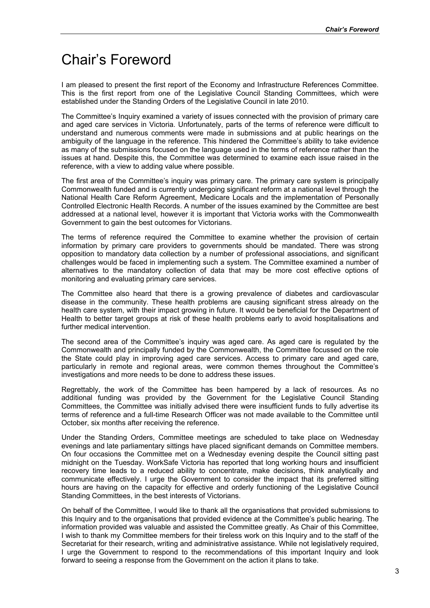# Chair's Foreword

I am pleased to present the first report of the Economy and Infrastructure References Committee. This is the first report from one of the Legislative Council Standing Committees, which were established under the Standing Orders of the Legislative Council in late 2010.

The Committee's Inquiry examined a variety of issues connected with the provision of primary care and aged care services in Victoria. Unfortunately, parts of the terms of reference were difficult to understand and numerous comments were made in submissions and at public hearings on the ambiguity of the language in the reference. This hindered the Committee's ability to take evidence as many of the submissions focused on the language used in the terms of reference rather than the issues at hand. Despite this, the Committee was determined to examine each issue raised in the reference, with a view to adding value where possible.

The first area of the Committee's inquiry was primary care. The primary care system is principally Commonwealth funded and is currently undergoing significant reform at a national level through the National Health Care Reform Agreement, Medicare Locals and the implementation of Personally Controlled Electronic Health Records. A number of the issues examined by the Committee are best addressed at a national level, however it is important that Victoria works with the Commonwealth Government to gain the best outcomes for Victorians.

The terms of reference required the Committee to examine whether the provision of certain information by primary care providers to governments should be mandated. There was strong opposition to mandatory data collection by a number of professional associations, and significant challenges would be faced in implementing such a system. The Committee examined a number of alternatives to the mandatory collection of data that may be more cost effective options of monitoring and evaluating primary care services.

The Committee also heard that there is a growing prevalence of diabetes and cardiovascular disease in the community. These health problems are causing significant stress already on the health care system, with their impact growing in future. It would be beneficial for the Department of Health to better target groups at risk of these health problems early to avoid hospitalisations and further medical intervention.

The second area of the Committee's inquiry was aged care. As aged care is regulated by the Commonwealth and principally funded by the Commonwealth, the Committee focussed on the role the State could play in improving aged care services. Access to primary care and aged care, particularly in remote and regional areas, were common themes throughout the Committee's investigations and more needs to be done to address these issues.

Regrettably, the work of the Committee has been hampered by a lack of resources. As no additional funding was provided by the Government for the Legislative Council Standing Committees, the Committee was initially advised there were insufficient funds to fully advertise its terms of reference and a full-time Research Officer was not made available to the Committee until October, six months after receiving the reference.

Under the Standing Orders, Committee meetings are scheduled to take place on Wednesday evenings and late parliamentary sittings have placed significant demands on Committee members. On four occasions the Committee met on a Wednesday evening despite the Council sitting past midnight on the Tuesday. WorkSafe Victoria has reported that long working hours and insufficient recovery time leads to a reduced ability to concentrate, make decisions, think analytically and communicate effectively. I urge the Government to consider the impact that its preferred sitting hours are having on the capacity for effective and orderly functioning of the Legislative Council Standing Committees, in the best interests of Victorians.

On behalf of the Committee, I would like to thank all the organisations that provided submissions to this Inquiry and to the organisations that provided evidence at the Committee's public hearing. The information provided was valuable and assisted the Committee greatly. As Chair of this Committee, I wish to thank my Committee members for their tireless work on this Inquiry and to the staff of the Secretariat for their research, writing and administrative assistance. While not legislatively required, I urge the Government to respond to the recommendations of this important Inquiry and look forward to seeing a response from the Government on the action it plans to take.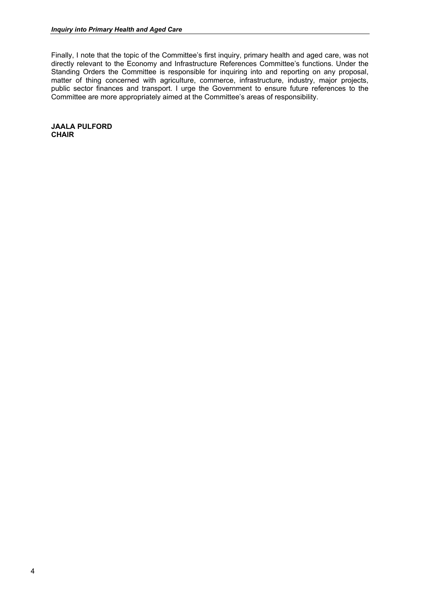Finally, I note that the topic of the Committee's first inquiry, primary health and aged care, was not directly relevant to the Economy and Infrastructure References Committee's functions. Under the Standing Orders the Committee is responsible for inquiring into and reporting on any proposal, matter of thing concerned with agriculture, commerce, infrastructure, industry, major projects, public sector finances and transport. I urge the Government to ensure future references to the Committee are more appropriately aimed at the Committee's areas of responsibility.

**JAALA PULFORD CHAIR**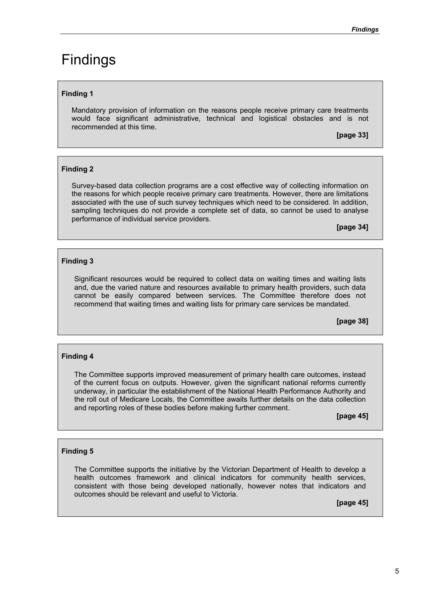# Findings

# **Finding 1**

Mandatory provision of information on the reasons people receive primary care treatments would face significant administrative, technical and logistical obstacles and is not recommended at this time.

**[page 33]** 

## **Finding 2**

Survey-based data collection programs are a cost effective way of collecting information on the reasons for which people receive primary care treatments. However, there are limitations associated with the use of such survey techniques which need to be considered. In addition, sampling techniques do not provide a complete set of data, so cannot be used to analyse performance of individual service providers.

**[page 34]** 

## **Finding 3**

Significant resources would be required to collect data on waiting times and waiting lists and, due the varied nature and resources available to primary health providers, such data cannot be easily compared between services. The Committee therefore does not recommend that waiting times and waiting lists for primary care services be mandated.

**[page 38]** 

#### **Finding 4**

The Committee supports improved measurement of primary health care outcomes, instead of the current focus on outputs. However, given the significant national reforms currently underway, in particular the establishment of the National Health Performance Authority and the roll out of Medicare Locals, the Committee awaits further details on the data collection and reporting roles of these bodies before making further comment.

**[page 45]** 

## **Finding 5**

The Committee supports the initiative by the Victorian Department of Health to develop a health outcomes framework and clinical indicators for community health services, consistent with those being developed nationally, however notes that indicators and outcomes should be relevant and useful to Victoria.

**[page 45]**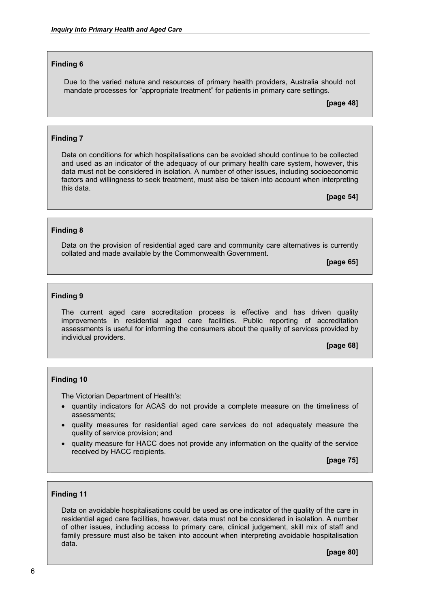### **Finding 6**

Due to the varied nature and resources of primary health providers, Australia should not mandate processes for "appropriate treatment" for patients in primary care settings.

**[page 48]** 

### **Finding 7**

Data on conditions for which hospitalisations can be avoided should continue to be collected and used as an indicator of the adequacy of our primary health care system, however, this data must not be considered in isolation. A number of other issues, including socioeconomic factors and willingness to seek treatment, must also be taken into account when interpreting this data.

**[page 54]** 

#### **Finding 8**

Data on the provision of residential aged care and community care alternatives is currently collated and made available by the Commonwealth Government.

**[page 65]** 

#### **Finding 9**

The current aged care accreditation process is effective and has driven quality improvements in residential aged care facilities. Public reporting of accreditation assessments is useful for informing the consumers about the quality of services provided by individual providers.

**[page 68]** 

#### **Finding 10**

The Victorian Department of Health's:

- quantity indicators for ACAS do not provide a complete measure on the timeliness of assessments;
- quality measures for residential aged care services do not adequately measure the quality of service provision; and
- quality measure for HACC does not provide any information on the quality of the service received by HACC recipients.

**[page 75]** 

#### **Finding 11**

Data on avoidable hospitalisations could be used as one indicator of the quality of the care in residential aged care facilities, however, data must not be considered in isolation. A number of other issues, including access to primary care, clinical judgement, skill mix of staff and family pressure must also be taken into account when interpreting avoidable hospitalisation data.

**[page 80]**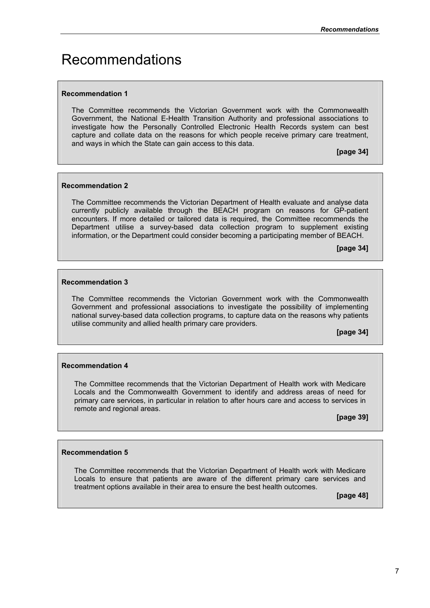# Recommendations

## **Recommendation 1**

The Committee recommends the Victorian Government work with the Commonwealth Government, the National E-Health Transition Authority and professional associations to investigate how the Personally Controlled Electronic Health Records system can best capture and collate data on the reasons for which people receive primary care treatment, and ways in which the State can gain access to this data.

**[page 34]** 

## **Recommendation 2**

The Committee recommends the Victorian Department of Health evaluate and analyse data currently publicly available through the BEACH program on reasons for GP-patient encounters. If more detailed or tailored data is required, the Committee recommends the Department utilise a survey-based data collection program to supplement existing information, or the Department could consider becoming a participating member of BEACH.

**[page 34]** 

## **Recommendation 3**

The Committee recommends the Victorian Government work with the Commonwealth Government and professional associations to investigate the possibility of implementing national survey-based data collection programs, to capture data on the reasons why patients utilise community and allied health primary care providers.

**[page 34]** 

## **Recommendation 4**

The Committee recommends that the Victorian Department of Health work with Medicare Locals and the Commonwealth Government to identify and address areas of need for primary care services, in particular in relation to after hours care and access to services in remote and regional areas.

**[page 39]** 

## **Recommendation 5**

The Committee recommends that the Victorian Department of Health work with Medicare Locals to ensure that patients are aware of the different primary care services and treatment options available in their area to ensure the best health outcomes.

**[page 48]**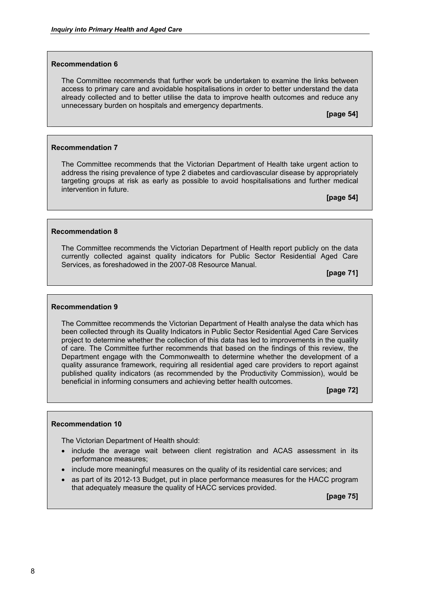#### **Recommendation 6**

The Committee recommends that further work be undertaken to examine the links between access to primary care and avoidable hospitalisations in order to better understand the data already collected and to better utilise the data to improve health outcomes and reduce any unnecessary burden on hospitals and emergency departments.

**[page 54]** 

### **Recommendation 7**

The Committee recommends that the Victorian Department of Health take urgent action to address the rising prevalence of type 2 diabetes and cardiovascular disease by appropriately targeting groups at risk as early as possible to avoid hospitalisations and further medical intervention in future.

**[page 54]** 

#### **Recommendation 8**

The Committee recommends the Victorian Department of Health report publicly on the data currently collected against quality indicators for Public Sector Residential Aged Care Services, as foreshadowed in the 2007-08 Resource Manual.

**[page 71]** 

#### **Recommendation 9**

The Committee recommends the Victorian Department of Health analyse the data which has been collected through its Quality Indicators in Public Sector Residential Aged Care Services project to determine whether the collection of this data has led to improvements in the quality of care. The Committee further recommends that based on the findings of this review, the Department engage with the Commonwealth to determine whether the development of a quality assurance framework, requiring all residential aged care providers to report against published quality indicators (as recommended by the Productivity Commission), would be beneficial in informing consumers and achieving better health outcomes.

**[page 72]** 

#### **Recommendation 10**

The Victorian Department of Health should:

- include the average wait between client registration and ACAS assessment in its performance measures;
- include more meaningful measures on the quality of its residential care services; and
- as part of its 2012-13 Budget, put in place performance measures for the HACC program that adequately measure the quality of HACC services provided.

**[page 75]**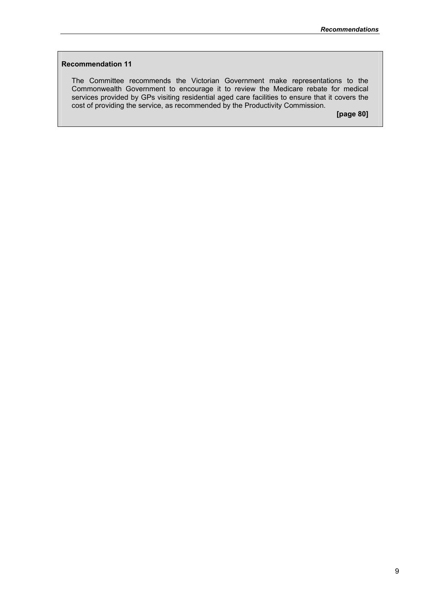## **Recommendation 11**

The Committee recommends the Victorian Government make representations to the Commonwealth Government to encourage it to review the Medicare rebate for medical services provided by GPs visiting residential aged care facilities to ensure that it covers the cost of providing the service, as recommended by the Productivity Commission.

**[page 80]**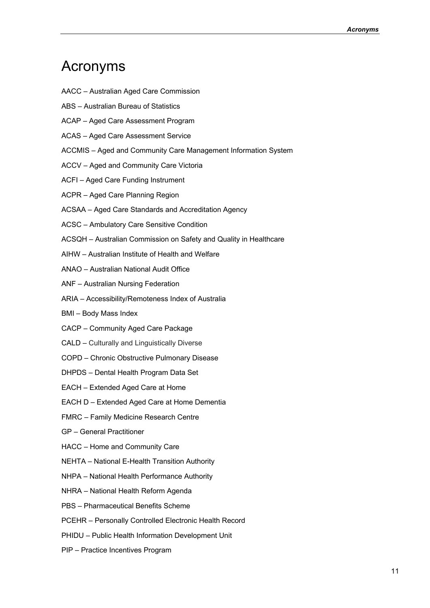# Acronyms

- AACC Australian Aged Care Commission
- ABS Australian Bureau of Statistics
- ACAP Aged Care Assessment Program
- ACAS Aged Care Assessment Service
- ACCMIS Aged and Community Care Management Information System
- ACCV Aged and Community Care Victoria
- ACFI Aged Care Funding Instrument
- ACPR Aged Care Planning Region
- ACSAA Aged Care Standards and Accreditation Agency
- ACSC Ambulatory Care Sensitive Condition
- ACSQH Australian Commission on Safety and Quality in Healthcare
- AIHW Australian Institute of Health and Welfare
- ANAO Australian National Audit Office
- ANF Australian Nursing Federation
- ARIA Accessibility/Remoteness Index of Australia
- BMI Body Mass Index
- CACP Community Aged Care Package
- CALD Culturally and Linguistically Diverse
- COPD Chronic Obstructive Pulmonary Disease
- DHPDS Dental Health Program Data Set
- EACH Extended Aged Care at Home
- EACH D Extended Aged Care at Home Dementia
- FMRC Family Medicine Research Centre
- GP General Practitioner
- HACC Home and Community Care
- NEHTA National E-Health Transition Authority
- NHPA National Health Performance Authority
- NHRA National Health Reform Agenda
- PBS Pharmaceutical Benefits Scheme
- PCEHR Personally Controlled Electronic Health Record
- PHIDU Public Health Information Development Unit
- PIP Practice Incentives Program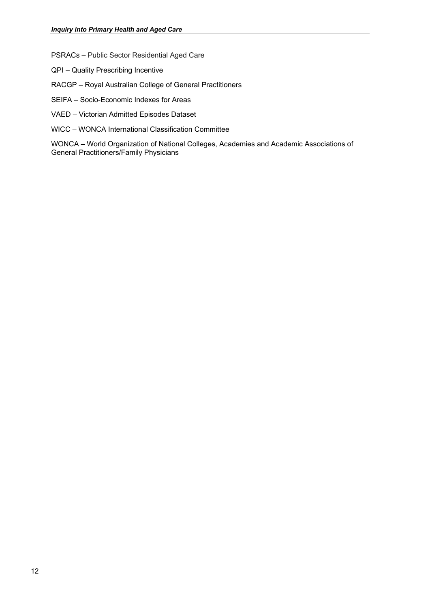PSRACs – Public Sector Residential Aged Care

- QPI Quality Prescribing Incentive
- RACGP Royal Australian College of General Practitioners
- SEIFA Socio-Economic Indexes for Areas
- VAED Victorian Admitted Episodes Dataset
- WICC WONCA International Classification Committee

WONCA – World Organization of National Colleges, Academies and Academic Associations of General Practitioners/Family Physicians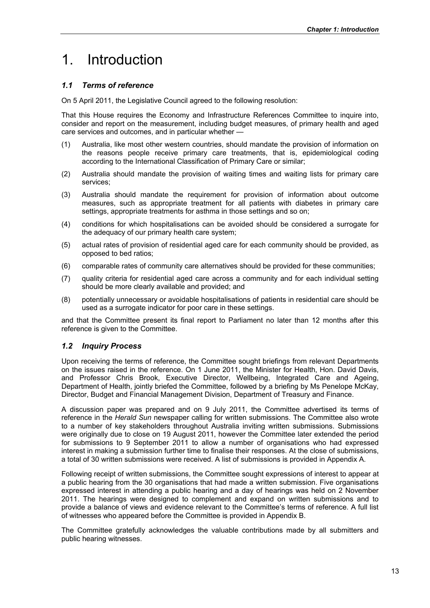# 1. Introduction

# *1.1 Terms of reference*

On 5 April 2011, the Legislative Council agreed to the following resolution:

That this House requires the Economy and Infrastructure References Committee to inquire into, consider and report on the measurement, including budget measures, of primary health and aged care services and outcomes, and in particular whether —

- (1) Australia, like most other western countries, should mandate the provision of information on the reasons people receive primary care treatments, that is, epidemiological coding according to the International Classification of Primary Care or similar;
- (2) Australia should mandate the provision of waiting times and waiting lists for primary care services;
- (3) Australia should mandate the requirement for provision of information about outcome measures, such as appropriate treatment for all patients with diabetes in primary care settings, appropriate treatments for asthma in those settings and so on;
- (4) conditions for which hospitalisations can be avoided should be considered a surrogate for the adequacy of our primary health care system;
- (5) actual rates of provision of residential aged care for each community should be provided, as opposed to bed ratios;
- (6) comparable rates of community care alternatives should be provided for these communities;
- (7) quality criteria for residential aged care across a community and for each individual setting should be more clearly available and provided; and
- (8) potentially unnecessary or avoidable hospitalisations of patients in residential care should be used as a surrogate indicator for poor care in these settings.

and that the Committee present its final report to Parliament no later than 12 months after this reference is given to the Committee.

# *1.2 Inquiry Process*

Upon receiving the terms of reference, the Committee sought briefings from relevant Departments on the issues raised in the reference. On 1 June 2011, the Minister for Health, Hon. David Davis, and Professor Chris Brook, Executive Director, Wellbeing, Integrated Care and Ageing, Department of Health, jointly briefed the Committee, followed by a briefing by Ms Penelope McKay, Director, Budget and Financial Management Division, Department of Treasury and Finance.

A discussion paper was prepared and on 9 July 2011, the Committee advertised its terms of reference in the *Herald Sun* newspaper calling for written submissions. The Committee also wrote to a number of key stakeholders throughout Australia inviting written submissions. Submissions were originally due to close on 19 August 2011, however the Committee later extended the period for submissions to 9 September 2011 to allow a number of organisations who had expressed interest in making a submission further time to finalise their responses. At the close of submissions, a total of 30 written submissions were received. A list of submissions is provided in Appendix A.

Following receipt of written submissions, the Committee sought expressions of interest to appear at a public hearing from the 30 organisations that had made a written submission. Five organisations expressed interest in attending a public hearing and a day of hearings was held on 2 November 2011. The hearings were designed to complement and expand on written submissions and to provide a balance of views and evidence relevant to the Committee's terms of reference. A full list of witnesses who appeared before the Committee is provided in Appendix B.

The Committee gratefully acknowledges the valuable contributions made by all submitters and public hearing witnesses.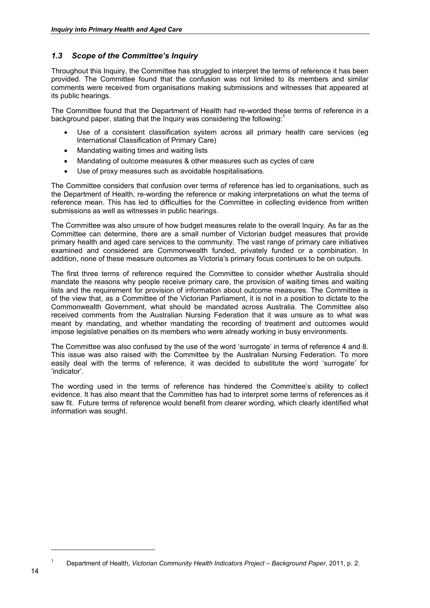# *1.3 Scope of the Committee's Inquiry*

Throughout this Inquiry, the Committee has struggled to interpret the terms of reference it has been provided. The Committee found that the confusion was not limited to its members and similar comments were received from organisations making submissions and witnesses that appeared at its public hearings.

The Committee found that the Department of Health had re-worded these terms of reference in a background paper, stating that the Inquiry was considering the following: $1$ 

- Use of a consistent classification system across all primary health care services (eg International Classification of Primary Care)
- Mandating waiting times and waiting lists
- Mandating of outcome measures & other measures such as cycles of care
- Use of proxy measures such as avoidable hospitalisations.

The Committee considers that confusion over terms of reference has led to organisations, such as the Department of Health, re-wording the reference or making interpretations on what the terms of reference mean. This has led to difficulties for the Committee in collecting evidence from written submissions as well as witnesses in public hearings.

The Committee was also unsure of how budget measures relate to the overall Inquiry. As far as the Committee can determine, there are a small number of Victorian budget measures that provide primary health and aged care services to the community. The vast range of primary care initiatives examined and considered are Commonwealth funded, privately funded or a combination. In addition, none of these measure outcomes as Victoria's primary focus continues to be on outputs.

The first three terms of reference required the Committee to consider whether Australia should mandate the reasons why people receive primary care, the provision of waiting times and waiting lists and the requirement for provision of information about outcome measures. The Committee is of the view that, as a Committee of the Victorian Parliament, it is not in a position to dictate to the Commonwealth Government, what should be mandated across Australia. The Committee also received comments from the Australian Nursing Federation that it was unsure as to what was meant by mandating, and whether mandating the recording of treatment and outcomes would impose legislative penalties on its members who were already working in busy environments.

The Committee was also confused by the use of the word 'surrogate' in terms of reference 4 and 8. This issue was also raised with the Committee by the Australian Nursing Federation. To more easily deal with the terms of reference, it was decided to substitute the word 'surrogate' for 'indicator'.

The wording used in the terms of reference has hindered the Committee's ability to collect evidence. It has also meant that the Committee has had to interpret some terms of references as it saw fit. Future terms of reference would benefit from clearer wording, which clearly identified what information was sought.

Department of Health, *Victorian Community Health Indicators Project – Background Paper*, 2011, p. 2.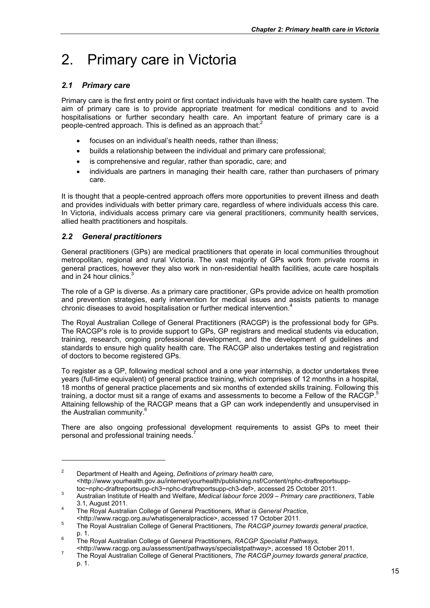# 2. Primary care in Victoria

# *2.1 Primary care*

Primary care is the first entry point or first contact individuals have with the health care system. The aim of primary care is to provide appropriate treatment for medical conditions and to avoid hospitalisations or further secondary health care. An important feature of primary care is a people-centred approach. This is defined as an approach that:<sup>2</sup>

- focuses on an individual's health needs, rather than illness;
- builds a relationship between the individual and primary care professional;
- is comprehensive and regular, rather than sporadic, care; and
- individuals are partners in managing their health care, rather than purchasers of primary care.

It is thought that a people-centred approach offers more opportunities to prevent illness and death and provides individuals with better primary care, regardless of where individuals access this care. In Victoria, individuals access primary care via general practitioners, community health services, allied health practitioners and hospitals.

# *2.2 General practitioners*

-

General practitioners (GPs) are medical practitioners that operate in local communities throughout metropolitan, regional and rural Victoria. The vast majority of GPs work from private rooms in general practices, however they also work in non-residential health facilities, acute care hospitals and in 24 hour clinics.<sup>3</sup>

The role of a GP is diverse. As a primary care practitioner, GPs provide advice on health promotion and prevention strategies, early intervention for medical issues and assists patients to manage chronic diseases to avoid hospitalisation or further medical intervention.<sup>4</sup>

The Royal Australian College of General Practitioners (RACGP) is the professional body for GPs. The RACGP's role is to provide support to GPs, GP registrars and medical students via education, training, research, ongoing professional development, and the development of guidelines and standards to ensure high quality health care. The RACGP also undertakes testing and registration of doctors to become registered GPs.

To register as a GP, following medical school and a one year internship, a doctor undertakes three years (full-time equivalent) of general practice training, which comprises of 12 months in a hospital, 18 months of general practice placements and six months of extended skills training. Following this training, a doctor must sit a range of exams and assessments to become a Fellow of the RACGP.<sup>5</sup> Attaining fellowship of the RACGP means that a GP can work independently and unsupervised in the Australian community.<sup>6</sup>

There are also ongoing professional development requirements to assist GPs to meet their personal and professional training needs.

<sup>2</sup> Department of Health and Ageing, *Definitions of primary health care*, <http://www.yourhealth.gov.au/internet/yourhealth/publishing.nsf/Content/nphc-draftreportsupptoc~nphc-draftreportsupp-ch3~nphc-draftreportsupp-ch3-def>, accessed 25 October 2011.

Australian Institute of Health and Welfare, *Medical labour force 2009 – Primary care practitioners*, Table  $3.1,$  August 2011.

The Royal Australian College of General Practitioners, *What is General Practice*, <http://www.racgp.org.au/whatisgeneralpractice>, accessed 17 October 2011. 5

The Royal Australian College of General Practitioners, *The RACGP journey towards general practice,*   $p. 1.$ 

The Royal Australian College of General Practitioners, *RACGP Specialist Pathways,*

<sup>&</sup>lt;http://www.racgp.org.au/assessment/pathways/specialistpathway>, accessed 18 October 2011. 7

The Royal Australian College of General Practitioners, *The RACGP journey towards general practice,*  p. 1.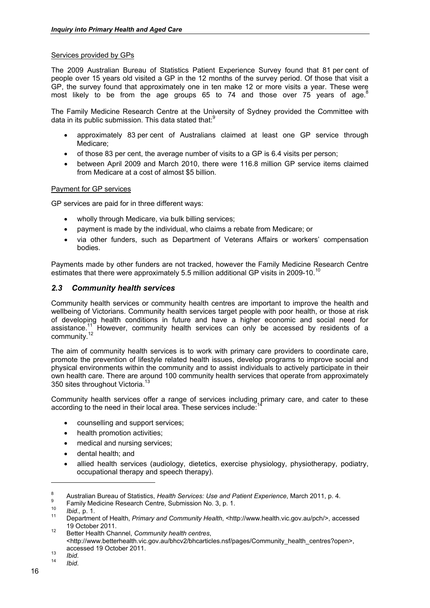## Services provided by GPs

The 2009 Australian Bureau of Statistics Patient Experience Survey found that 81 per cent of people over 15 years old visited a GP in the 12 months of the survey period. Of those that visit a GP, the survey found that approximately one in ten make 12 or more visits a year. These were most likely to be from the age groups 65 to 74 and those over 75 years of age.<sup>8</sup>

The Family Medicine Research Centre at the University of Sydney provided the Committee with data in its public submission. This data stated that:<sup>9</sup>

- approximately 83 per cent of Australians claimed at least one GP service through Medicare;
- of those 83 per cent, the average number of visits to a GP is 6.4 visits per person;
- between April 2009 and March 2010, there were 116.8 million GP service items claimed from Medicare at a cost of almost \$5 billion.

### Payment for GP services

GP services are paid for in three different ways:

- wholly through Medicare, via bulk billing services;
- payment is made by the individual, who claims a rebate from Medicare; or
- via other funders, such as Department of Veterans Affairs or workers' compensation bodies.

Payments made by other funders are not tracked, however the Family Medicine Research Centre estimates that there were approximately 5.5 million additional GP visits in 2009-10.<sup>10</sup>

## *2.3 Community health services*

Community health services or community health centres are important to improve the health and wellbeing of Victorians. Community health services target people with poor health, or those at risk of developing health conditions in future and have a higher economic and social need for assistance.<sup>11</sup> However, community health services can only be accessed by residents of a community.<sup>12</sup>

The aim of community health services is to work with primary care providers to coordinate care, promote the prevention of lifestyle related health issues, develop programs to improve social and physical environments within the community and to assist individuals to actively participate in their own health care. There are around 100 community health services that operate from approximately 350 sites throughout Victoria.<sup>13</sup>

Community health services offer a range of services including primary care, and cater to these according to the need in their local area. These services include:<sup>1</sup>

- counselling and support services;
- health promotion activities;
- medical and nursing services:
- dental health; and
- allied health services (audiology, dietetics, exercise physiology, physiotherapy, podiatry, occupational therapy and speech therapy).

<sup>8</sup> <sup>8</sup> Australian Bureau of Statistics, *Health Services: Use and Patient Experience*, March 2011, p. 4.

<sup>&</sup>lt;sup>9</sup> Family Medicine Research Centre, Submission No. 3, p. 1.

<sup>10</sup>*Ibid.,* p. 1. 11 Department of Health, *Primary and Community Health*, <http://www.health.vic.gov.au/pch/>, accessed 19 October 2011. 12 Better Health Channel, *Community health centres*,

<sup>&</sup>lt;http://www.betterhealth.vic.gov.au/bhcv2/bhcarticles.nsf/pages/Community\_health\_centres?open>, accessed 19 October 2011. 13 *Ibid*. 14 *Ibid*.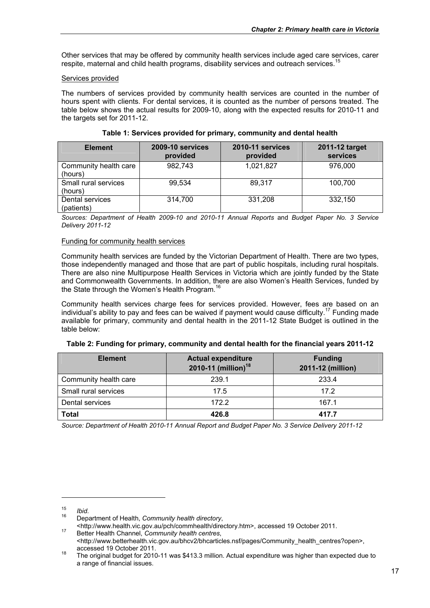Other services that may be offered by community health services include aged care services, carer respite, maternal and child health programs, disability services and outreach services.<sup>15</sup>

### Services provided

The numbers of services provided by community health services are counted in the number of hours spent with clients. For dental services, it is counted as the number of persons treated. The table below shows the actual results for 2009-10, along with the expected results for 2010-11 and the targets set for 2011-12.

| <b>Element</b>                   | 2009-10 services<br>provided | 2010-11 services<br>provided | 2011-12 target<br>services |
|----------------------------------|------------------------------|------------------------------|----------------------------|
| Community health care<br>(hours) | 982,743                      | 1,021,827                    | 976,000                    |
| Small rural services<br>(hours)  | 99,534                       | 89,317                       | 100,700                    |
| Dental services<br>(patients)    | 314,700                      | 331,208                      | 332,150                    |

**Table 1: Services provided for primary, community and dental health** 

*Sources: Department of Health 2009-10 and 2010-11 Annual Reports* and *Budget Paper No. 3 Service Delivery 2011-12* 

### Funding for community health services

Community health services are funded by the Victorian Department of Health. There are two types, those independently managed and those that are part of public hospitals, including rural hospitals. There are also nine Multipurpose Health Services in Victoria which are jointly funded by the State and Commonwealth Governments. In addition, there are also Women's Health Services, funded by the State through the Women's Health Program.<sup>16</sup>

Community health services charge fees for services provided. However, fees are based on an individual's ability to pay and fees can be waived if payment would cause difficulty.<sup>17</sup> Funding made available for primary, community and dental health in the 2011-12 State Budget is outlined in the table below:

|  |  |  | Table 2: Funding for primary, community and dental health for the financial years 2011-12 |
|--|--|--|-------------------------------------------------------------------------------------------|
|--|--|--|-------------------------------------------------------------------------------------------|

| <b>Element</b>        | <b>Actual expenditure</b><br>2010-11 (million) <sup>18</sup> | <b>Funding</b><br>2011-12 (million) |
|-----------------------|--------------------------------------------------------------|-------------------------------------|
| Community health care | 239.1                                                        | 233.4                               |
| Small rural services  | 17.5                                                         | 17.2                                |
| Dental services       | 172.2                                                        | 167.1                               |
| Total                 | 426.8                                                        | 417.7                               |

*Source: Department of Health 2010-11 Annual Report and Budget Paper No. 3 Service Delivery 2011-12* 

<sup>15</sup>*Ibid*. 16 Department of Health, *Community health directory*,

<sup>&</sup>lt;http://www.health.vic.gov.au/pch/commhealth/directory.htm>, accessed 19 October 2011. 17 Better Health Channel, *Community health centres*,

<sup>&</sup>lt;http://www.betterhealth.vic.gov.au/bhcv2/bhcarticles.nsf/pages/Community\_health\_centres?open>,

accessed 19 October 2011.<br><sup>18</sup> The original budget for 2010-11 was \$413.3 million. Actual expenditure was higher than expected due to a range of financial issues.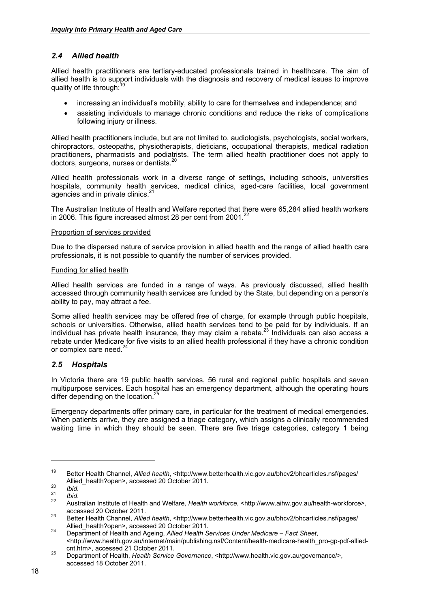# *2.4 Allied health*

Allied health practitioners are tertiary-educated professionals trained in healthcare. The aim of allied health is to support individuals with the diagnosis and recovery of medical issues to improve quality of life through:<sup>19</sup>

- increasing an individual's mobility, ability to care for themselves and independence; and
- assisting individuals to manage chronic conditions and reduce the risks of complications following injury or illness.

Allied health practitioners include, but are not limited to, audiologists, psychologists, social workers, chiropractors, osteopaths, physiotherapists, dieticians, occupational therapists, medical radiation practitioners, pharmacists and podiatrists. The term allied health practitioner does not apply to doctors, surgeons, nurses or dentists.<sup>20</sup>

Allied health professionals work in a diverse range of settings, including schools, universities hospitals, community health services, medical clinics, aged-care facilities, local government agencies and in private clinics.<sup>21</sup>

The Australian Institute of Health and Welfare reported that there were 65,284 allied health workers in 2006. This figure increased almost 28 per cent from 2001. $^{22}$ 

## Proportion of services provided

Due to the dispersed nature of service provision in allied health and the range of allied health care professionals, it is not possible to quantify the number of services provided.

### Funding for allied health

Allied health services are funded in a range of ways. As previously discussed, allied health accessed through community health services are funded by the State, but depending on a person's ability to pay, may attract a fee.

Some allied health services may be offered free of charge, for example through public hospitals, schools or universities. Otherwise, allied health services tend to be paid for by individuals. If an individual has private health insurance, they may claim a rebate.23 Individuals can also access a rebate under Medicare for five visits to an allied health professional if they have a chronic condition or complex care need.<sup>24</sup>

# *2.5 Hospitals*

In Victoria there are 19 public health services, 56 rural and regional public hospitals and seven multipurpose services. Each hospital has an emergency department, although the operating hours differ depending on the location. $^{25}$ 

Emergency departments offer primary care, in particular for the treatment of medical emergencies. When patients arrive, they are assigned a triage category, which assigns a clinically recommended waiting time in which they should be seen. There are five triage categories, category 1 being

<sup>19</sup> Better Health Channel, *Allied health*, <http://www.betterhealth.vic.gov.au/bhcv2/bhcarticles.nsf/pages/<br>Allied health?open>, accessed 20 October 2011.

<sup>20</sup> *Ibid.*<br>
21 *Ibid.*<br>
21 *Ibid.*<br>
22 Australian Institute of Health and Welfare, *Health workforce*, <http://www.aihw.gov.au/health-workforce>,<br>
22 accessed 20 October 2011.

accessed 20 October 2011. 23 Better Health Channel, *Allied health*, <http://www.betterhealth.vic.gov.au/bhcv2/bhcarticles.nsf/pages/

Allied\_health?open>, accessed 20 October 2011. 24 Department of Health and Ageing, *Allied Health Services Under Medicare – Fact Sheet*, <http://www.health.gov.au/internet/main/publishing.nsf/Content/health-medicare-health\_pro-gp-pdf-allied-

cnt.htm>, accessed 21 October 2011. 25 Department of Health, *Health Service Governance*, <http://www.health.vic.gov.au/governance/>, accessed 18 October 2011.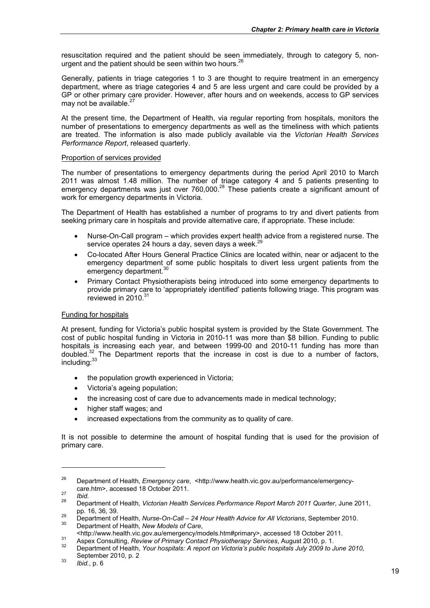resuscitation required and the patient should be seen immediately, through to category 5, nonurgent and the patient should be seen within two hours.<sup>26</sup>

Generally, patients in triage categories 1 to 3 are thought to require treatment in an emergency department, where as triage categories 4 and 5 are less urgent and care could be provided by a GP or other primary care provider. However, after hours and on weekends, access to GP services may not be available. $^{2}$ 

At the present time, the Department of Health, via regular reporting from hospitals, monitors the number of presentations to emergency departments as well as the timeliness with which patients are treated. The information is also made publicly available via the *Victorian Health Services Performance Report*, released quarterly.

### Proportion of services provided

The number of presentations to emergency departments during the period April 2010 to March 2011 was almost 1.48 million. The number of triage category 4 and 5 patients presenting to emergency departments was just over 760,000.<sup>28</sup> These patients create a significant amount of work for emergency departments in Victoria.

The Department of Health has established a number of programs to try and divert patients from seeking primary care in hospitals and provide alternative care, if appropriate. These include:

- Nurse-On-Call program which provides expert health advice from a registered nurse. The service operates 24 hours a day, seven days a week.<sup>2</sup>
- Co-located After Hours General Practice Clinics are located within, near or adjacent to the emergency department of some public hospitals to divert less urgent patients from the emergency department.<sup>30</sup>
- Primary Contact Physiotherapists being introduced into some emergency departments to provide primary care to 'appropriately identified' patients following triage. This program was reviewed in  $2010$ . $3$

## Funding for hospitals

At present, funding for Victoria's public hospital system is provided by the State Government. The cost of public hospital funding in Victoria in 2010-11 was more than \$8 billion. Funding to public hospitals is increasing each year, and between 1999-00 and 2010-11 funding has more than doubled.<sup>32</sup> The Department reports that the increase in cost is due to a number of factors, including:<sup>33</sup>

- the population growth experienced in Victoria;
- Victoria's ageing population;
- the increasing cost of care due to advancements made in medical technology;
- higher staff wages; and
- increased expectations from the community as to quality of care.

It is not possible to determine the amount of hospital funding that is used for the provision of primary care.

<sup>26</sup> Department of Health, *Emergency care*, <http://www.health.vic.gov.au/performance/emergency-

care.htm>, accessed 18 October 2011. 27 *Ibid.* 28 Department of Health, *Victorian Health Services Performance Report March 2011 Quarter*, June 2011,

pp. 16, 36, 39.<br><sup>29</sup> Department of Health, *Nurse-On-Call – 24 Hour Health Advice for All Victorians*, September 2010.<br><sup>30</sup> Department of Health, *New Models of Care*,<br>
<http://www.health.vic.gov.au/emergency/models.htm#pr

Aspex Consulting, Review of Primary Contact Physiotherapy Services, August 2010, p. 1.<br>32 Department of Health, Your hospitals: A report on Victoria's public hospitals July 2009 to June 2010,

September 2010, p. 2 33 *Ibid.*, p. 6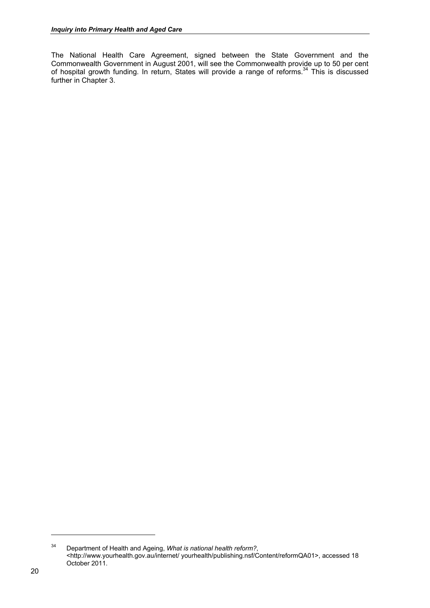The National Health Care Agreement, signed between the State Government and the Commonwealth Government in August 2001, will see the Commonwealth provide up to 50 per cent of hospital growth funding. In return, States will provide a range of reforms.<sup>34</sup> This is discussed further in Chapter 3.

<sup>34</sup> Department of Health and Ageing, *What is national health reform?*, <http://www.yourhealth.gov.au/internet/ yourhealth/publishing.nsf/Content/reformQA01>, accessed 18 October 2011.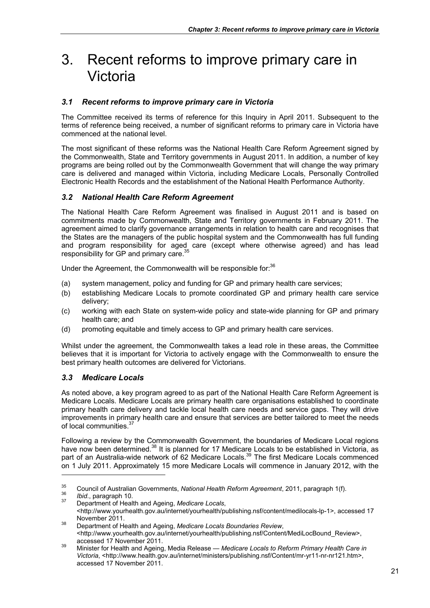# 3. Recent reforms to improve primary care in Victoria

# *3.1 Recent reforms to improve primary care in Victoria*

The Committee received its terms of reference for this Inquiry in April 2011. Subsequent to the terms of reference being received, a number of significant reforms to primary care in Victoria have commenced at the national level.

The most significant of these reforms was the National Health Care Reform Agreement signed by the Commonwealth, State and Territory governments in August 2011. In addition, a number of key programs are being rolled out by the Commonwealth Government that will change the way primary care is delivered and managed within Victoria, including Medicare Locals, Personally Controlled Electronic Health Records and the establishment of the National Health Performance Authority.

# *3.2 National Health Care Reform Agreement*

The National Health Care Reform Agreement was finalised in August 2011 and is based on commitments made by Commonwealth, State and Territory governments in February 2011. The agreement aimed to clarify governance arrangements in relation to health care and recognises that the States are the managers of the public hospital system and the Commonwealth has full funding and program responsibility for aged care (except where otherwise agreed) and has lead responsibility for GP and primary care.<sup>35</sup>

Under the Agreement, the Commonwealth will be responsible for:<sup>36</sup>

- (a) system management, policy and funding for GP and primary health care services;
- (b) establishing Medicare Locals to promote coordinated GP and primary health care service delivery;
- (c) working with each State on system-wide policy and state-wide planning for GP and primary health care; and
- (d) promoting equitable and timely access to GP and primary health care services.

Whilst under the agreement, the Commonwealth takes a lead role in these areas, the Committee believes that it is important for Victoria to actively engage with the Commonwealth to ensure the best primary health outcomes are delivered for Victorians.

# *3.3 Medicare Locals*

As noted above, a key program agreed to as part of the National Health Care Reform Agreement is Medicare Locals. Medicare Locals are primary health care organisations established to coordinate primary health care delivery and tackle local health care needs and service gaps. They will drive improvements in primary health care and ensure that services are better tailored to meet the needs of local communities.<sup>37</sup>

Following a review by the Commonwealth Government, the boundaries of Medicare Local regions have now been determined.<sup>38</sup> It is planned for 17 Medicare Locals to be established in Victoria, as part of an Australia-wide network of 62 Medicare Locals.<sup>39</sup> The first Medicare Locals commenced on 1 July 2011. Approximately 15 more Medicare Locals will commence in January 2012, with the

<sup>&</sup>lt;sup>35</sup> Council of Australian Governments, *National Health Reform Agreement*, 2011, paragraph 1(f).<br><sup>36</sup> *Ibid.*, paragraph 10.<br><sup>37</sup> Department of Health and Ageing, *Medicare Locals*,

<sup>&</sup>lt;http://www.yourhealth.gov.au/internet/yourhealth/publishing.nsf/content/medilocals-lp-1>, accessed 17

November 2011. 38 Department of Health and Ageing, *Medicare Locals Boundaries Review*, <http://www.yourhealth.gov.au/internet/yourhealth/publishing.nsf/Content/MediLocBound\_Review>,

accessed 17 November 2011. 39 Minister for Health and Ageing, Media Release — *Medicare Locals to Reform Primary Health Care in Victoria*, <http://www.health.gov.au/internet/ministers/publishing.nsf/Content/mr-yr11-nr-nr121.htm>, accessed 17 November 2011.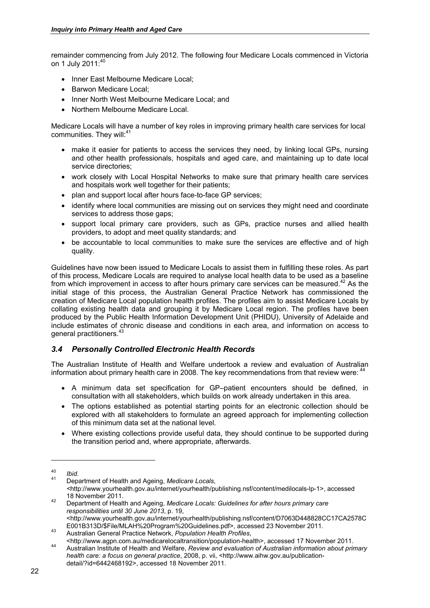remainder commencing from July 2012. The following four Medicare Locals commenced in Victoria on 1 July 2011:40

- Inner East Melbourne Medicare Local:
- Barwon Medicare Local;
- Inner North West Melbourne Medicare Local; and
- Northern Melbourne Medicare Local.

Medicare Locals will have a number of key roles in improving primary health care services for local communities. They will:<sup>41</sup>

- make it easier for patients to access the services they need, by linking local GPs, nursing and other health professionals, hospitals and aged care, and maintaining up to date local service directories;
- work closely with Local Hospital Networks to make sure that primary health care services and hospitals work well together for their patients:
- plan and support local after hours face-to-face GP services;
- identify where local communities are missing out on services they might need and coordinate services to address those gaps:
- support local primary care providers, such as GPs, practice nurses and allied health providers, to adopt and meet quality standards; and
- be accountable to local communities to make sure the services are effective and of high quality.

Guidelines have now been issued to Medicare Locals to assist them in fulfilling these roles. As part of this process, Medicare Locals are required to analyse local health data to be used as a baseline from which improvement in access to after hours primary care services can be measured. $42$  As the initial stage of this process, the Australian General Practice Network has commissioned the creation of Medicare Local population health profiles. The profiles aim to assist Medicare Locals by collating existing health data and grouping it by Medicare Local region. The profiles have been produced by the Public Health Information Development Unit (PHIDU), University of Adelaide and include estimates of chronic disease and conditions in each area, and information on access to general practitioners.<sup>43</sup>

# *3.4 Personally Controlled Electronic Health Records*

The Australian Institute of Health and Welfare undertook a review and evaluation of Australian information about primary health care in 2008. The key recommendations from that review were:

- A minimum data set specification for GP–patient encounters should be defined, in consultation with all stakeholders, which builds on work already undertaken in this area.
- The options established as potential starting points for an electronic collection should be explored with all stakeholders to formulate an agreed approach for implementing collection of this minimum data set at the national level.
- Where existing collections provide useful data, they should continue to be supported during the transition period and, where appropriate, afterwards.

<sup>40</sup>*Ibid*. 41 Department of Health and Ageing, *Medicare Locals*, *<*http://www.yourhealth.gov.au/internet/yourhealth/publishing.nsf/content/medilocals-lp-1>, accessed

<sup>18</sup> November 2011. 42 Department of Health and Ageing, *Medicare Locals: Guidelines for after hours primary care responsibilities until 30 June 2013*, p. 19, <http://www.yourhealth.gov.au/internet/yourhealth/publishing.nsf/content/D7063D448828CC17CA2578C

E001B313D/\$File/MLAH%20Program%20Guidelines.pdf>, accessed 23 November 2011. 43 Australian General Practice Network, *Population Health Profiles*,

Australian Institute of Health and Welfare, *Review and evaluation of Australian information about primary* Australian Institute of Health and Welfare, *Review and evaluation of Australian information about primary health care: a focus on general practice*, 2008, p. vii, <http://www.aihw.gov.au/publicationdetail/?id=6442468192>, accessed 18 November 2011.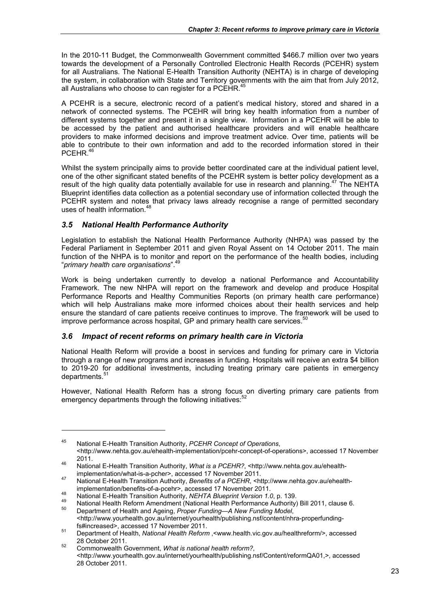In the 2010-11 Budget, the Commonwealth Government committed \$466.7 million over two years towards the development of a Personally Controlled Electronic Health Records (PCEHR) system for all Australians. The National E-Health Transition Authority (NEHTA) is in charge of developing the system, in collaboration with State and Territory governments with the aim that from July 2012, all Australians who choose to can register for a PCEHR.<sup>45</sup>

A PCEHR is a secure, electronic record of a patient's medical history, stored and shared in a network of connected systems. The PCEHR will bring key health information from a number of different systems together and present it in a single view. Information in a PCEHR will be able to be accessed by the patient and authorised healthcare providers and will enable healthcare providers to make informed decisions and improve treatment advice. Over time, patients will be able to contribute to their own information and add to the recorded information stored in their PCEHR.<sup>46</sup>

Whilst the system principally aims to provide better coordinated care at the individual patient level, one of the other significant stated benefits of the PCEHR system is better policy development as a result of the high quality data potentially available for use in research and planning.<sup>47</sup> The NEHTA Blueprint identifies data collection as a potential secondary use of information collected through the PCEHR system and notes that privacy laws already recognise a range of permitted secondary uses of health information.<sup>48</sup>

# *3.5 National Health Performance Authority*

-

Legislation to establish the National Health Performance Authority (NHPA) was passed by the Federal Parliament in September 2011 and given Royal Assent on 14 October 2011. The main function of the NHPA is to monitor and report on the performance of the health bodies, including "*primary health care organisations*".49

Work is being undertaken currently to develop a national Performance and Accountability Framework. The new NHPA will report on the framework and develop and produce Hospital Performance Reports and Healthy Communities Reports (on primary health care performance) which will help Australians make more informed choices about their health services and help ensure the standard of care patients receive continues to improve. The framework will be used to improve performance across hospital, GP and primary health care services.<sup>50</sup>

# *3.6 Impact of recent reforms on primary health care in Victoria*

National Health Reform will provide a boost in services and funding for primary care in Victoria through a range of new programs and increases in funding. Hospitals will receive an extra \$4 billion to 2019-20 for additional investments, including treating primary care patients in emergency departments.<sup>51</sup>

However, National Health Reform has a strong focus on diverting primary care patients from emergency departments through the following initiatives: $52$ 

<sup>45</sup> National E-Health Transition Authority, *PCEHR Concept of Operations*, <http://www.nehta.gov.au/ehealth-implementation/pcehr-concept-of-operations>, accessed 17 November 2011. 46 National E-Health Transition Authority, *What is a PCEHR?*, <http://www.nehta.gov.au/ehealth-

implementation/what-is-a-pcher>, accessed 17 November 2011.<br>
Mational E-Health Transition Authority, *Benefits of a PCEHR*, <http://www.nehta.gov.au/ehealth-<br>
implementation/benefits-of-a-pcehr>. accessed 17 November 2011.

Mational E-Health Transition Authority, NEHTA Blueprint Version 1.0, p. 139.<br>National Health Reform Amendment (National Health Performance Authority) Bill 2011, clause 6.<br>Department of Health and Ageing, Proper Funding—A N <http://www.yourhealth.gov.au/internet/yourhealth/publishing.nsf/content/nhra-properfunding-<br>fs#increased>, accessed 17 November 2011.

final number 2012. Supposed 19 November 2011.<br><sup>51</sup> Department of Health, *National Health Reform* ,<www.health.vic.gov.au/healthreform/>, accessed

<sup>28</sup> October 2011. 52 Commonwealth Government, *What is national health reform?*, <http://www.yourhealth.gov.au/internet/yourhealth/publishing.nsf/Content/reformQA01,>, accessed 28 October 2011.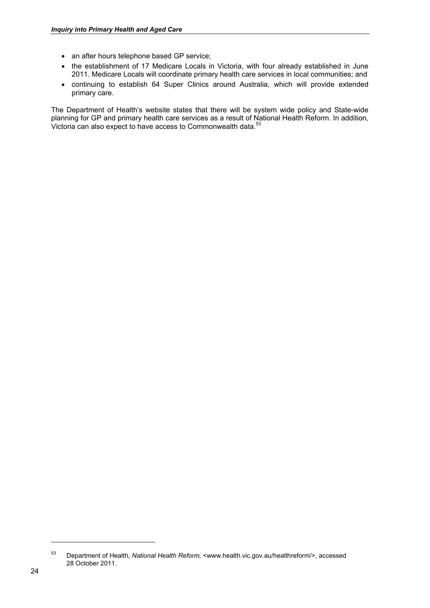- an after hours telephone based GP service;
- the establishment of 17 Medicare Locals in Victoria, with four already established in June 2011. Medicare Locals will coordinate primary health care services in local communities; and
- continuing to establish 64 Super Clinics around Australia, which will provide extended primary care.

The Department of Health's website states that there will be system wide policy and State-wide planning for GP and primary health care services as a result of National Health Reform. In addition, Victoria can also expect to have access to Commonwealth data.<sup>53</sup>

<sup>53</sup> Department of Health, *National Health Reform,* <www.health.vic.gov.au/healthreform/>, accessed 28 October 2011.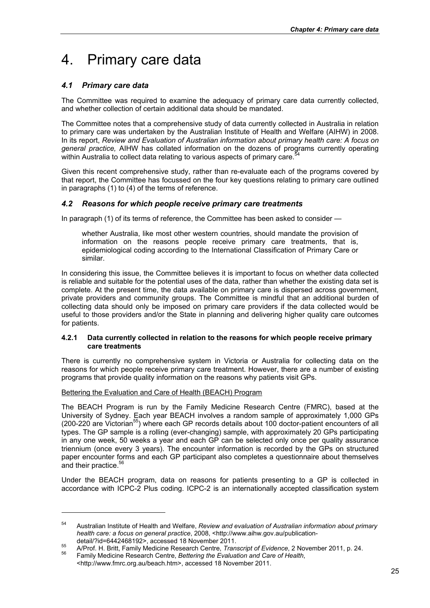# 4. Primary care data

# *4.1 Primary care data*

The Committee was required to examine the adequacy of primary care data currently collected, and whether collection of certain additional data should be mandated.

The Committee notes that a comprehensive study of data currently collected in Australia in relation to primary care was undertaken by the Australian Institute of Health and Welfare (AIHW) in 2008. In its report, *Review and Evaluation of Australian information about primary health care: A focus on general practice,* AIHW has collated information on the dozens of programs currently operating within Australia to collect data relating to various aspects of primary care.<sup>5</sup>

Given this recent comprehensive study, rather than re-evaluate each of the programs covered by that report, the Committee has focussed on the four key questions relating to primary care outlined in paragraphs (1) to (4) of the terms of reference.

# *4.2 Reasons for which people receive primary care treatments*

In paragraph (1) of its terms of reference, the Committee has been asked to consider —

whether Australia, like most other western countries, should mandate the provision of information on the reasons people receive primary care treatments, that is, epidemiological coding according to the International Classification of Primary Care or similar.

In considering this issue, the Committee believes it is important to focus on whether data collected is reliable and suitable for the potential uses of the data, rather than whether the existing data set is complete. At the present time, the data available on primary care is dispersed across government, private providers and community groups. The Committee is mindful that an additional burden of collecting data should only be imposed on primary care providers if the data collected would be useful to those providers and/or the State in planning and delivering higher quality care outcomes for patients.

## **4.2.1 Data currently collected in relation to the reasons for which people receive primary care treatments**

There is currently no comprehensive system in Victoria or Australia for collecting data on the reasons for which people receive primary care treatment. However, there are a number of existing programs that provide quality information on the reasons why patients visit GPs.

## Bettering the Evaluation and Care of Health (BEACH) Program

-

The BEACH Program is run by the Family Medicine Research Centre (FMRC), based at the University of Sydney. Each year BEACH involves a random sample of approximately 1,000 GPs (200-220 are Victorian<sup>55</sup>) where each GP records details about 100 doctor-patient encounters of all types. The GP sample is a rolling (ever-changing) sample, with approximately 20 GPs participating in any one week, 50 weeks a year and each GP can be selected only once per quality assurance triennium (once every 3 years). The encounter information is recorded by the GPs on structured paper encounter forms and each GP participant also completes a questionnaire about themselves and their practice.<sup>56</sup>

Under the BEACH program, data on reasons for patients presenting to a GP is collected in accordance with ICPC-2 Plus coding. ICPC-2 is an internationally accepted classification system

<sup>54</sup> Australian Institute of Health and Welfare, *Review and evaluation of Australian information about primary health care: a focus on general practice*, 2008, <http://www.aihw.gov.au/publication-

detail/?id=6442468192>, accessed 18 November 2011.<br><sup>55</sup> A/Prof. H. Britt, Family Medicine Research Centre, *Transcript of Evidence*, 2 November 2011, p. 24.<br><sup>56</sup> Family Medicine Research Centre, *Bettering the Evaluation a* 

<sup>&</sup>lt;http://www.fmrc.org.au/beach.htm>, accessed 18 November 2011.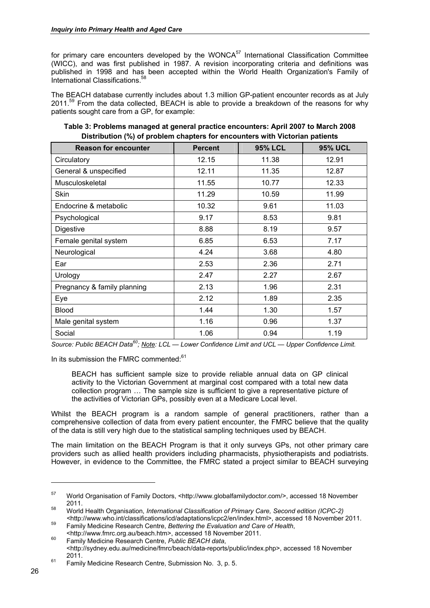for primary care encounters developed by the WONCA<sup>57</sup> International Classification Committee (WICC), and was first published in 1987. A revision incorporating criteria and definitions was published in 1998 and has been accepted within the World Health Organization's Family of International Classifications.<sup>58</sup>

The BEACH database currently includes about 1.3 million GP-patient encounter records as at July 2011.<sup>59</sup> From the data collected, BEACH is able to provide a breakdown of the reasons for why patients sought care from a GP, for example:

| <b>Reason for encounter</b> | <b>Percent</b> | <b>95% LCL</b> | <b>95% UCL</b> |
|-----------------------------|----------------|----------------|----------------|
| Circulatory                 | 12.15          | 11.38          | 12.91          |
| General & unspecified       | 12.11          | 11.35          | 12.87          |
| Musculoskeletal             | 11.55          | 10.77          | 12.33          |
| <b>Skin</b>                 | 11.29          | 10.59          | 11.99          |
| Endocrine & metabolic       | 10.32          | 9.61           | 11.03          |
| Psychological               | 9.17           | 8.53           | 9.81           |
| Digestive                   | 8.88           | 8.19           | 9.57           |
| Female genital system       | 6.85           | 6.53           | 7.17           |
| Neurological                | 4.24           | 3.68           | 4.80           |
| Ear                         | 2.53           | 2.36           | 2.71           |
| Urology                     | 2.47           | 2.27           | 2.67           |
| Pregnancy & family planning | 2.13           | 1.96           | 2.31           |
| Eye                         | 2.12           | 1.89           | 2.35           |
| <b>Blood</b>                | 1.44           | 1.30           | 1.57           |
| Male genital system         | 1.16           | 0.96           | 1.37           |
| Social                      | 1.06           | 0.94           | 1.19           |

**Table 3: Problems managed at general practice encounters: April 2007 to March 2008 Distribution (%) of problem chapters for encounters with Victorian patients** 

*Source: Public BEACH Data60; Note: LCL — Lower Confidence Limit and UCL — Upper Confidence Limit.* 

In its submission the FMRC commented:<sup>61</sup>

BEACH has sufficient sample size to provide reliable annual data on GP clinical activity to the Victorian Government at marginal cost compared with a total new data collection program … The sample size is sufficient to give a representative picture of the activities of Victorian GPs, possibly even at a Medicare Local level.

Whilst the BEACH program is a random sample of general practitioners, rather than a comprehensive collection of data from every patient encounter, the FMRC believe that the quality of the data is still very high due to the statistical sampling techniques used by BEACH.

The main limitation on the BEACH Program is that it only surveys GPs, not other primary care providers such as allied health providers including pharmacists, physiotherapists and podiatrists. However, in evidence to the Committee, the FMRC stated a project similar to BEACH surveying

<sup>57</sup> World Organisation of Family Doctors, <http://www.globalfamilydoctor.com/>, accessed 18 November

<sup>2011. 58</sup> World Health Organisation, *International Classification of Primary Care, Second edition (ICPC-2)* 

<sup>&</sup>lt;sup>59</sup> Family Medicine Research Centre, *Bettering the Evaluation and Care of Health*, <br> **Family Medicine Research Centre,** *Bettering the Evaluation and Care of Health***, <br>
<b>http://www.fmrc.org.au/beach.htm>.** accessed 18 Nov

<sup>&</sup>lt;sup>60</sup> Family Medicine Research Centre, *Public BEACH data*, <http://sydney.edu.au/medicine/fmrc/beach/data-reports/public/index.php>, accessed 18 November

 $61$  Family Medicine Research Centre, Submission No. 3, p. 5.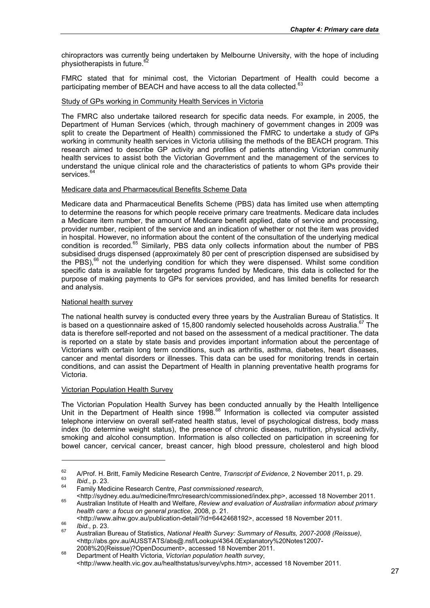chiropractors was currently being undertaken by Melbourne University, with the hope of including physiotherapists in future.<sup>62</sup>

FMRC stated that for minimal cost, the Victorian Department of Health could become a participating member of BEACH and have access to all the data collected. $63$ 

### Study of GPs working in Community Health Services in Victoria

The FMRC also undertake tailored research for specific data needs. For example, in 2005, the Department of Human Services (which, through machinery of government changes in 2009 was split to create the Department of Health) commissioned the FMRC to undertake a study of GPs working in community health services in Victoria utilising the methods of the BEACH program. This research aimed to describe GP activity and profiles of patients attending Victorian community health services to assist both the Victorian Government and the management of the services to understand the unique clinical role and the characteristics of patients to whom GPs provide their services.<sup>64</sup>

### Medicare data and Pharmaceutical Benefits Scheme Data

Medicare data and Pharmaceutical Benefits Scheme (PBS) data has limited use when attempting to determine the reasons for which people receive primary care treatments. Medicare data includes a Medicare item number, the amount of Medicare benefit applied, date of service and processing, provider number, recipient of the service and an indication of whether or not the item was provided in hospital. However, no information about the content of the consultation of the underlying medical condition is recorded.<sup>65</sup> Similarly, PBS data only collects information about the number of PBS subsidised drugs dispensed (approximately 80 per cent of prescription dispensed are subsidised by the PBS), $^{66}$  not the underlying condition for which they were dispensed. Whilst some condition specific data is available for targeted programs funded by Medicare, this data is collected for the purpose of making payments to GPs for services provided, and has limited benefits for research and analysis.

#### National health survey

The national health survey is conducted every three years by the Australian Bureau of Statistics. It is based on a questionnaire asked of 15,800 randomly selected households across Australia.<sup>67</sup> The data is therefore self-reported and not based on the assessment of a medical practitioner. The data is reported on a state by state basis and provides important information about the percentage of Victorians with certain long term conditions, such as arthritis, asthma, diabetes, heart diseases, cancer and mental disorders or illnesses. This data can be used for monitoring trends in certain conditions, and can assist the Department of Health in planning preventative health programs for Victoria.

#### Victorian Population Health Survey

The Victorian Population Health Survey has been conducted annually by the Health Intelligence Unit in the Department of Health since 1998.<sup>68</sup> Information is collected via computer assisted telephone interview on overall self-rated health status, level of psychological distress, body mass index (to determine weight status), the presence of chronic diseases, nutrition, physical activity, smoking and alcohol consumption. Information is also collected on participation in screening for bowel cancer, cervical cancer, breast cancer, high blood pressure, cholesterol and high blood

<sup>62</sup> A/Prof. H. Britt, Family Medicine Research Centre, *Transcript of Evidence*, 2 November 2011, p. 29. 63 *Ibid*., p. 23. 64 Family Medicine Research Centre, *Past commissioned research*,

<sup>&</sup>lt;http://sydney.edu.au/medicine/fmrc/research/commissioned/index.php>, accessed 18 November 2011. 65 Australian Institute of Health and Welfare, *Review and evaluation of Australian information about primary health care: a focus on general practice*, 2008, p. 21.

es and the median median publication-detail ?id=64124681924 (accessed 19 November 2011).<br><sup>67</sup> Australian Bureau of Statistics, *National Health Survey: Summary of Results, 2007-2008 (Reissue)*, <http://abs.gov.au/AUSSTATS/abs@.nsf/Lookup/4364.0Explanatory%20Notes12007-<br>2008%20(Reissue)?OpenDocument>, accessed 18 November 2011.

<sup>2008%20(</sup>Reissue)?OpenDocument>, accessed 18 November 2011. 68 Department of Health Victoria, *Victorian population health survey*, <http://www.health.vic.gov.au/healthstatus/survey/vphs.htm>, accessed 18 November 2011.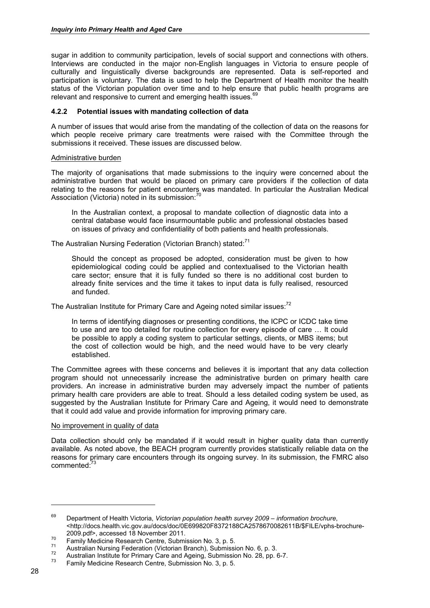sugar in addition to community participation, levels of social support and connections with others. Interviews are conducted in the major non-English languages in Victoria to ensure people of culturally and linguistically diverse backgrounds are represented. Data is self-reported and participation is voluntary. The data is used to help the Department of Health monitor the health status of the Victorian population over time and to help ensure that public health programs are relevant and responsive to current and emerging health issues.<sup>69</sup>

### **4.2.2 Potential issues with mandating collection of data**

A number of issues that would arise from the mandating of the collection of data on the reasons for which people receive primary care treatments were raised with the Committee through the submissions it received. These issues are discussed below.

#### Administrative burden

The majority of organisations that made submissions to the inquiry were concerned about the administrative burden that would be placed on primary care providers if the collection of data relating to the reasons for patient encounters was mandated. In particular the Australian Medical Association (Victoria) noted in its submission:<sup>70</sup>

In the Australian context, a proposal to mandate collection of diagnostic data into a central database would face insurmountable public and professional obstacles based on issues of privacy and confidentiality of both patients and health professionals.

The Australian Nursing Federation (Victorian Branch) stated:<sup>71</sup>

Should the concept as proposed be adopted, consideration must be given to how epidemiological coding could be applied and contextualised to the Victorian health care sector; ensure that it is fully funded so there is no additional cost burden to already finite services and the time it takes to input data is fully realised, resourced and funded.

The Australian Institute for Primary Care and Ageing noted similar issues: $72$ 

In terms of identifying diagnoses or presenting conditions, the ICPC or ICDC take time to use and are too detailed for routine collection for every episode of care … It could be possible to apply a coding system to particular settings, clients, or MBS items; but the cost of collection would be high, and the need would have to be very clearly established.

The Committee agrees with these concerns and believes it is important that any data collection program should not unnecessarily increase the administrative burden on primary health care providers. An increase in administrative burden may adversely impact the number of patients primary health care providers are able to treat. Should a less detailed coding system be used, as suggested by the Australian Institute for Primary Care and Ageing, it would need to demonstrate that it could add value and provide information for improving primary care.

#### No improvement in quality of data

Data collection should only be mandated if it would result in higher quality data than currently available. As noted above, the BEACH program currently provides statistically reliable data on the reasons for primary care encounters through its ongoing survey. In its submission, the FMRC also commented<sup>.73</sup>

<sup>69</sup> Department of Health Victoria, *Victorian population health survey 2009 – information brochure*, <http://docs.health.vic.gov.au/docs/doc/0E699820F8372188CA2578670082611B/\$FILE/vphs-brochure-

Family Medicine Research Centre, Submission No. 3, p. 5.<br>
Australian Nursing Federation (Victorian Branch), Submission No. 6, p. 3.<br>
Australian Institute for Primary Care and Ageing, Submission No. 28, pp. 6-7.<br>
Family Med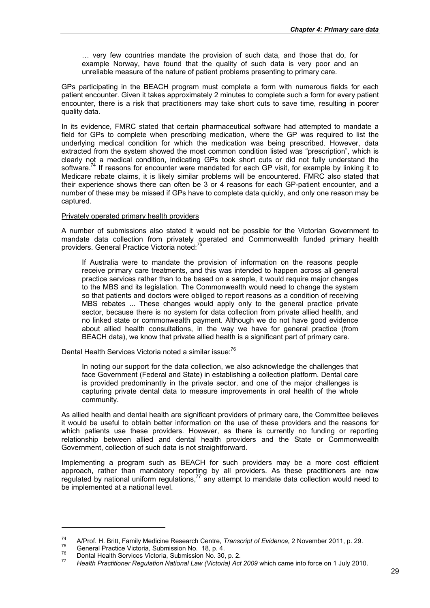… very few countries mandate the provision of such data, and those that do, for example Norway, have found that the quality of such data is very poor and an unreliable measure of the nature of patient problems presenting to primary care.

GPs participating in the BEACH program must complete a form with numerous fields for each patient encounter. Given it takes approximately 2 minutes to complete such a form for every patient encounter, there is a risk that practitioners may take short cuts to save time, resulting in poorer quality data.

In its evidence, FMRC stated that certain pharmaceutical software had attempted to mandate a field for GPs to complete when prescribing medication, where the GP was required to list the underlying medical condition for which the medication was being prescribed. However, data extracted from the system showed the most common condition listed was "prescription", which is clearly not a medical condition, indicating GPs took short cuts or did not fully understand the software.<sup>74</sup> If reasons for encounter were mandated for each GP visit, for example by linking it to Medicare rebate claims, it is likely similar problems will be encountered. FMRC also stated that their experience shows there can often be 3 or 4 reasons for each GP-patient encounter, and a number of these may be missed if GPs have to complete data quickly, and only one reason may be captured.

### Privately operated primary health providers

A number of submissions also stated it would not be possible for the Victorian Government to mandate data collection from privately operated and Commonwealth funded primary health providers. General Practice Victoria noted:<sup>75</sup>

If Australia were to mandate the provision of information on the reasons people receive primary care treatments, and this was intended to happen across all general practice services rather than to be based on a sample, it would require major changes to the MBS and its legislation. The Commonwealth would need to change the system so that patients and doctors were obliged to report reasons as a condition of receiving MBS rebates ... These changes would apply only to the general practice private sector, because there is no system for data collection from private allied health, and no linked state or commonwealth payment. Although we do not have good evidence about allied health consultations, in the way we have for general practice (from BEACH data), we know that private allied health is a significant part of primary care.

Dental Health Services Victoria noted a similar issue:<sup>76</sup>

In noting our support for the data collection, we also acknowledge the challenges that face Government (Federal and State) in establishing a collection platform. Dental care is provided predominantly in the private sector, and one of the major challenges is capturing private dental data to measure improvements in oral health of the whole community.

As allied health and dental health are significant providers of primary care, the Committee believes it would be useful to obtain better information on the use of these providers and the reasons for which patients use these providers. However, as there is currently no funding or reporting relationship between allied and dental health providers and the State or Commonwealth Government, collection of such data is not straightforward.

Implementing a program such as BEACH for such providers may be a more cost efficient approach, rather than mandatory reporting by all providers. As these practitioners are now regulated by national uniform regulations, $77$  any attempt to mandate data collection would need to be implemented at a national level.

<sup>&</sup>lt;sup>74</sup> A/Prof. H. Britt, Family Medicine Research Centre, *Transcript of Evidence*, 2 November 2011, p. 29.<br>
General Practice Victoria, Submission No. 18, p. 4.<br>
Dental Health Services Victoria, Submission No. 30, p. 2.<br>
He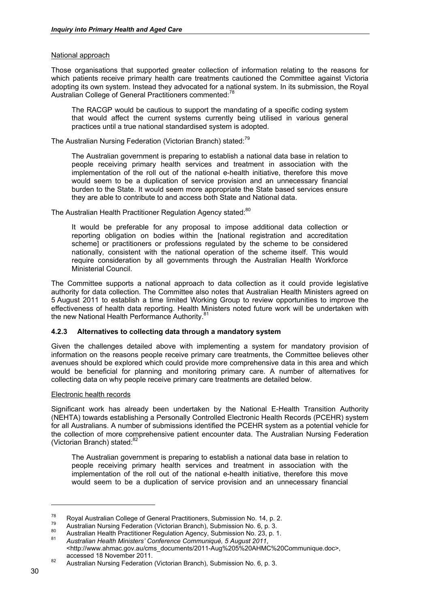### National approach

Those organisations that supported greater collection of information relating to the reasons for which patients receive primary health care treatments cautioned the Committee against Victoria adopting its own system. Instead they advocated for a national system. In its submission, the Royal Australian College of General Practitioners commented:<sup>78</sup>

The RACGP would be cautious to support the mandating of a specific coding system that would affect the current systems currently being utilised in various general practices until a true national standardised system is adopted.

The Australian Nursing Federation (Victorian Branch) stated:79

The Australian government is preparing to establish a national data base in relation to people receiving primary health services and treatment in association with the implementation of the roll out of the national e-health initiative, therefore this move would seem to be a duplication of service provision and an unnecessary financial burden to the State. It would seem more appropriate the State based services ensure they are able to contribute to and access both State and National data.

The Australian Health Practitioner Regulation Agency stated:<sup>80</sup>

It would be preferable for any proposal to impose additional data collection or reporting obligation on bodies within the [national registration and accreditation scheme] or practitioners or professions regulated by the scheme to be considered nationally, consistent with the national operation of the scheme itself. This would require consideration by all governments through the Australian Health Workforce Ministerial Council.

The Committee supports a national approach to data collection as it could provide legislative authority for data collection. The Committee also notes that Australian Health Ministers agreed on 5 August 2011 to establish a time limited Working Group to review opportunities to improve the effectiveness of health data reporting. Health Ministers noted future work will be undertaken with the new National Health Performance Authority.<sup>81</sup>

## **4.2.3 Alternatives to collecting data through a mandatory system**

Given the challenges detailed above with implementing a system for mandatory provision of information on the reasons people receive primary care treatments, the Committee believes other avenues should be explored which could provide more comprehensive data in this area and which would be beneficial for planning and monitoring primary care. A number of alternatives for collecting data on why people receive primary care treatments are detailed below.

#### Electronic health records

Significant work has already been undertaken by the National E-Health Transition Authority (NEHTA) towards establishing a Personally Controlled Electronic Health Records (PCEHR) system for all Australians. A number of submissions identified the PCEHR system as a potential vehicle for the collection of more comprehensive patient encounter data. The Australian Nursing Federation (Victorian Branch) stated:<sup>82</sup>

The Australian government is preparing to establish a national data base in relation to people receiving primary health services and treatment in association with the implementation of the roll out of the national e-health initiative, therefore this move would seem to be a duplication of service provision and an unnecessary financial

<sup>&</sup>lt;sup>78</sup> Royal Australian College of General Practitioners, Submission No. 14, p. 2.<br>Australian Nursing Federation (Victorian Branch), Submission No. 6, p. 3.<br>Australian Health Practitioner Regulation Agency, Submission No. 2

<sup>&</sup>lt;http://www.ahmac.gov.au/cms\_documents/2011-Aug%205%20AHMC%20Communique.doc>,

accessed 18 November 2011.<br>
82 Australian Nursing Federation (Victorian Branch), Submission No. 6, p. 3.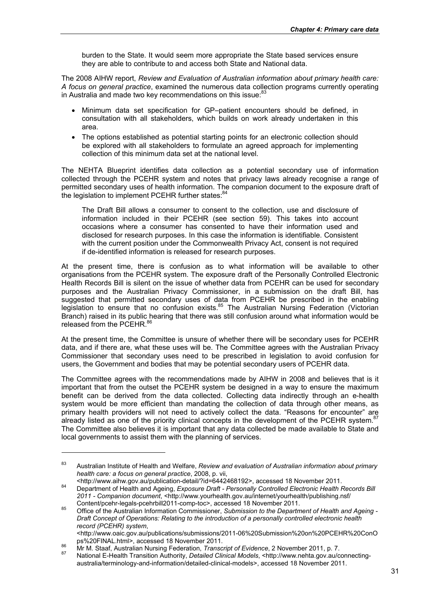burden to the State. It would seem more appropriate the State based services ensure they are able to contribute to and access both State and National data.

The 2008 AIHW report, *Review and Evaluation of Australian information about primary health care: A focus on general practice*, examined the numerous data collection programs currently operating in Australia and made two key recommendations on this issue:<sup>83</sup>

- Minimum data set specification for GP–patient encounters should be defined, in consultation with all stakeholders, which builds on work already undertaken in this area.
- The options established as potential starting points for an electronic collection should be explored with all stakeholders to formulate an agreed approach for implementing collection of this minimum data set at the national level.

The NEHTA Blueprint identifies data collection as a potential secondary use of information collected through the PCEHR system and notes that privacy laws already recognise a range of permitted secondary uses of health information. The companion document to the exposure draft of the legislation to implement PCEHR further states:<sup>84</sup>

The Draft Bill allows a consumer to consent to the collection, use and disclosure of information included in their PCEHR (see section 59). This takes into account occasions where a consumer has consented to have their information used and disclosed for research purposes. In this case the information is identifiable. Consistent with the current position under the Commonwealth Privacy Act, consent is not required if de-identified information is released for research purposes.

At the present time, there is confusion as to what information will be available to other organisations from the PCEHR system. The exposure draft of the Personally Controlled Electronic Health Records Bill is silent on the issue of whether data from PCEHR can be used for secondary purposes and the Australian Privacy Commissioner, in a submission on the draft Bill, has suggested that permitted secondary uses of data from PCEHR be prescribed in the enabling legislation to ensure that no confusion exists.<sup>85</sup> The Australian Nursing Federation (Victorian Branch) raised in its public hearing that there was still confusion around what information would be released from the PCEHR.<sup>86</sup>

At the present time, the Committee is unsure of whether there will be secondary uses for PCEHR data, and if there are, what these uses will be. The Committee agrees with the Australian Privacy Commissioner that secondary uses need to be prescribed in legislation to avoid confusion for users, the Government and bodies that may be potential secondary users of PCEHR data.

The Committee agrees with the recommendations made by AIHW in 2008 and believes that is it important that from the outset the PCEHR system be designed in a way to ensure the maximum benefit can be derived from the data collected. Collecting data indirectly through an e-health system would be more efficient than mandating the collection of data through other means, as primary health providers will not need to actively collect the data. "Reasons for encounter" are already listed as one of the priority clinical concepts in the development of the PCEHR system.<sup>87</sup> The Committee also believes it is important that any data collected be made available to State and local governments to assist them with the planning of services.

<sup>83</sup> Australian Institute of Health and Welfare, *Review and evaluation of Australian information about primary health care: a focus on general practice*, 2008, p. vii,

edication-detail-detail-detail-detail-research actual-research controlled and November 2011.<br>Bepartment of Health and Ageing, *Exposure Draft - Personally Controlled Electronic Health Records Bill* **Department** *2011 - Companion document*, <http://www.yourhealth.gov.au/internet/yourhealth/publishing.nsf/

Content/pcehr-legals-pcehrbill2011-comp-toc>, accessed 18 November 2011. 85 Office of the Australian Information Commissioner, *Submission to the Department of Health and Ageing - Draft Concept of Operations: Relating to the introduction of a personally controlled electronic health record (PCEHR) system*, <http://www.oaic.gov.au/publications/submissions/2011-06%20Submission%20on%20PCEHR%20ConO<br>ps%20FINAL.html>, accessed 18 November 2011.

<sup>86</sup> Mr M. Staaf, Australian Nursing Federation, Transcript of Evidence, 2 November 2011, p. 7.<br>87 National E-Health Transition Authority, Detailed Clinical Models, <http://www.nehta.gov.au/connectingaustralia/terminology-and-information/detailed-clinical-models>, accessed 18 November 2011.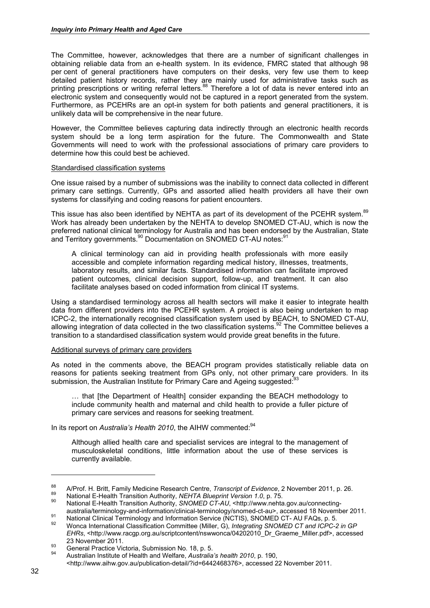The Committee, however, acknowledges that there are a number of significant challenges in obtaining reliable data from an e-health system. In its evidence, FMRC stated that although 98 per cent of general practitioners have computers on their desks, very few use them to keep detailed patient history records, rather they are mainly used for administrative tasks such as printing prescriptions or writing referral letters.<sup>88</sup> Therefore a lot of data is never entered into an electronic system and consequently would not be captured in a report generated from the system. Furthermore, as PCEHRs are an opt-in system for both patients and general practitioners, it is unlikely data will be comprehensive in the near future.

However, the Committee believes capturing data indirectly through an electronic health records system should be a long term aspiration for the future. The Commonwealth and State Governments will need to work with the professional associations of primary care providers to determine how this could best be achieved.

#### Standardised classification systems

One issue raised by a number of submissions was the inability to connect data collected in different primary care settings. Currently, GPs and assorted allied health providers all have their own systems for classifying and coding reasons for patient encounters.

This issue has also been identified by NEHTA as part of its development of the PCEHR system.<sup>89</sup> Work has already been undertaken by the NEHTA to develop SNOMED CT-AU, which is now the preferred national clinical terminology for Australia and has been endorsed by the Australian, State and Territory governments.<sup>90</sup> Documentation on SNOMED CT-AU notes:<sup>91</sup>

A clinical terminology can aid in providing health professionals with more easily accessible and complete information regarding medical history, illnesses, treatments, laboratory results, and similar facts. Standardised information can facilitate improved patient outcomes, clinical decision support, follow-up, and treatment. It can also facilitate analyses based on coded information from clinical IT systems.

Using a standardised terminology across all health sectors will make it easier to integrate health data from different providers into the PCEHR system. A project is also being undertaken to map ICPC-2, the internationally recognised classification system used by BEACH, to SNOMED CT-AU, allowing integration of data collected in the two classification systems.<sup>92</sup> The Committee believes a transition to a standardised classification system would provide great benefits in the future.

#### Additional surveys of primary care providers

As noted in the comments above, the BEACH program provides statistically reliable data on reasons for patients seeking treatment from GPs only, not other primary care providers. In its submission, the Australian Institute for Primary Care and Ageing suggested:<sup>9</sup>

… that [the Department of Health] consider expanding the BEACH methodology to include community health and maternal and child health to provide a fuller picture of primary care services and reasons for seeking treatment.

In its report on *Australia's Health 2010*, the AIHW commented:<sup>94</sup>

Although allied health care and specialist services are integral to the management of musculoskeletal conditions, little information about the use of these services is currently available.

<sup>&</sup>lt;sup>88</sup> A/Prof. H. Britt, Family Medicine Research Centre, *Transcript of Evidence*, 2 November 2011, p. 26.<br>
National E-Health Transition Authority, *NEHTA Blueprint Version 1.0*, p. 75.<br>
National E-Health Transition Authori

<sup>91</sup> National Clinical Terminology and Information Service (NCTIS), SNOMED CT- AU FAQs, p. 5.<br>92 Wonca International Classification Committee (Miller, G), Integrating SNOMED CT and ICPC-2 in GP

*EHRs*, <http://www.racgp.org.au/scriptcontent/nswwonca/04202010\_Dr\_Graeme\_Miller.pdf>, accessed 23 November 2011.<br><sup>93</sup> General Practice Victoria, Submission No. 18, p. 5.<br><sup>94</sup> Australian Institute of Health and Welfare, *Australia's health 2010*, p. 190,

<sup>&</sup>lt;http://www.aihw.gov.au/publication-detail/?id=6442468376>, accessed 22 November 2011.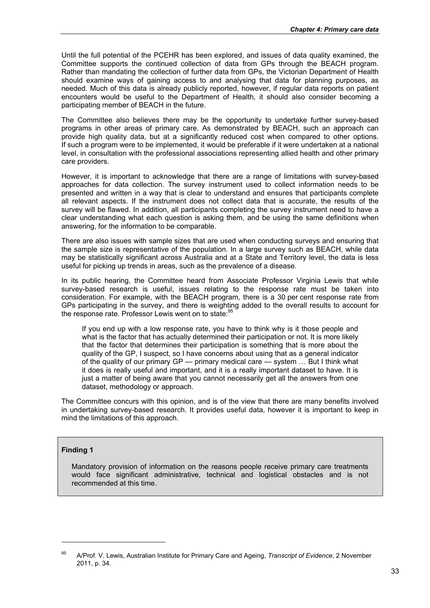Until the full potential of the PCEHR has been explored, and issues of data quality examined, the Committee supports the continued collection of data from GPs through the BEACH program. Rather than mandating the collection of further data from GPs, the Victorian Department of Health should examine ways of gaining access to and analysing that data for planning purposes, as needed. Much of this data is already publicly reported, however, if regular data reports on patient encounters would be useful to the Department of Health, it should also consider becoming a participating member of BEACH in the future.

The Committee also believes there may be the opportunity to undertake further survey-based programs in other areas of primary care. As demonstrated by BEACH, such an approach can provide high quality data, but at a significantly reduced cost when compared to other options. If such a program were to be implemented, it would be preferable if it were undertaken at a national level, in consultation with the professional associations representing allied health and other primary care providers.

However, it is important to acknowledge that there are a range of limitations with survey-based approaches for data collection. The survey instrument used to collect information needs to be presented and written in a way that is clear to understand and ensures that participants complete all relevant aspects. If the instrument does not collect data that is accurate, the results of the survey will be flawed. In addition, all participants completing the survey instrument need to have a clear understanding what each question is asking them, and be using the same definitions when answering, for the information to be comparable.

There are also issues with sample sizes that are used when conducting surveys and ensuring that the sample size is representative of the population. In a large survey such as BEACH, while data may be statistically significant across Australia and at a State and Territory level, the data is less useful for picking up trends in areas, such as the prevalence of a disease.

In its public hearing, the Committee heard from Associate Professor Virginia Lewis that while survey-based research is useful, issues relating to the response rate must be taken into consideration. For example, with the BEACH program, there is a 30 per cent response rate from GPs participating in the survey, and there is weighting added to the overall results to account for the response rate. Professor Lewis went on to state:<sup>95</sup>

If you end up with a low response rate, you have to think why is it those people and what is the factor that has actually determined their participation or not. It is more likely that the factor that determines their participation is something that is more about the quality of the GP, I suspect, so I have concerns about using that as a general indicator of the quality of our primary GP — primary medical care — system … But I think what it does is really useful and important, and it is a really important dataset to have. It is just a matter of being aware that you cannot necessarily get all the answers from one dataset, methodology or approach.

The Committee concurs with this opinion, and is of the view that there are many benefits involved in undertaking survey-based research. It provides useful data, however it is important to keep in mind the limitations of this approach.

#### **Finding 1**

1

Mandatory provision of information on the reasons people receive primary care treatments would face significant administrative, technical and logistical obstacles and is not recommended at this time.

<sup>95</sup> A/Prof. V. Lewis, Australian Institute for Primary Care and Ageing, *Transcript of Evidence*, 2 November 2011, p. 34.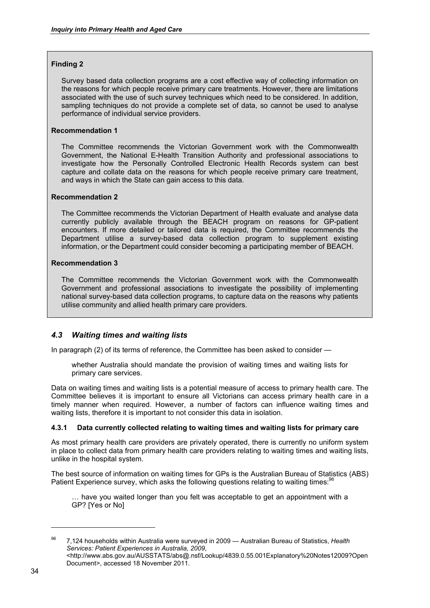# **Finding 2**

Survey based data collection programs are a cost effective way of collecting information on the reasons for which people receive primary care treatments. However, there are limitations associated with the use of such survey techniques which need to be considered. In addition, sampling techniques do not provide a complete set of data, so cannot be used to analyse performance of individual service providers.

## **Recommendation 1**

The Committee recommends the Victorian Government work with the Commonwealth Government, the National E-Health Transition Authority and professional associations to investigate how the Personally Controlled Electronic Health Records system can best capture and collate data on the reasons for which people receive primary care treatment, and ways in which the State can gain access to this data.

## **Recommendation 2**

The Committee recommends the Victorian Department of Health evaluate and analyse data currently publicly available through the BEACH program on reasons for GP-patient encounters. If more detailed or tailored data is required, the Committee recommends the Department utilise a survey-based data collection program to supplement existing information, or the Department could consider becoming a participating member of BEACH.

## **Recommendation 3**

The Committee recommends the Victorian Government work with the Commonwealth Government and professional associations to investigate the possibility of implementing national survey-based data collection programs, to capture data on the reasons why patients utilise community and allied health primary care providers.

# *4.3 Waiting times and waiting lists*

In paragraph (2) of its terms of reference, the Committee has been asked to consider —

whether Australia should mandate the provision of waiting times and waiting lists for primary care services.

Data on waiting times and waiting lists is a potential measure of access to primary health care. The Committee believes it is important to ensure all Victorians can access primary health care in a timely manner when required. However, a number of factors can influence waiting times and waiting lists, therefore it is important to not consider this data in isolation.

# **4.3.1 Data currently collected relating to waiting times and waiting lists for primary care**

As most primary health care providers are privately operated, there is currently no uniform system in place to collect data from primary health care providers relating to waiting times and waiting lists, unlike in the hospital system.

The best source of information on waiting times for GPs is the Australian Bureau of Statistics (ABS) Patient Experience survey, which asks the following questions relating to waiting times:<sup>96</sup>

… have you waited longer than you felt was acceptable to get an appointment with a GP? [Yes or No]

<sup>96 7,124</sup> households within Australia were surveyed in 2009 — Australian Bureau of Statistics, *Health Services: Patient Experiences in Australia, 2009*,

<sup>&</sup>lt;http://www.abs.gov.au/AUSSTATS/abs@.nsf/Lookup/4839.0.55.001Explanatory%20Notes12009?Open Document>, accessed 18 November 2011.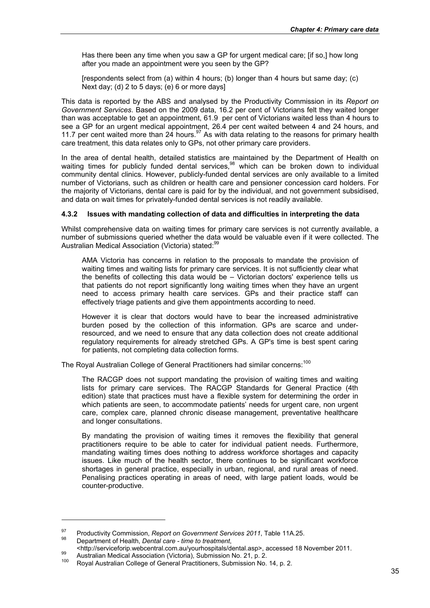Has there been any time when you saw a GP for urgent medical care; [if so,] how long after you made an appointment were you seen by the GP?

[respondents select from (a) within 4 hours; (b) longer than 4 hours but same day; (c) Next day; (d) 2 to 5 days; (e) 6 or more days]

This data is reported by the ABS and analysed by the Productivity Commission in its *Report on Government Services*. Based on the 2009 data, 16.2 per cent of Victorians felt they waited longer than was acceptable to get an appointment, 61.9 per cent of Victorians waited less than 4 hours to see a GP for an urgent medical appointment, 26.4 per cent waited between 4 and 24 hours, and 11.7 per cent waited more than 24 hours.<sup>97</sup> As with data relating to the reasons for primary health care treatment, this data relates only to GPs, not other primary care providers.

In the area of dental health, detailed statistics are maintained by the Department of Health on waiting times for publicly funded dental services,<sup>98</sup> which can be broken down to individual community dental clinics. However, publicly-funded dental services are only available to a limited number of Victorians, such as children or health care and pensioner concession card holders. For the majority of Victorians, dental care is paid for by the individual, and not government subsidised, and data on wait times for privately-funded dental services is not readily available.

# **4.3.2 Issues with mandating collection of data and difficulties in interpreting the data**

Whilst comprehensive data on waiting times for primary care services is not currently available, a number of submissions queried whether the data would be valuable even if it were collected. The Australian Medical Association (Victoria) stated:<sup>99</sup>

AMA Victoria has concerns in relation to the proposals to mandate the provision of waiting times and waiting lists for primary care services. It is not sufficiently clear what the benefits of collecting this data would be – Victorian doctors' experience tells us that patients do not report significantly long waiting times when they have an urgent need to access primary health care services. GPs and their practice staff can effectively triage patients and give them appointments according to need.

However it is clear that doctors would have to bear the increased administrative burden posed by the collection of this information. GPs are scarce and underresourced, and we need to ensure that any data collection does not create additional regulatory requirements for already stretched GPs. A GP's time is best spent caring for patients, not completing data collection forms.

The Royal Australian College of General Practitioners had similar concerns:<sup>100</sup>

The RACGP does not support mandating the provision of waiting times and waiting lists for primary care services. The RACGP Standards for General Practice (4th edition) state that practices must have a flexible system for determining the order in which patients are seen, to accommodate patients' needs for urgent care, non urgent care, complex care, planned chronic disease management, preventative healthcare and longer consultations.

By mandating the provision of waiting times it removes the flexibility that general practitioners require to be able to cater for individual patient needs. Furthermore, mandating waiting times does nothing to address workforce shortages and capacity issues. Like much of the health sector, there continues to be significant workforce shortages in general practice, especially in urban, regional, and rural areas of need. Penalising practices operating in areas of need, with large patient loads, would be counter-productive.

<sup>&</sup>lt;sup>97</sup> Productivity Commission, *Report on Government Services 2011*, Table 11A.25.<br><sup>98</sup> Department of Health, *Dental care - time to treatment*,

<sup>&</sup>lt;http://serviceforip.webcentral.com.au/yourhospitals/dental.asp>, accessed 18 November 2011.<br>Australian Medical Association (Victoria), Submission No. 21, p. 2.<br>Royal Australian College of General Practitioners, Submission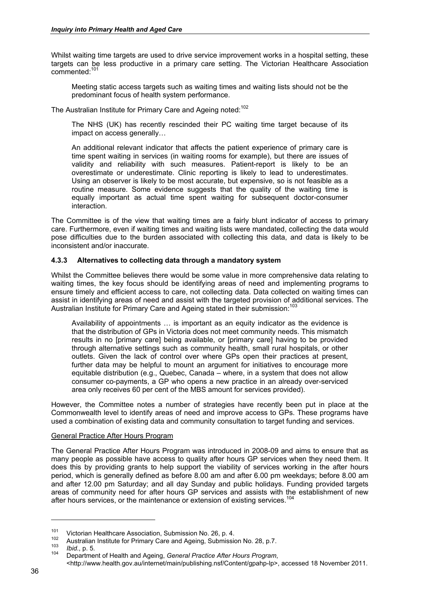Whilst waiting time targets are used to drive service improvement works in a hospital setting, these targets can be less productive in a primary care setting. The Victorian Healthcare Association commented:101

Meeting static access targets such as waiting times and waiting lists should not be the predominant focus of health system performance.

The Australian Institute for Primary Care and Ageing noted:<sup>102</sup>

The NHS (UK) has recently rescinded their PC waiting time target because of its impact on access generally…

An additional relevant indicator that affects the patient experience of primary care is time spent waiting in services (in waiting rooms for example), but there are issues of validity and reliability with such measures. Patient-report is likely to be an overestimate or underestimate. Clinic reporting is likely to lead to underestimates. Using an observer is likely to be most accurate, but expensive, so is not feasible as a routine measure. Some evidence suggests that the quality of the waiting time is equally important as actual time spent waiting for subsequent doctor-consumer interaction.

The Committee is of the view that waiting times are a fairly blunt indicator of access to primary care. Furthermore, even if waiting times and waiting lists were mandated, collecting the data would pose difficulties due to the burden associated with collecting this data, and data is likely to be inconsistent and/or inaccurate.

# **4.3.3 Alternatives to collecting data through a mandatory system**

Whilst the Committee believes there would be some value in more comprehensive data relating to waiting times, the key focus should be identifying areas of need and implementing programs to ensure timely and efficient access to care, not collecting data. Data collected on waiting times can assist in identifying areas of need and assist with the targeted provision of additional services. The Australian Institute for Primary Care and Ageing stated in their submission:<sup>103</sup>

Availability of appointments … is important as an equity indicator as the evidence is that the distribution of GPs in Victoria does not meet community needs. This mismatch results in no [primary care] being available, or [primary care] having to be provided through alternative settings such as community health, small rural hospitals, or other outlets. Given the lack of control over where GPs open their practices at present, further data may be helpful to mount an argument for initiatives to encourage more equitable distribution (e.g., Quebec, Canada – where, in a system that does not allow consumer co-payments, a GP who opens a new practice in an already over-serviced area only receives 60 per cent of the MBS amount for services provided).

However, the Committee notes a number of strategies have recently been put in place at the Commonwealth level to identify areas of need and improve access to GPs. These programs have used a combination of existing data and community consultation to target funding and services.

# General Practice After Hours Program

The General Practice After Hours Program was introduced in 2008-09 and aims to ensure that as many people as possible have access to quality after hours GP services when they need them. It does this by providing grants to help support the viability of services working in the after hours period, which is generally defined as before 8.00 am and after 6.00 pm weekdays; before 8.00 am and after 12.00 pm Saturday; and all day Sunday and public holidays. Funding provided targets areas of community need for after hours GP services and assists with the establishment of new after hours services, or the maintenance or extension of existing services.<sup>1</sup>

<sup>&</sup>lt;sup>101</sup> Victorian Healthcare Association, Submission No. 26, p. 4.<br>
<sup>102</sup> Australian Institute for Primary Care and Ageing, Submission No. 28, p.7.<br> *104* Department of Health and Ageing, General Practice After Hours Progra

<sup>&</sup>lt;http://www.health.gov.au/internet/main/publishing.nsf/Content/gpahp-lp>, accessed 18 November 2011.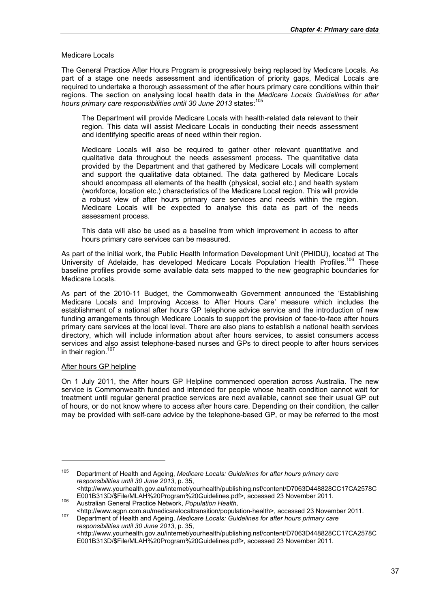# Medicare Locals

The General Practice After Hours Program is progressively being replaced by Medicare Locals. As part of a stage one needs assessment and identification of priority gaps, Medical Locals are required to undertake a thorough assessment of the after hours primary care conditions within their regions. The section on analysing local health data in the *Medicare Locals Guidelines for after hours primary care responsibilities until 30 June 2013* states:105

The Department will provide Medicare Locals with health-related data relevant to their region. This data will assist Medicare Locals in conducting their needs assessment and identifying specific areas of need within their region.

Medicare Locals will also be required to gather other relevant quantitative and qualitative data throughout the needs assessment process. The quantitative data provided by the Department and that gathered by Medicare Locals will complement and support the qualitative data obtained. The data gathered by Medicare Locals should encompass all elements of the health (physical, social etc.) and health system (workforce, location etc.) characteristics of the Medicare Local region. This will provide a robust view of after hours primary care services and needs within the region. Medicare Locals will be expected to analyse this data as part of the needs assessment process.

This data will also be used as a baseline from which improvement in access to after hours primary care services can be measured.

As part of the initial work, the Public Health Information Development Unit (PHIDU), located at The University of Adelaide, has developed Medicare Locals Population Health Profiles.<sup>106</sup> These baseline profiles provide some available data sets mapped to the new geographic boundaries for Medicare Locals.

As part of the 2010-11 Budget, the Commonwealth Government announced the 'Establishing Medicare Locals and Improving Access to After Hours Care' measure which includes the establishment of a national after hours GP telephone advice service and the introduction of new funding arrangements through Medicare Locals to support the provision of face-to-face after hours primary care services at the local level. There are also plans to establish a national health services directory, which will include information about after hours services, to assist consumers access services and also assist telephone-based nurses and GPs to direct people to after hours services in their region.<sup>107</sup>

#### After hours GP helpline

-

On 1 July 2011, the After hours GP Helpline commenced operation across Australia. The new service is Commonwealth funded and intended for people whose health condition cannot wait for treatment until regular general practice services are next available, cannot see their usual GP out of hours, or do not know where to access after hours care. Depending on their condition, the caller may be provided with self-care advice by the telephone-based GP, or may be referred to the most

<sup>105</sup> Department of Health and Ageing, *Medicare Locals: Guidelines for after hours primary care responsibilities until 30 June 2013*, p. 35, <http://www.yourhealth.gov.au/internet/yourhealth/publishing.nsf/content/D7063D448828CC17CA2578C

E001B313D/\$File/MLAH%20Program%20Guidelines.pdf>, accessed 23 November 2011.<br>1<sup>06</sup> Australian General Practice Network, *Population Health*,<br>106 Australian General Practice Network, *Population Health*, accessed 23 Novembe

medical transition-health and Ageing, *Medicare Locals: Guidelines for after hours primary care* 10<sup>7</sup> Department of Health and Ageing, *Medicare Locals: Guidelines for after hours primary care responsibilities until 30 June 2013*, p. 35, <http://www.yourhealth.gov.au/internet/yourhealth/publishing.nsf/content/D7063D448828CC17CA2578C E001B313D/\$File/MLAH%20Program%20Guidelines.pdf>, accessed 23 November 2011.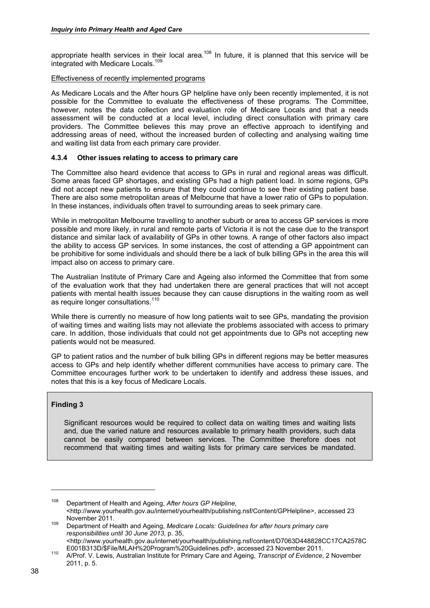appropriate health services in their local area.<sup>108</sup> In future, it is planned that this service will be integrated with Medicare Locals.<sup>109</sup>

## Effectiveness of recently implemented programs

As Medicare Locals and the After hours GP helpline have only been recently implemented, it is not possible for the Committee to evaluate the effectiveness of these programs. The Committee, however, notes the data collection and evaluation role of Medicare Locals and that a needs assessment will be conducted at a local level, including direct consultation with primary care providers. The Committee believes this may prove an effective approach to identifying and addressing areas of need, without the increased burden of collecting and analysing waiting time and waiting list data from each primary care provider.

# **4.3.4 Other issues relating to access to primary care**

The Committee also heard evidence that access to GPs in rural and regional areas was difficult. Some areas faced GP shortages, and existing GPs had a high patient load. In some regions, GPs did not accept new patients to ensure that they could continue to see their existing patient base. There are also some metropolitan areas of Melbourne that have a lower ratio of GPs to population. In these instances, individuals often travel to surrounding areas to seek primary care.

While in metropolitan Melbourne travelling to another suburb or area to access GP services is more possible and more likely, in rural and remote parts of Victoria it is not the case due to the transport distance and similar lack of availability of GPs in other towns. A range of other factors also impact the ability to access GP services. In some instances, the cost of attending a GP appointment can be prohibitive for some individuals and should there be a lack of bulk billing GPs in the area this will impact also on access to primary care.

The Australian Institute of Primary Care and Ageing also informed the Committee that from some of the evaluation work that they had undertaken there are general practices that will not accept patients with mental health issues because they can cause disruptions in the waiting room as well as require longer consultations.<sup>110</sup>

While there is currently no measure of how long patients wait to see GPs, mandating the provision of waiting times and waiting lists may not alleviate the problems associated with access to primary care. In addition, those individuals that could not get appointments due to GPs not accepting new patients would not be measured.

GP to patient ratios and the number of bulk billing GPs in different regions may be better measures access to GPs and help identify whether different communities have access to primary care. The Committee encourages further work to be undertaken to identify and address these issues, and notes that this is a key focus of Medicare Locals.

# **Finding 3**

1

Significant resources would be required to collect data on waiting times and waiting lists and, due the varied nature and resources available to primary health providers, such data cannot be easily compared between services. The Committee therefore does not recommend that waiting times and waiting lists for primary care services be mandated.

<sup>108</sup> Department of Health and Ageing, *After hours GP Helpline*, <http://www.yourhealth.gov.au/internet/yourhealth/publishing.nsf/Content/GPHelpline>, accessed 23 November 2011. 109 Department of Health and Ageing, *Medicare Locals: Guidelines for after hours primary care* 

*responsibilities until 30 June 2013*, p. 35,

<sup>&</sup>lt;http://www.yourhealth.gov.au/internet/yourhealth/publishing.nsf/content/D7063D448828CC17CA2578C E001B313D/\$File/MLAH%20Program%20Guidelines.pdf>, accessed 23 November 2011. 110 A/Prof. V. Lewis, Australian Institute for Primary Care and Ageing, *Transcript of Evidence*, 2 November

<sup>2011,</sup> p. 5.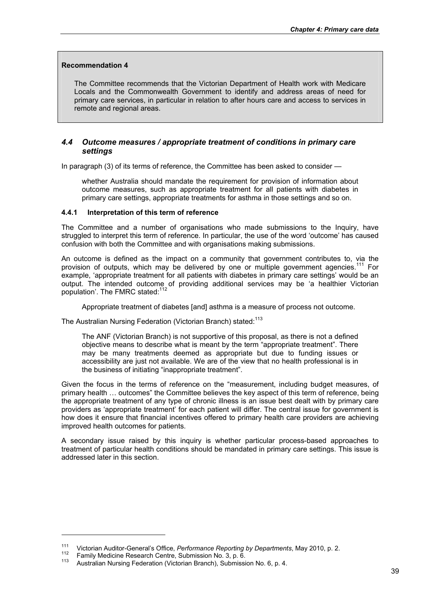#### **Recommendation 4**

The Committee recommends that the Victorian Department of Health work with Medicare Locals and the Commonwealth Government to identify and address areas of need for primary care services, in particular in relation to after hours care and access to services in remote and regional areas.

# *4.4 Outcome measures / appropriate treatment of conditions in primary care settings*

In paragraph (3) of its terms of reference, the Committee has been asked to consider —

whether Australia should mandate the requirement for provision of information about outcome measures, such as appropriate treatment for all patients with diabetes in primary care settings, appropriate treatments for asthma in those settings and so on.

## **4.4.1 Interpretation of this term of reference**

The Committee and a number of organisations who made submissions to the Inquiry, have struggled to interpret this term of reference. In particular, the use of the word 'outcome' has caused confusion with both the Committee and with organisations making submissions.

An outcome is defined as the impact on a community that government contributes to, via the provision of outputs, which may be delivered by one or multiple government agencies.<sup>111</sup> For example, 'appropriate treatment for all patients with diabetes in primary care settings' would be an output. The intended outcome of providing additional services may be 'a healthier Victorian population'. The FMRC stated:<sup>112</sup>

Appropriate treatment of diabetes [and] asthma is a measure of process not outcome.

The Australian Nursing Federation (Victorian Branch) stated:<sup>113</sup>

The ANF (Victorian Branch) is not supportive of this proposal, as there is not a defined objective means to describe what is meant by the term "appropriate treatment". There may be many treatments deemed as appropriate but due to funding issues or accessibility are just not available. We are of the view that no health professional is in the business of initiating "inappropriate treatment".

Given the focus in the terms of reference on the "measurement, including budget measures, of primary health … outcomes" the Committee believes the key aspect of this term of reference, being the appropriate treatment of any type of chronic illness is an issue best dealt with by primary care providers as 'appropriate treatment' for each patient will differ. The central issue for government is how does it ensure that financial incentives offered to primary health care providers are achieving improved health outcomes for patients.

A secondary issue raised by this inquiry is whether particular process-based approaches to treatment of particular health conditions should be mandated in primary care settings. This issue is addressed later in this section.

<sup>&</sup>lt;sup>111</sup> Victorian Auditor-General's Office, *Performance Reporting by Departments*, May 2010, p. 2.<br><sup>112</sup> Family Medicine Research Centre, Submission No. 3, p. 6.<br><sup>113</sup> Australian Nursing Federation (Victorian Branch), Submi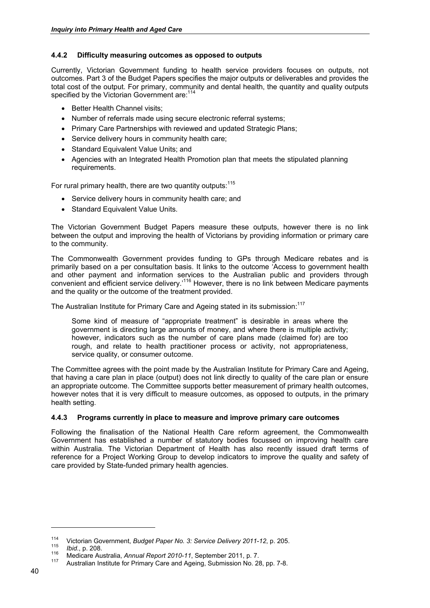# **4.4.2 Difficulty measuring outcomes as opposed to outputs**

Currently, Victorian Government funding to health service providers focuses on outputs, not outcomes. Part 3 of the Budget Papers specifies the major outputs or deliverables and provides the total cost of the output. For primary, community and dental health, the quantity and quality outputs specified by the Victorian Government are:<sup>114</sup>

- Better Health Channel visits;
- Number of referrals made using secure electronic referral systems:
- Primary Care Partnerships with reviewed and updated Strategic Plans;
- Service delivery hours in community health care;
- Standard Equivalent Value Units; and
- Agencies with an Integrated Health Promotion plan that meets the stipulated planning requirements.

For rural primary health, there are two quantity outputs:<sup>115</sup>

- Service delivery hours in community health care; and
- Standard Equivalent Value Units.

The Victorian Government Budget Papers measure these outputs, however there is no link between the output and improving the health of Victorians by providing information or primary care to the community.

The Commonwealth Government provides funding to GPs through Medicare rebates and is primarily based on a per consultation basis. It links to the outcome 'Access to government health and other payment and information services to the Australian public and providers through convenient and efficient service delivery.'116 However, there is no link between Medicare payments and the quality or the outcome of the treatment provided.

The Australian Institute for Primary Care and Ageing stated in its submission:<sup>117</sup>

Some kind of measure of "appropriate treatment" is desirable in areas where the government is directing large amounts of money, and where there is multiple activity; however, indicators such as the number of care plans made (claimed for) are too rough, and relate to health practitioner process or activity, not appropriateness, service quality, or consumer outcome.

The Committee agrees with the point made by the Australian Institute for Primary Care and Ageing, that having a care plan in place (output) does not link directly to quality of the care plan or ensure an appropriate outcome. The Committee supports better measurement of primary health outcomes, however notes that it is very difficult to measure outcomes, as opposed to outputs, in the primary health setting.

# **4.4.3 Programs currently in place to measure and improve primary care outcomes**

Following the finalisation of the National Health Care reform agreement, the Commonwealth Government has established a number of statutory bodies focussed on improving health care within Australia. The Victorian Department of Health has also recently issued draft terms of reference for a Project Working Group to develop indicators to improve the quality and safety of care provided by State-funded primary health agencies.

<sup>&</sup>lt;sup>114</sup> Victorian Government, *Budget Paper No. 3: Service Delivery 2011-12*, p. 205.<br> *Ibid.*, p. 208.<br>
Medicare Australia, *Annual Report 2010-11*, September 2011, p. 7.<br>
Australian Institute for Primary Care and Ageing,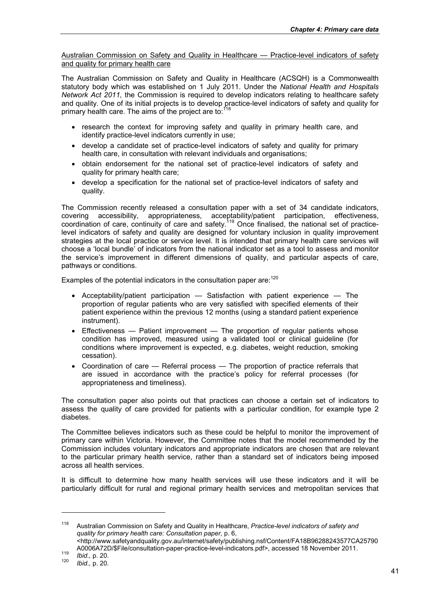Australian Commission on Safety and Quality in Healthcare — Practice-level indicators of safety and quality for primary health care

The Australian Commission on Safety and Quality in Healthcare (ACSQH) is a Commonwealth statutory body which was established on 1 July 2011. Under the *National Health and Hospitals Network Act 2011,* the Commission is required to develop indicators relating to healthcare safety and quality. One of its initial projects is to develop practice-level indicators of safety and quality for primary health care. The aims of the project are to:

- research the context for improving safety and quality in primary health care, and identify practice-level indicators currently in use;
- develop a candidate set of practice-level indicators of safety and quality for primary health care, in consultation with relevant individuals and organisations;
- obtain endorsement for the national set of practice-level indicators of safety and quality for primary health care;
- develop a specification for the national set of practice-level indicators of safety and quality.

The Commission recently released a consultation paper with a set of 34 candidate indicators, covering accessibility, appropriateness, acceptability/patient participation, effectiveness, coordination of care, continuity of care and safety.<sup>119</sup> Once finalised, the national set of practicelevel indicators of safety and quality are designed for voluntary inclusion in quality improvement strategies at the local practice or service level. It is intended that primary health care services will choose a 'local bundle' of indicators from the national indicator set as a tool to assess and monitor the service's improvement in different dimensions of quality, and particular aspects of care, pathways or conditions.

Examples of the potential indicators in the consultation paper are: $120$ 

- Acceptability/patient participation Satisfaction with patient experience The proportion of regular patients who are very satisfied with specified elements of their patient experience within the previous 12 months (using a standard patient experience instrument).
- Effectiveness Patient improvement The proportion of regular patients whose condition has improved, measured using a validated tool or clinical guideline (for conditions where improvement is expected, e.g. diabetes, weight reduction, smoking cessation).
- Coordination of care Referral process The proportion of practice referrals that are issued in accordance with the practice's policy for referral processes (for appropriateness and timeliness).

The consultation paper also points out that practices can choose a certain set of indicators to assess the quality of care provided for patients with a particular condition, for example type 2 diabetes.

The Committee believes indicators such as these could be helpful to monitor the improvement of primary care within Victoria. However, the Committee notes that the model recommended by the Commission includes voluntary indicators and appropriate indicators are chosen that are relevant to the particular primary health service, rather than a standard set of indicators being imposed across all health services.

It is difficult to determine how many health services will use these indicators and it will be particularly difficult for rural and regional primary health services and metropolitan services that

<sup>118</sup> Australian Commission on Safety and Quality in Healthcare, *Practice-level indicators of safety and quality for primary health care: Consultation paper,* p. 6, <http://www.safetyandquality.gov.au/internet/safety/publishing.nsf/Content/FA18B96288243577CA25790

A0006A72D/\$File/consultation-paper-practice-level-indicators.pdf>, accessed 18 November 2011.<br> *119 Ibid.*, p. 20.<br> *Ibid.*, p. 20.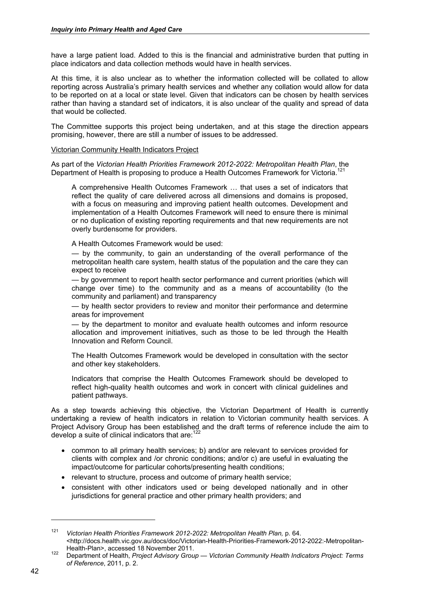have a large patient load. Added to this is the financial and administrative burden that putting in place indicators and data collection methods would have in health services.

At this time, it is also unclear as to whether the information collected will be collated to allow reporting across Australia's primary health services and whether any collation would allow for data to be reported on at a local or state level. Given that indicators can be chosen by health services rather than having a standard set of indicators, it is also unclear of the quality and spread of data that would be collected.

The Committee supports this project being undertaken, and at this stage the direction appears promising, however, there are still a number of issues to be addressed.

#### Victorian Community Health Indicators Project

As part of the *Victorian Health Priorities Framework 2012-2022: Metropolitan Health Plan*, the Department of Health is proposing to produce a Health Outcomes Framework for Victoria.<sup>121</sup>

A comprehensive Health Outcomes Framework … that uses a set of indicators that reflect the quality of care delivered across all dimensions and domains is proposed, with a focus on measuring and improving patient health outcomes. Development and implementation of a Health Outcomes Framework will need to ensure there is minimal or no duplication of existing reporting requirements and that new requirements are not overly burdensome for providers.

A Health Outcomes Framework would be used:

— by the community, to gain an understanding of the overall performance of the metropolitan health care system, health status of the population and the care they can expect to receive

— by government to report health sector performance and current priorities (which will change over time) to the community and as a means of accountability (to the community and parliament) and transparency

— by health sector providers to review and monitor their performance and determine areas for improvement

— by the department to monitor and evaluate health outcomes and inform resource allocation and improvement initiatives, such as those to be led through the Health Innovation and Reform Council.

The Health Outcomes Framework would be developed in consultation with the sector and other key stakeholders.

Indicators that comprise the Health Outcomes Framework should be developed to reflect high-quality health outcomes and work in concert with clinical guidelines and patient pathways.

As a step towards achieving this objective, the Victorian Department of Health is currently undertaking a review of health indicators in relation to Victorian community health services. A Project Advisory Group has been established and the draft terms of reference include the aim to develop a suite of clinical indicators that are: $122$ 

- common to all primary health services; b) and/or are relevant to services provided for clients with complex and /or chronic conditions; and/or c) are useful in evaluating the impact/outcome for particular cohorts/presenting health conditions;
- relevant to structure, process and outcome of primary health service;
- consistent with other indicators used or being developed nationally and in other jurisdictions for general practice and other primary health providers; and

<sup>121</sup> *Victorian Health Priorities Framework 2012-2022: Metropolitan Health Plan,* p. 64. <http://docs.health.vic.gov.au/docs/doc/Victorian-Health-Priorities-Framework-2012-2022:-Metropolitan-Health-Plan>, accessed 18 November 2011.

Health-Plan>, accessed 18 November 2011. 122 Department of Health, *Project Advisory Group — Victorian Community Health Indicators Project: Terms of Reference*, 2011, p. 2.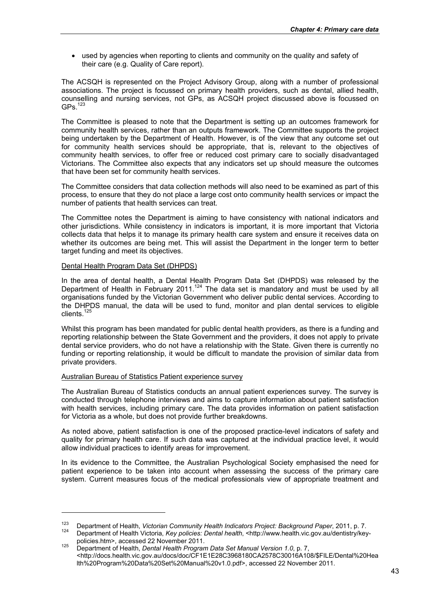• used by agencies when reporting to clients and community on the quality and safety of their care (e.g. Quality of Care report).

The ACSQH is represented on the Project Advisory Group, along with a number of professional associations. The project is focussed on primary health providers, such as dental, allied health, counselling and nursing services, not GPs, as ACSQH project discussed above is focussed on  $GPS<sub>123</sub>$ 

The Committee is pleased to note that the Department is setting up an outcomes framework for community health services, rather than an outputs framework. The Committee supports the project being undertaken by the Department of Health. However, is of the view that any outcome set out for community health services should be appropriate, that is, relevant to the objectives of community health services, to offer free or reduced cost primary care to socially disadvantaged Victorians. The Committee also expects that any indicators set up should measure the outcomes that have been set for community health services.

The Committee considers that data collection methods will also need to be examined as part of this process, to ensure that they do not place a large cost onto community health services or impact the number of patients that health services can treat.

The Committee notes the Department is aiming to have consistency with national indicators and other jurisdictions. While consistency in indicators is important, it is more important that Victoria collects data that helps it to manage its primary health care system and ensure it receives data on whether its outcomes are being met. This will assist the Department in the longer term to better target funding and meet its objectives.

# Dental Health Program Data Set (DHPDS)

1

In the area of dental health, a Dental Health Program Data Set (DHPDS) was released by the Department of Health in February 2011.<sup>124</sup> The data set is mandatory and must be used by all organisations funded by the Victorian Government who deliver public dental services. According to the DHPDS manual, the data will be used to fund, monitor and plan dental services to eligible clients.125

Whilst this program has been mandated for public dental health providers, as there is a funding and reporting relationship between the State Government and the providers, it does not apply to private dental service providers, who do not have a relationship with the State. Given there is currently no funding or reporting relationship, it would be difficult to mandate the provision of similar data from private providers.

#### Australian Bureau of Statistics Patient experience survey

The Australian Bureau of Statistics conducts an annual patient experiences survey. The survey is conducted through telephone interviews and aims to capture information about patient satisfaction with health services, including primary care. The data provides information on patient satisfaction for Victoria as a whole, but does not provide further breakdowns.

As noted above, patient satisfaction is one of the proposed practice-level indicators of safety and quality for primary health care. If such data was captured at the individual practice level, it would allow individual practices to identify areas for improvement.

In its evidence to the Committee, the Australian Psychological Society emphasised the need for patient experience to be taken into account when assessing the success of the primary care system. Current measures focus of the medical professionals view of appropriate treatment and

<sup>&</sup>lt;sup>123</sup> Department of Health, *Victorian Community Health Indicators Project: Background Paper*, 2011, p. 7.<br><sup>124</sup> Department of Health Victoria, Key policies: Dental health, <http://www.health.vic.gov.au/dentistry/key-

policies.htm>, accessed 22 November 2011.<br><sup>125</sup> Department of Health, *Dental Health Program Data Set Manual Version 1.0*, p. 7,

<sup>&</sup>lt;http://docs.health.vic.gov.au/docs/doc/CF1E1E28C3968180CA2578C30016A108/\$FILE/Dental%20Hea lth%20Program%20Data%20Set%20Manual%20v1.0.pdf>, accessed 22 November 2011.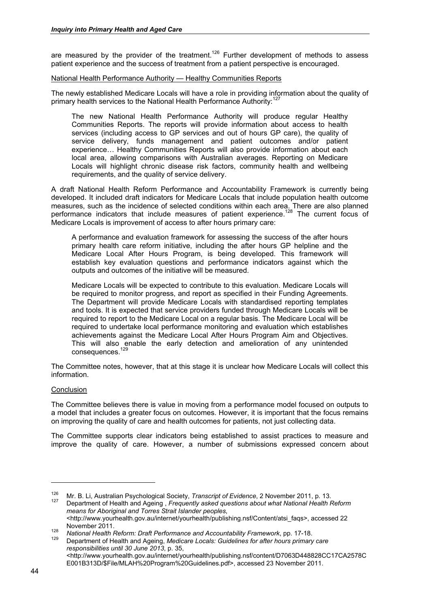are measured by the provider of the treatment.<sup>126</sup> Further development of methods to assess patient experience and the success of treatment from a patient perspective is encouraged.

## National Health Performance Authority — Healthy Communities Reports

The newly established Medicare Locals will have a role in providing information about the quality of primary health services to the National Health Performance Authority:<sup>127</sup>

The new National Health Performance Authority will produce regular Healthy Communities Reports. The reports will provide information about access to health services (including access to GP services and out of hours GP care), the quality of service delivery, funds management and patient outcomes and/or patient experience… Healthy Communities Reports will also provide information about each local area, allowing comparisons with Australian averages. Reporting on Medicare Locals will highlight chronic disease risk factors, community health and wellbeing requirements, and the quality of service delivery.

A draft National Health Reform Performance and Accountability Framework is currently being developed. It included draft indicators for Medicare Locals that include population health outcome measures, such as the incidence of selected conditions within each area. There are also planned performance indicators that include measures of patient experience.<sup>128</sup> The current focus of Medicare Locals is improvement of access to after hours primary care:

A performance and evaluation framework for assessing the success of the after hours primary health care reform initiative, including the after hours GP helpline and the Medicare Local After Hours Program, is being developed. This framework will establish key evaluation questions and performance indicators against which the outputs and outcomes of the initiative will be measured.

Medicare Locals will be expected to contribute to this evaluation. Medicare Locals will be required to monitor progress, and report as specified in their Funding Agreements. The Department will provide Medicare Locals with standardised reporting templates and tools. It is expected that service providers funded through Medicare Locals will be required to report to the Medicare Local on a regular basis. The Medicare Local will be required to undertake local performance monitoring and evaluation which establishes achievements against the Medicare Local After Hours Program Aim and Objectives. This will also enable the early detection and amelioration of any unintended consequences.<sup>129</sup>

The Committee notes, however, that at this stage it is unclear how Medicare Locals will collect this information.

# Conclusion

The Committee believes there is value in moving from a performance model focused on outputs to a model that includes a greater focus on outcomes. However, it is important that the focus remains on improving the quality of care and health outcomes for patients, not just collecting data.

The Committee supports clear indicators being established to assist practices to measure and improve the quality of care. However, a number of submissions expressed concern about

<sup>&</sup>lt;sup>126</sup> Mr. B. Li, Australian Psychological Society, *Transcript of Evidence*, 2 November 2011, p. 13.<br><sup>127</sup> Department of Health and Ageing , *Frequently asked questions about what National Health Reform means for Aboriginal and Torres Strait Islander peoples*,

<sup>&</sup>lt;http://www.yourhealth.gov.au/internet/yourhealth/publishing.nsf/Content/atsi\_faqs>, accessed 22

november 2011.<br><sup>128</sup> *National Health Reform: Draft Performance and Accountability Framework*, pp. 17-18.<br><sup>129</sup> Department of Health and Ageing, *Medicare Locals: Guidelines for after hours primary care responsibilities until 30 June 2013*, p. 35, <http://www.yourhealth.gov.au/internet/yourhealth/publishing.nsf/content/D7063D448828CC17CA2578C

E001B313D/\$File/MLAH%20Program%20Guidelines.pdf>, accessed 23 November 2011.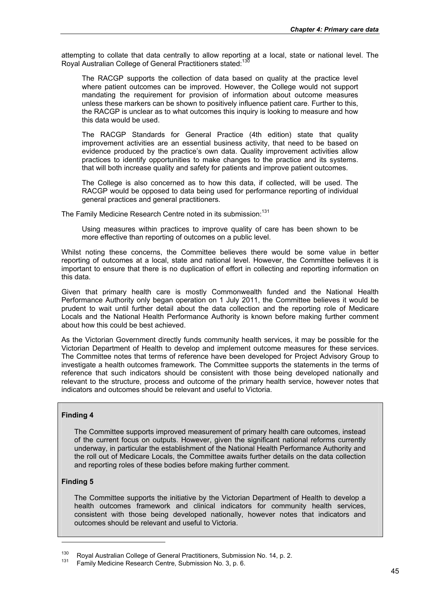attempting to collate that data centrally to allow reporting at a local, state or national level. The Royal Australian College of General Practitioners stated:<sup>130</sup>

The RACGP supports the collection of data based on quality at the practice level where patient outcomes can be improved. However, the College would not support mandating the requirement for provision of information about outcome measures unless these markers can be shown to positively influence patient care. Further to this, the RACGP is unclear as to what outcomes this inquiry is looking to measure and how this data would be used.

The RACGP Standards for General Practice (4th edition) state that quality improvement activities are an essential business activity, that need to be based on evidence produced by the practice's own data. Quality improvement activities allow practices to identify opportunities to make changes to the practice and its systems. that will both increase quality and safety for patients and improve patient outcomes.

The College is also concerned as to how this data, if collected, will be used. The RACGP would be opposed to data being used for performance reporting of individual general practices and general practitioners.

The Family Medicine Research Centre noted in its submission:<sup>131</sup>

Using measures within practices to improve quality of care has been shown to be more effective than reporting of outcomes on a public level.

Whilst noting these concerns, the Committee believes there would be some value in better reporting of outcomes at a local, state and national level. However, the Committee believes it is important to ensure that there is no duplication of effort in collecting and reporting information on this data.

Given that primary health care is mostly Commonwealth funded and the National Health Performance Authority only began operation on 1 July 2011, the Committee believes it would be prudent to wait until further detail about the data collection and the reporting role of Medicare Locals and the National Health Performance Authority is known before making further comment about how this could be best achieved.

As the Victorian Government directly funds community health services, it may be possible for the Victorian Department of Health to develop and implement outcome measures for these services. The Committee notes that terms of reference have been developed for Project Advisory Group to investigate a health outcomes framework. The Committee supports the statements in the terms of reference that such indicators should be consistent with those being developed nationally and relevant to the structure, process and outcome of the primary health service, however notes that indicators and outcomes should be relevant and useful to Victoria.

# **Finding 4**

The Committee supports improved measurement of primary health care outcomes, instead of the current focus on outputs. However, given the significant national reforms currently underway, in particular the establishment of the National Health Performance Authority and the roll out of Medicare Locals, the Committee awaits further details on the data collection and reporting roles of these bodies before making further comment.

# **Finding 5**

1

The Committee supports the initiative by the Victorian Department of Health to develop a health outcomes framework and clinical indicators for community health services, consistent with those being developed nationally, however notes that indicators and outcomes should be relevant and useful to Victoria.

<sup>&</sup>lt;sup>130</sup> Royal Australian College of General Practitioners, Submission No. 14, p. 2.<br><sup>131</sup> Family Medicine Research Centre, Submission No. 3, p. 6.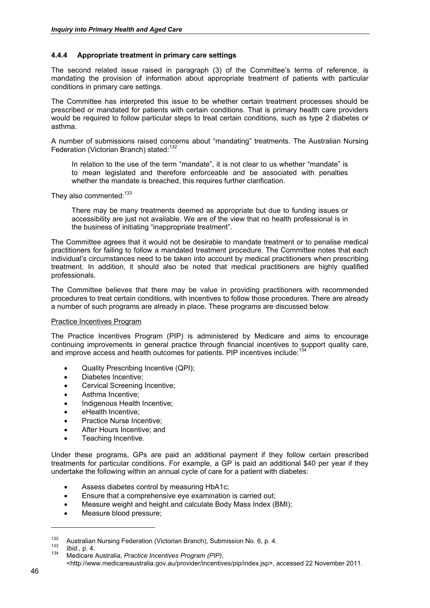## **4.4.4 Appropriate treatment in primary care settings**

The second related issue raised in paragraph (3) of the Committee's terms of reference, is mandating the provision of information about appropriate treatment of patients with particular conditions in primary care settings.

The Committee has interpreted this issue to be whether certain treatment processes should be prescribed or mandated for patients with certain conditions. That is primary health care providers would be required to follow particular steps to treat certain conditions, such as type 2 diabetes or asthma.

A number of submissions raised concerns about "mandating" treatments. The Australian Nursing Federation (Victorian Branch) stated:<sup>132</sup>

In relation to the use of the term "mandate", it is not clear to us whether "mandate" is to mean legislated and therefore enforceable and be associated with penalties whether the mandate is breached, this requires further clarification.

They also commented:<sup>133</sup>

There may be many treatments deemed as appropriate but due to funding issues or accessibility are just not available. We are of the view that no health professional is in the business of initiating "inappropriate treatment".

The Committee agrees that it would not be desirable to mandate treatment or to penalise medical practitioners for failing to follow a mandated treatment procedure. The Committee notes that each individual's circumstances need to be taken into account by medical practitioners when prescribing treatment. In addition, it should also be noted that medical practitioners are highly qualified professionals.

The Committee believes that there may be value in providing practitioners with recommended procedures to treat certain conditions, with incentives to follow those procedures. There are already a number of such programs are already in place. These programs are discussed below.

#### Practice Incentives Program

The Practice Incentives Program (PIP) is administered by Medicare and aims to encourage continuing improvements in general practice through financial incentives to support quality care, and improve access and health outcomes for patients. PIP incentives include:<sup>134</sup>

- Quality Prescribing Incentive (QPI);
- Diabetes Incentive;
- Cervical Screening Incentive;
- Asthma Incentive;
- Indigenous Health Incentive;
- eHealth Incentive;
- Practice Nurse Incentive;
- After Hours Incentive; and
- Teaching Incentive.

Under these programs, GPs are paid an additional payment if they follow certain prescribed treatments for particular conditions. For example, a GP is paid an additional \$40 per year if they undertake the following within an annual cycle of care for a patient with diabetes:

- Assess diabetes control by measuring HbA1c;
- Ensure that a comprehensive eye examination is carried out;
- Measure weight and height and calculate Body Mass Index (BMI);
- Measure blood pressure;

<sup>132</sup> Australian Nursing Federation (Victorian Branch), Submission No. 6, p. 4. 133 *Ibid.,* p. 4. 134 Medicare Australia, *Practice Incentives Program (PIP)*,

<sup>&</sup>lt;http://www.medicareaustralia.gov.au/provider/incentives/pip/index.jsp>, accessed 22 November 2011.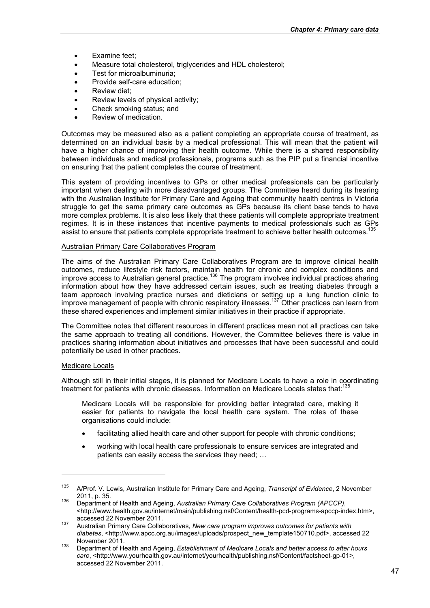- Examine feet:
- Measure total cholesterol, triglycerides and HDL cholesterol;
- Test for microalbuminuria;
- Provide self-care education:
- Review diet;
- Review levels of physical activity;
- Check smoking status; and
- Review of medication.

Outcomes may be measured also as a patient completing an appropriate course of treatment, as determined on an individual basis by a medical professional. This will mean that the patient will have a higher chance of improving their health outcome. While there is a shared responsibility between individuals and medical professionals, programs such as the PIP put a financial incentive on ensuring that the patient completes the course of treatment.

This system of providing incentives to GPs or other medical professionals can be particularly important when dealing with more disadvantaged groups. The Committee heard during its hearing with the Australian Institute for Primary Care and Ageing that community health centres in Victoria struggle to get the same primary care outcomes as GPs because its client base tends to have more complex problems. It is also less likely that these patients will complete appropriate treatment regimes. It is in these instances that incentive payments to medical professionals such as GPs assist to ensure that patients complete appropriate treatment to achieve better health outcomes.<sup>135</sup>

#### Australian Primary Care Collaboratives Program

The aims of the Australian Primary Care Collaboratives Program are to improve clinical health outcomes, reduce lifestyle risk factors, maintain health for chronic and complex conditions and improve access to Australian general practice.<sup>136</sup> The program involves individual practices sharing information about how they have addressed certain issues, such as treating diabetes through a team approach involving practice nurses and dieticians or setting up a lung function clinic to improve management of people with chronic respiratory illnesses.<sup>137</sup> Other practices can learn from these shared experiences and implement similar initiatives in their practice if appropriate.

The Committee notes that different resources in different practices mean not all practices can take the same approach to treating all conditions. However, the Committee believes there is value in practices sharing information about initiatives and processes that have been successful and could potentially be used in other practices.

#### Medicare Locals

1

Although still in their initial stages, it is planned for Medicare Locals to have a role in coordinating treatment for patients with chronic diseases. Information on Medicare Locals states that:<sup>1</sup>

Medicare Locals will be responsible for providing better integrated care, making it easier for patients to navigate the local health care system. The roles of these organisations could include:

- facilitating allied health care and other support for people with chronic conditions;
- working with local health care professionals to ensure services are integrated and patients can easily access the services they need; …

<sup>135</sup> A/Prof. V. Lewis, Australian Institute for Primary Care and Ageing, *Transcript of Evidence*, 2 November 2011, p. 35. 136 Department of Health and Ageing, *Australian Primary Care Collaboratives Program (APCCP)*,

<sup>&</sup>lt;http://www.health.gov.au/internet/main/publishing.nsf/Content/health-pcd-programs-apccp-index.htm>,

accessed 22 November 2011. 137 Australian Primary Care Collaboratives, *New care program improves outcomes for patients with*  diabetes, <http://www.apcc.org.au/images/uploads/prospect\_new\_template150710.pdf>, accessed 22 November 2011. 138 Department of Health and Ageing, *Establishment of Medicare Locals and better access to after hours* 

*care*, <http://www.yourhealth.gov.au/internet/yourhealth/publishing.nsf/Content/factsheet-gp-01>, accessed 22 November 2011.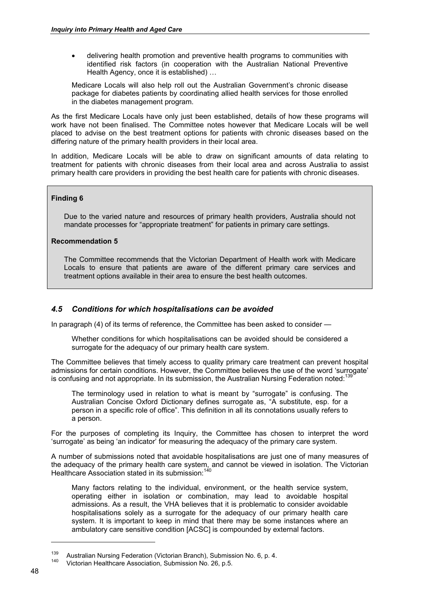delivering health promotion and preventive health programs to communities with identified risk factors (in cooperation with the Australian National Preventive Health Agency, once it is established) …

Medicare Locals will also help roll out the Australian Government's chronic disease package for diabetes patients by coordinating allied health services for those enrolled in the diabetes management program.

As the first Medicare Locals have only just been established, details of how these programs will work have not been finalised. The Committee notes however that Medicare Locals will be well placed to advise on the best treatment options for patients with chronic diseases based on the differing nature of the primary health providers in their local area.

In addition, Medicare Locals will be able to draw on significant amounts of data relating to treatment for patients with chronic diseases from their local area and across Australia to assist primary health care providers in providing the best health care for patients with chronic diseases.

# **Finding 6**

Due to the varied nature and resources of primary health providers, Australia should not mandate processes for "appropriate treatment" for patients in primary care settings.

# **Recommendation 5**

The Committee recommends that the Victorian Department of Health work with Medicare Locals to ensure that patients are aware of the different primary care services and treatment options available in their area to ensure the best health outcomes.

# *4.5 Conditions for which hospitalisations can be avoided*

In paragraph (4) of its terms of reference, the Committee has been asked to consider —

Whether conditions for which hospitalisations can be avoided should be considered a surrogate for the adequacy of our primary health care system.

The Committee believes that timely access to quality primary care treatment can prevent hospital admissions for certain conditions. However, the Committee believes the use of the word 'surrogate' is confusing and not appropriate. In its submission, the Australian Nursing Federation noted:  $138$ 

The terminology used in relation to what is meant by "surrogate" is confusing. The Australian Concise Oxford Dictionary defines surrogate as, "A substitute, esp. for a person in a specific role of office". This definition in all its connotations usually refers to a person.

For the purposes of completing its Inquiry, the Committee has chosen to interpret the word 'surrogate' as being 'an indicator' for measuring the adequacy of the primary care system.

A number of submissions noted that avoidable hospitalisations are just one of many measures of the adequacy of the primary health care system, and cannot be viewed in isolation. The Victorian Healthcare Association stated in its submission:<sup>140</sup>

Many factors relating to the individual, environment, or the health service system, operating either in isolation or combination, may lead to avoidable hospital admissions. As a result, the VHA believes that it is problematic to consider avoidable hospitalisations solely as a surrogate for the adequacy of our primary health care system. It is important to keep in mind that there may be some instances where an ambulatory care sensitive condition [ACSC] is compounded by external factors.

<sup>&</sup>lt;sup>139</sup> Australian Nursing Federation (Victorian Branch), Submission No. 6, p. 4.<br><sup>140</sup> Victorian Healthcare Association, Submission No. 26, p.5.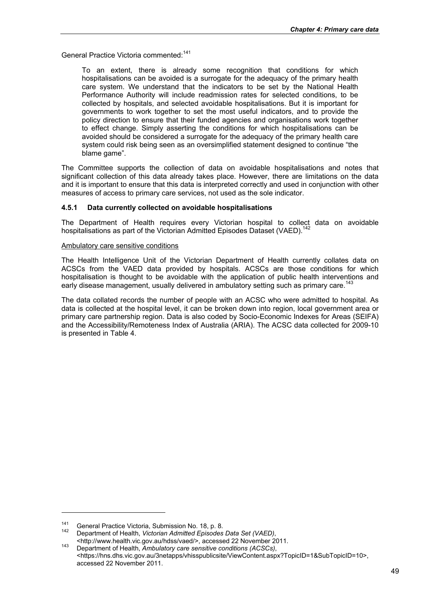General Practice Victoria commented:<sup>141</sup>

To an extent, there is already some recognition that conditions for which hospitalisations can be avoided is a surrogate for the adequacy of the primary health care system. We understand that the indicators to be set by the National Health Performance Authority will include readmission rates for selected conditions, to be collected by hospitals, and selected avoidable hospitalisations. But it is important for governments to work together to set the most useful indicators, and to provide the policy direction to ensure that their funded agencies and organisations work together to effect change. Simply asserting the conditions for which hospitalisations can be avoided should be considered a surrogate for the adequacy of the primary health care system could risk being seen as an oversimplified statement designed to continue "the blame game".

The Committee supports the collection of data on avoidable hospitalisations and notes that significant collection of this data already takes place. However, there are limitations on the data and it is important to ensure that this data is interpreted correctly and used in conjunction with other measures of access to primary care services, not used as the sole indicator.

## **4.5.1 Data currently collected on avoidable hospitalisations**

The Department of Health requires every Victorian hospital to collect data on avoidable hospitalisations as part of the Victorian Admitted Episodes Dataset (VAED).<sup>142</sup>

#### Ambulatory care sensitive conditions

The Health Intelligence Unit of the Victorian Department of Health currently collates data on ACSCs from the VAED data provided by hospitals. ACSCs are those conditions for which hospitalisation is thought to be avoidable with the application of public health interventions and early disease management, usually delivered in ambulatory setting such as primary care.<sup>143</sup>

The data collated records the number of people with an ACSC who were admitted to hospital. As data is collected at the hospital level, it can be broken down into region, local government area or primary care partnership region. Data is also coded by Socio-Economic Indexes for Areas (SEIFA) and the Accessibility/Remoteness Index of Australia (ARIA). The ACSC data collected for 2009-10 is presented in Table 4.

<sup>&</sup>lt;sup>141</sup> General Practice Victoria, Submission No. 18, p. 8.<br><sup>142</sup> Department of Health, *Victorian Admitted Episodes Data Set (VAED)*,

<sup>&</sup>lt;http://www.health.vic.gov.au/hdss/vaed/>, accessed 22 November 2011. 143 Department of Health, *Ambulatory care sensitive conditions (ACSCs)*, <https://hns.dhs.vic.gov.au/3netapps/vhisspublicsite/ViewContent.aspx?TopicID=1&SubTopicID=10>, accessed 22 November 2011.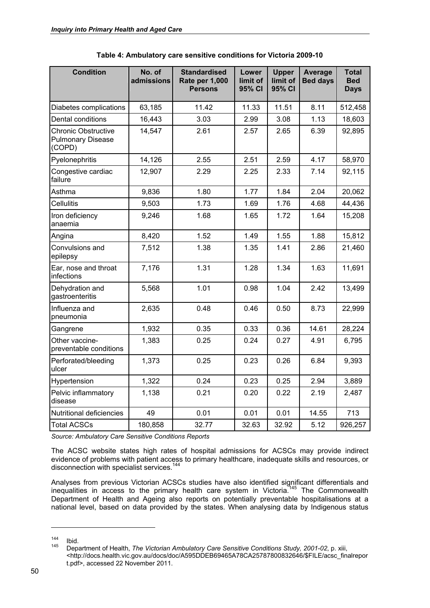| <b>Condition</b>                                                 | No. of<br>admissions | <b>Standardised</b><br>Rate per 1,000<br><b>Persons</b> | Lower<br>limit of<br>95% CI | <b>Upper</b><br>limit of<br>95% CI | Average<br><b>Bed days</b> | <b>Total</b><br><b>Bed</b><br><b>Days</b> |
|------------------------------------------------------------------|----------------------|---------------------------------------------------------|-----------------------------|------------------------------------|----------------------------|-------------------------------------------|
| Diabetes complications                                           | 63,185               | 11.42                                                   | 11.33                       | 11.51                              | 8.11                       | 512,458                                   |
| Dental conditions                                                | 16,443               | 3.03                                                    | 2.99                        | 3.08                               | 1.13                       | 18,603                                    |
| <b>Chronic Obstructive</b><br><b>Pulmonary Disease</b><br>(COPD) | 14,547               | 2.61                                                    | 2.57                        | 2.65                               | 6.39                       | 92,895                                    |
| Pyelonephritis                                                   | 14,126               | 2.55                                                    | 2.51                        | 2.59                               | 4.17                       | 58,970                                    |
| Congestive cardiac<br>failure                                    | 12,907               | 2.29                                                    | 2.25                        | 2.33                               | 7.14                       | 92,115                                    |
| Asthma                                                           | 9,836                | 1.80                                                    | 1.77                        | 1.84                               | 2.04                       | 20,062                                    |
| <b>Cellulitis</b>                                                | 9,503                | 1.73                                                    | 1.69                        | 1.76                               | 4.68                       | 44,436                                    |
| Iron deficiency<br>anaemia                                       | 9,246                | 1.68                                                    | 1.65                        | 1.72                               | 1.64                       | 15,208                                    |
| Angina                                                           | 8,420                | 1.52                                                    | 1.49                        | 1.55                               | 1.88                       | 15,812                                    |
| Convulsions and<br>epilepsy                                      | 7,512                | 1.38                                                    | 1.35                        | 1.41                               | 2.86                       | 21,460                                    |
| Ear, nose and throat<br>infections                               | 7,176                | 1.31                                                    | 1.28                        | 1.34                               | 1.63                       | 11,691                                    |
| Dehydration and<br>gastroenteritis                               | 5,568                | 1.01                                                    | 0.98                        | 1.04                               | 2.42                       | 13,499                                    |
| Influenza and<br>pneumonia                                       | 2,635                | 0.48                                                    | 0.46                        | 0.50                               | 8.73                       | 22,999                                    |
| Gangrene                                                         | 1,932                | 0.35                                                    | 0.33                        | 0.36                               | 14.61                      | 28,224                                    |
| Other vaccine-<br>preventable conditions                         | 1,383                | 0.25                                                    | 0.24                        | 0.27                               | 4.91                       | 6,795                                     |
| Perforated/bleeding<br>ulcer                                     | 1,373                | 0.25                                                    | 0.23                        | 0.26                               | 6.84                       | 9,393                                     |
| Hypertension                                                     | 1,322                | 0.24                                                    | 0.23                        | 0.25                               | 2.94                       | 3,889                                     |
| Pelvic inflammatory<br>disease                                   | 1,138                | 0.21                                                    | 0.20                        | 0.22                               | 2.19                       | 2,487                                     |
| Nutritional deficiencies                                         | 49                   | 0.01                                                    | 0.01                        | 0.01                               | 14.55                      | 713                                       |
| <b>Total ACSCs</b>                                               | 180,858              | 32.77                                                   | 32.63                       | 32.92                              | 5.12                       | 926,257                                   |

**Table 4: Ambulatory care sensitive conditions for Victoria 2009-10** 

*Source: Ambulatory Care Sensitive Conditions Reports* 

The ACSC website states high rates of hospital admissions for ACSCs may provide indirect evidence of problems with patient access to primary healthcare, inadequate skills and resources, or disconnection with specialist services.<sup>144</sup>

Analyses from previous Victorian ACSCs studies have also identified significant differentials and inequalities in access to the primary health care system in Victoria.<sup>145</sup> The Commonwealth Department of Health and Ageing also reports on potentially preventable hospitalisations at a national level, based on data provided by the states. When analysing data by Indigenous status

<sup>144</sup> Ibid. 145 Department of Health, *The Victorian Ambulatory Care Sensitive Conditions Study, 2001-02*, p. xiii, <http://docs.health.vic.gov.au/docs/doc/A595DDEB69465A78CA25787800832646/\$FILE/acsc\_finalrepor t.pdf>, accessed 22 November 2011.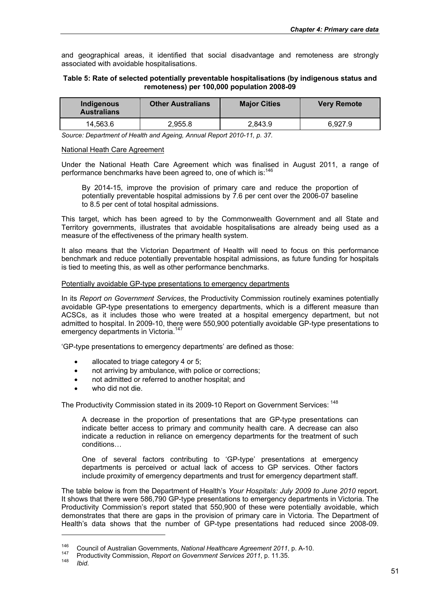and geographical areas, it identified that social disadvantage and remoteness are strongly associated with avoidable hospitalisations.

#### **Table 5: Rate of selected potentially preventable hospitalisations (by indigenous status and remoteness) per 100,000 population 2008-09**

| Indigenous<br><b>Australians</b> | <b>Other Australians</b> | <b>Maior Cities</b> | <b>Very Remote</b> |  |
|----------------------------------|--------------------------|---------------------|--------------------|--|
| 14.563.6                         | 2.955.8                  | 2.843.9             | 6.927.9            |  |

*Source: Department of Health and Ageing, Annual Report 2010-11, p. 37.* 

#### National Heath Care Agreement

Under the National Heath Care Agreement which was finalised in August 2011, a range of performance benchmarks have been agreed to, one of which is:<sup>146</sup>

By 2014-15, improve the provision of primary care and reduce the proportion of potentially preventable hospital admissions by 7.6 per cent over the 2006-07 baseline to 8.5 per cent of total hospital admissions.

This target, which has been agreed to by the Commonwealth Government and all State and Territory governments, illustrates that avoidable hospitalisations are already being used as a measure of the effectiveness of the primary health system.

It also means that the Victorian Department of Health will need to focus on this performance benchmark and reduce potentially preventable hospital admissions, as future funding for hospitals is tied to meeting this, as well as other performance benchmarks.

#### Potentially avoidable GP-type presentations to emergency departments

In its *Report on Government Services*, the Productivity Commission routinely examines potentially avoidable GP-type presentations to emergency departments, which is a different measure than ACSCs, as it includes those who were treated at a hospital emergency department, but not admitted to hospital. In 2009-10, there were 550,900 potentially avoidable GP-type presentations to emergency departments in Victoria.<sup>147</sup>

'GP-type presentations to emergency departments' are defined as those:

- allocated to triage category 4 or 5;
- not arriving by ambulance, with police or corrections;
- not admitted or referred to another hospital; and
- who did not die.

The Productivity Commission stated in its 2009-10 Report on Government Services: <sup>148</sup>

A decrease in the proportion of presentations that are GP-type presentations can indicate better access to primary and community health care. A decrease can also indicate a reduction in reliance on emergency departments for the treatment of such conditions…

One of several factors contributing to 'GP-type' presentations at emergency departments is perceived or actual lack of access to GP services. Other factors include proximity of emergency departments and trust for emergency department staff.

The table below is from the Department of Health's *Your Hospitals: July 2009 to June 2010* report. It shows that there were 586,790 GP-type presentations to emergency departments in Victoria. The Productivity Commission's report stated that 550,900 of these were potentially avoidable, which demonstrates that there are gaps in the provision of primary care in Victoria. The Department of Health's data shows that the number of GP-type presentations had reduced since 2008-09.

<sup>&</sup>lt;sup>146</sup> Council of Australian Governments, *National Healthcare Agreement 2011*, p. A-10.<br><sup>147</sup> Productivity Commission, *Report on Government Services 2011*, p. 11.35.<br>*Ibid.*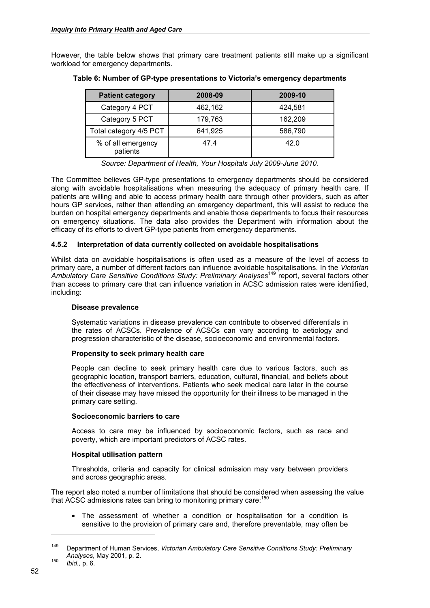However, the table below shows that primary care treatment patients still make up a significant workload for emergency departments.

| <b>Patient category</b>        | 2008-09 | 2009-10 |
|--------------------------------|---------|---------|
| Category 4 PCT                 | 462,162 | 424,581 |
| Category 5 PCT                 | 179,763 | 162,209 |
| Total category 4/5 PCT         | 641,925 | 586,790 |
| % of all emergency<br>patients | 47.4    | 42.0    |

## **Table 6: Number of GP-type presentations to Victoria's emergency departments**

*Source: Department of Health, Your Hospitals July 2009-June 2010.* 

The Committee believes GP-type presentations to emergency departments should be considered along with avoidable hospitalisations when measuring the adequacy of primary health care. If patients are willing and able to access primary health care through other providers, such as after hours GP services, rather than attending an emergency department, this will assist to reduce the burden on hospital emergency departments and enable those departments to focus their resources on emergency situations. The data also provides the Department with information about the efficacy of its efforts to divert GP-type patients from emergency departments.

## **4.5.2 Interpretation of data currently collected on avoidable hospitalisations**

Whilst data on avoidable hospitalisations is often used as a measure of the level of access to primary care, a number of different factors can influence avoidable hospitalisations. In the *Victorian*  <sup>'</sup>Ambulatory Care Sensitive Conditions Study: Preliminary Analyses<sup>149</sup> report, several factors other than access to primary care that can influence variation in ACSC admission rates were identified, including:

#### **Disease prevalence**

Systematic variations in disease prevalence can contribute to observed differentials in the rates of ACSCs. Prevalence of ACSCs can vary according to aetiology and progression characteristic of the disease, socioeconomic and environmental factors.

#### **Propensity to seek primary health care**

People can decline to seek primary health care due to various factors, such as geographic location, transport barriers, education, cultural, financial, and beliefs about the effectiveness of interventions. Patients who seek medical care later in the course of their disease may have missed the opportunity for their illness to be managed in the primary care setting.

#### **Socioeconomic barriers to care**

Access to care may be influenced by socioeconomic factors, such as race and poverty, which are important predictors of ACSC rates.

#### **Hospital utilisation pattern**

Thresholds, criteria and capacity for clinical admission may vary between providers and across geographic areas.

The report also noted a number of limitations that should be considered when assessing the value that ACSC admissions rates can bring to monitoring primary care:<sup>15</sup>

 The assessment of whether a condition or hospitalisation for a condition is sensitive to the provision of primary care and, therefore preventable, may often be

<sup>149</sup> Department of Human Services, *Victorian Ambulatory Care Sensitive Conditions Study: Preliminary Analyses*, May 2001, p. 2. 150 *Ibid.,* p. 6.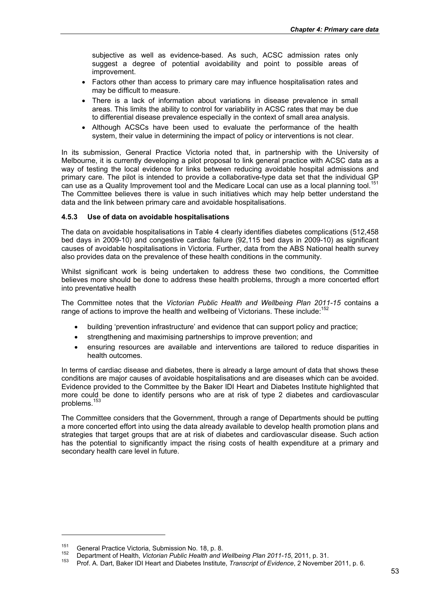subjective as well as evidence-based. As such, ACSC admission rates only suggest a degree of potential avoidability and point to possible areas of improvement.

- Factors other than access to primary care may influence hospitalisation rates and may be difficult to measure.
- There is a lack of information about variations in disease prevalence in small areas. This limits the ability to control for variability in ACSC rates that may be due to differential disease prevalence especially in the context of small area analysis.
- Although ACSCs have been used to evaluate the performance of the health system, their value in determining the impact of policy or interventions is not clear.

In its submission, General Practice Victoria noted that, in partnership with the University of Melbourne, it is currently developing a pilot proposal to link general practice with ACSC data as a way of testing the local evidence for links between reducing avoidable hospital admissions and primary care. The pilot is intended to provide a collaborative-type data set that the individual GP can use as a Quality Improvement tool and the Medicare Local can use as a local planning tool.<sup>151</sup> The Committee believes there is value in such initiatives which may help better understand the data and the link between primary care and avoidable hospitalisations.

# **4.5.3 Use of data on avoidable hospitalisations**

The data on avoidable hospitalisations in Table 4 clearly identifies diabetes complications (512,458 bed days in 2009-10) and congestive cardiac failure (92,115 bed days in 2009-10) as significant causes of avoidable hospitalisations in Victoria. Further, data from the ABS National health survey also provides data on the prevalence of these health conditions in the community.

Whilst significant work is being undertaken to address these two conditions, the Committee believes more should be done to address these health problems, through a more concerted effort into preventative health

The Committee notes that the *Victorian Public Health and Wellbeing Plan 2011-15* contains a range of actions to improve the health and wellbeing of Victorians. These include:<sup>152</sup>

- building 'prevention infrastructure' and evidence that can support policy and practice;
- strengthening and maximising partnerships to improve prevention; and
- ensuring resources are available and interventions are tailored to reduce disparities in health outcomes.

In terms of cardiac disease and diabetes, there is already a large amount of data that shows these conditions are major causes of avoidable hospitalisations and are diseases which can be avoided. Evidence provided to the Committee by the Baker IDI Heart and Diabetes Institute highlighted that more could be done to identify persons who are at risk of type 2 diabetes and cardiovascular problems.<sup>153</sup>

The Committee considers that the Government, through a range of Departments should be putting a more concerted effort into using the data already available to develop health promotion plans and strategies that target groups that are at risk of diabetes and cardiovascular disease. Such action has the potential to significantly impact the rising costs of health expenditure at a primary and secondary health care level in future.

<sup>&</sup>lt;sup>151</sup> General Practice Victoria, Submission No. 18, p. 8.<br><sup>152</sup> Department of Health, *Victorian Public Health and Wellbeing Plan 2011-15*, 2011, p. 31.<br><sup>153</sup> Prof. A. Dart, Baker IDI Heart and Diabetes Institute, *Transcr*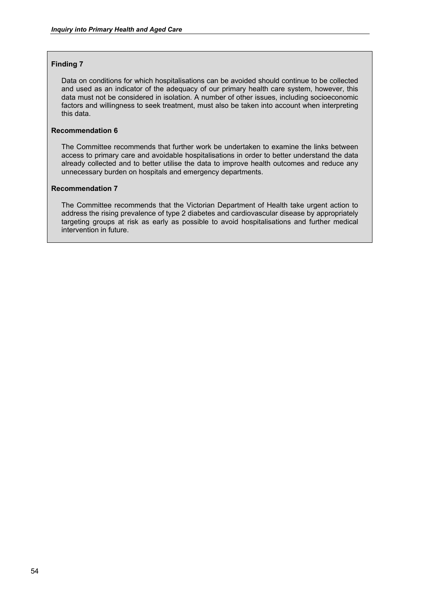## **Finding 7**

Data on conditions for which hospitalisations can be avoided should continue to be collected and used as an indicator of the adequacy of our primary health care system, however, this data must not be considered in isolation. A number of other issues, including socioeconomic factors and willingness to seek treatment, must also be taken into account when interpreting this data.

# **Recommendation 6**

The Committee recommends that further work be undertaken to examine the links between access to primary care and avoidable hospitalisations in order to better understand the data already collected and to better utilise the data to improve health outcomes and reduce any unnecessary burden on hospitals and emergency departments.

## **Recommendation 7**

The Committee recommends that the Victorian Department of Health take urgent action to address the rising prevalence of type 2 diabetes and cardiovascular disease by appropriately targeting groups at risk as early as possible to avoid hospitalisations and further medical intervention in future.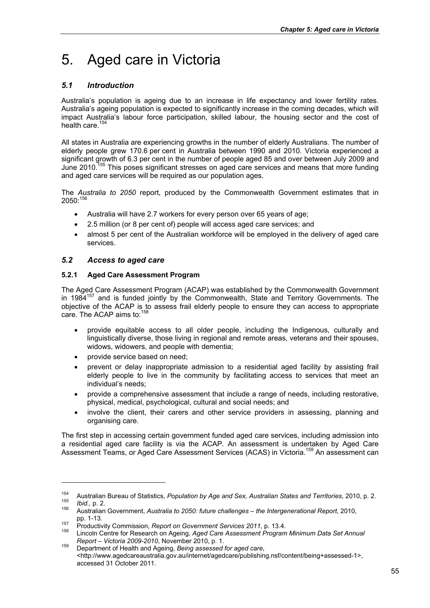# 5. Aged care in Victoria

# *5.1 Introduction*

Australia's population is ageing due to an increase in life expectancy and lower fertility rates. Australia's ageing population is expected to significantly increase in the coming decades, which will impact Australia's labour force participation, skilled labour, the housing sector and the cost of health care.<sup>154</sup>

All states in Australia are experiencing growths in the number of elderly Australians. The number of elderly people grew 170.6 per cent in Australia between 1990 and 2010. Victoria experienced a significant growth of 6.3 per cent in the number of people aged 85 and over between July 2009 and June 2010.<sup>155</sup> This poses significant stresses on aged care services and means that more funding and aged care services will be required as our population ages.

The *Australia to 2050* report, produced by the Commonwealth Government estimates that in  $2050:^{15}$ 

- Australia will have 2.7 workers for every person over 65 years of age;
- 2.5 million (or 8 per cent of) people will access aged care services; and
- almost 5 per cent of the Australian workforce will be employed in the delivery of aged care services.

# *5.2 Access to aged care*

# **5.2.1 Aged Care Assessment Program**

The Aged Care Assessment Program (ACAP) was established by the Commonwealth Government in 198 $4^{157}$  and is funded jointly by the Commonwealth, State and Territory Governments. The objective of the ACAP is to assess frail elderly people to ensure they can access to appropriate care. The ACAP aims to:<sup>15</sup>

- provide equitable access to all older people, including the Indigenous, culturally and linguistically diverse, those living in regional and remote areas, veterans and their spouses, widows, widowers, and people with dementia;
- provide service based on need;

-

- prevent or delay inappropriate admission to a residential aged facility by assisting frail elderly people to live in the community by facilitating access to services that meet an individual's needs;
- provide a comprehensive assessment that include a range of needs, including restorative, physical, medical, psychological, cultural and social needs; and
- involve the client, their carers and other service providers in assessing, planning and organising care.

The first step in accessing certain government funded aged care services, including admission into a residential aged care facility is via the ACAP. An assessment is undertaken by Aged Care Assessment Teams, or Aged Care Assessment Services (ACAS) in Victoria.<sup>159</sup> An assessment can

<sup>&</sup>lt;sup>154</sup> Australian Bureau of Statistics, *Population by Age and Sex, Australian States and Territories, 2010, p. 2.*<br>*155 Ibid., p. 2.*<br><sup>156</sup> Australian Government. *Australia to 2050: future challenges – the Intergeneration* 

pp. 1-13.<br><sup>157</sup> Productivity Commission, *Report on Government Services 2011*, p. 13.4.<br><sup>158</sup> Lincoln Centre for Research on Ageing, *Aged Care Assessment Program Minimum Data Set Annual* 

*Report – Victoria 2009-2010*, November 2010, p. 1. 159 Department of Health and Ageing, *Being assessed for aged care*, <http://www.agedcareaustralia.gov.au/internet/agedcare/publishing.nsf/content/being+assessed-1>, accessed 31 October 2011.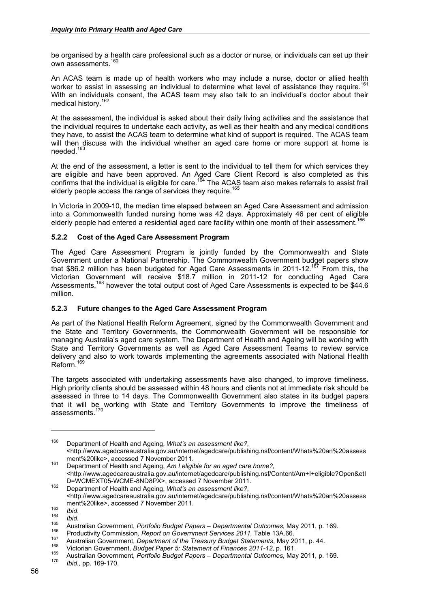be organised by a health care professional such as a doctor or nurse, or individuals can set up their own assessments.<sup>160</sup>

An ACAS team is made up of health workers who may include a nurse, doctor or allied health worker to assist in assessing an individual to determine what level of assistance they require.<sup>1</sup> With an individuals consent, the ACAS team may also talk to an individual's doctor about their medical history.<sup>162</sup>

At the assessment, the individual is asked about their daily living activities and the assistance that the individual requires to undertake each activity, as well as their health and any medical conditions they have, to assist the ACAS team to determine what kind of support is required. The ACAS team will then discuss with the individual whether an aged care home or more support at home is needed.163

At the end of the assessment, a letter is sent to the individual to tell them for which services they are eligible and have been approved. An Aged Care Client Record is also completed as this confirms that the individual is eligible for care.<sup>164</sup> The ACAS team also makes referrals to assist frail elderly people access the range of services they require.<sup>1</sup>

In Victoria in 2009-10, the median time elapsed between an Aged Care Assessment and admission into a Commonwealth funded nursing home was 42 days. Approximately 46 per cent of eligible elderly people had entered a residential aged care facility within one month of their assessment.

# **5.2.2 Cost of the Aged Care Assessment Program**

The Aged Care Assessment Program is jointly funded by the Commonwealth and State Government under a National Partnership. The Commonwealth Government budget papers show that \$86.2 million has been budgeted for Aged Care Assessments in 2011-12.<sup>167</sup> From this, the Victorian Government will receive \$18.7 million in 2011-12 for conducting Aged Care Assessments,<sup>168</sup> however the total output cost of Aged Care Assessments is expected to be \$44.6 million.

# **5.2.3 Future changes to the Aged Care Assessment Program**

As part of the National Health Reform Agreement, signed by the Commonwealth Government and the State and Territory Governments, the Commonwealth Government will be responsible for managing Australia's aged care system. The Department of Health and Ageing will be working with State and Territory Governments as well as Aged Care Assessment Teams to review service delivery and also to work towards implementing the agreements associated with National Health Reform.<sup>169</sup>

The targets associated with undertaking assessments have also changed, to improve timeliness. High priority clients should be assessed within 48 hours and clients not at immediate risk should be assessed in three to 14 days. The Commonwealth Government also states in its budget papers that it will be working with State and Territory Governments to improve the timeliness of assessments.<sup>170</sup>

<sup>160</sup> Department of Health and Ageing, *What's an assessment like?*, <http://www.agedcareaustralia.gov.au/internet/agedcare/publishing.nsf/content/Whats%20an%20assess

ment%20like>, accessed 7 November 2011.<br><sup>161</sup> Department of Health and Ageing, *Am I eligible for an aged care home?*. <http://www.agedcareaustralia.gov.au/internet/agedcare/publishing.nsf/Content/Am+I+eligible?Open&etI

D=WCMEXT05-WCME-8ND8PX>, accessed 7 November 2011. 162 Department of Health and Ageing, *What's an assessment like?*, <http://www.agedcareaustralia.gov.au/internet/agedcare/publishing.nsf/content/Whats%20an%20assess

<sup>163</sup> Ibid.<br>
164 Ibid.<br>
164 Ibid.<br>
261 Ibid.<br>
261 Ibid.<br>
261 Ibid.<br>
261 Ibid.<br>
261 Ibid.<br>
261 Ibid.<br>
261 Ibid.<br>
261 Ibid.<br>
261 Ibid.<br>
261 Ibid.<br>
261 Ibid.<br>
261 Ibid.<br>
261 Ibid.<br>
261 Ibid.<br>
261 Ibid.<br>
261 Ibid.<br>
261 Ibid.<br>
26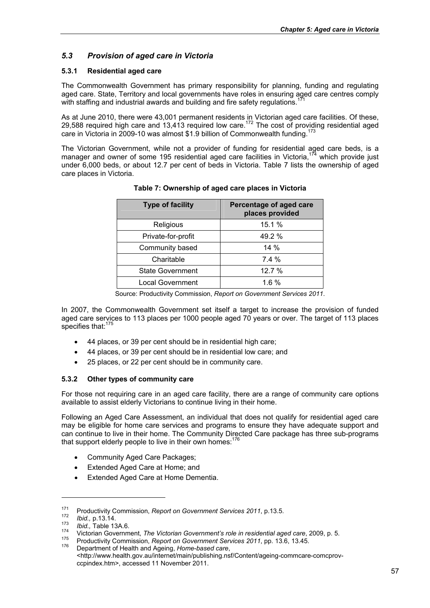# *5.3 Provision of aged care in Victoria*

# **5.3.1 Residential aged care**

The Commonwealth Government has primary responsibility for planning, funding and regulating aged care. State, Territory and local governments have roles in ensuring aged care centres comply with staffing and industrial awards and building and fire safety regulations.

As at June 2010, there were 43,001 permanent residents in Victorian aged care facilities. Of these, 29,588 required high care and 13,413 required low care.<sup>172</sup> The cost of providing residential aged care in Victoria in 2009-10 was almost \$1.9 billion of Commonwealth funding.<sup>173</sup>

The Victorian Government, while not a provider of funding for residential aged care beds, is a manager and owner of some 195 residential aged care facilities in Victoria.<sup>174</sup> which provide just under 6,000 beds, or about 12.7 per cent of beds in Victoria. Table 7 lists the ownership of aged care places in Victoria.

| <b>Type of facility</b> | Percentage of aged care<br>places provided |  |  |  |
|-------------------------|--------------------------------------------|--|--|--|
| Religious               | 15.1 %                                     |  |  |  |
| Private-for-profit      | 49.2 %                                     |  |  |  |
| Community based         | $14\%$                                     |  |  |  |
| Charitable              | 7.4%                                       |  |  |  |
| <b>State Government</b> | 12.7%                                      |  |  |  |
| <b>Local Government</b> | $1.6\%$                                    |  |  |  |

# **Table 7: Ownership of aged care places in Victoria**

Source: Productivity Commission, *Report on Government Services 2011*.

In 2007, the Commonwealth Government set itself a target to increase the provision of funded aged care services to 113 places per 1000 people aged 70 years or over. The target of 113 places specifies that:<sup>175</sup>

- 44 places, or 39 per cent should be in residential high care;
- 44 places, or 39 per cent should be in residential low care; and
- 25 places, or 22 per cent should be in community care.

# **5.3.2 Other types of community care**

For those not requiring care in an aged care facility, there are a range of community care options available to assist elderly Victorians to continue living in their home.

Following an Aged Care Assessment, an individual that does not qualify for residential aged care may be eligible for home care services and programs to ensure they have adequate support and can continue to live in their home. The Community Directed Care package has three sub-programs that support elderly people to live in their own homes:<sup>176</sup>

- Community Aged Care Packages:
- Extended Aged Care at Home; and
- Extended Aged Care at Home Dementia.

<sup>&</sup>lt;sup>171</sup> Productivity Commission, Report on Government Services 2011, p.13.5.<br> *172 Ibid.*, p.13.14.<br> *173 Ibid.*, Table 13A.6.<br>
Yictorian Government, *The Victorian Government's role in residential aged care*, 2009, p.

<sup>&</sup>lt;http://www.health.gov.au/internet/main/publishing.nsf/Content/ageing-commcare-comcprovccpindex.htm>, accessed 11 November 2011.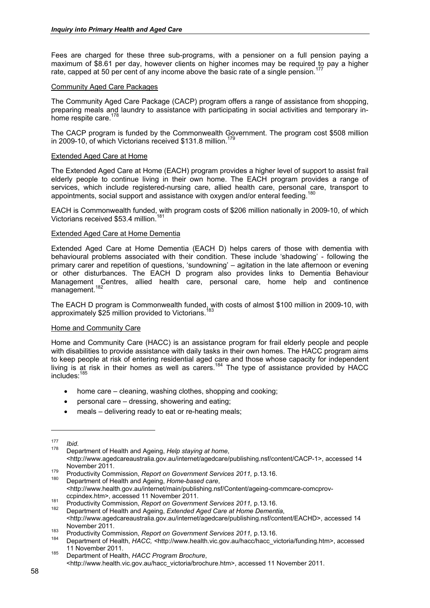Fees are charged for these three sub-programs, with a pensioner on a full pension paying a maximum of \$8.61 per day, however clients on higher incomes may be required to pay a higher rate, capped at 50 per cent of any income above the basic rate of a single pension.<sup>177</sup>

#### Community Aged Care Packages

The Community Aged Care Package (CACP) program offers a range of assistance from shopping, preparing meals and laundry to assistance with participating in social activities and temporary inhome respite care. $1$ 

The CACP program is funded by the Commonwealth Government. The program cost \$508 million in 2009-10, of which Victorians received \$131.8 million.<sup>179</sup>

#### Extended Aged Care at Home

The Extended Aged Care at Home (EACH) program provides a higher level of support to assist frail elderly people to continue living in their own home. The EACH program provides a range of services, which include registered-nursing care, allied health care, personal care, transport to appointments, social support and assistance with oxygen and/or enteral feeding.<sup>180</sup>

EACH is Commonwealth funded, with program costs of \$206 million nationally in 2009-10, of which Victorians received \$53.4 million.<sup>181</sup>

## Extended Aged Care at Home Dementia

Extended Aged Care at Home Dementia (EACH D) helps carers of those with dementia with behavioural problems associated with their condition. These include 'shadowing' - following the primary carer and repetition of questions, 'sundowning' – agitation in the late afternoon or evening or other disturbances. The EACH D program also provides links to Dementia Behaviour Management Centres, allied health care, personal care, home help and continence management.<sup>182</sup>

The EACH D program is Commonwealth funded, with costs of almost \$100 million in 2009-10, with approximately \$25 million provided to Victorians.

# Home and Community Care

Home and Community Care (HACC) is an assistance program for frail elderly people and people with disabilities to provide assistance with daily tasks in their own homes. The HACC program aims to keep people at risk of entering residential aged care and those whose capacity for independent living is at risk in their homes as well as carers.<sup>184</sup> The type of assistance provided by HACC includes:185

- home care cleaning, washing clothes, shopping and cooking:
- personal care dressing, showering and eating;
- meals delivering ready to eat or re-heating meals;

1

november 2011.<br><sup>179</sup> Productivity Commission, *Report on Government Services 2011,* p.13.16.<br><sup>180</sup> Department of Health and Ageing, *Home-based care*, <http://www.health.gov.au/internet/main/publishing.nsf/Content/ageing-commcare-comcprov-

<sup>177</sup>*Ibid*. 178 Department of Health and Ageing, *Help staying at home*, <http://www.agedcareaustralia.gov.au/internet/agedcare/publishing.nsf/content/CACP-1>, accessed 14

ccpindex.htm>, accessed 11 November 2011. 181 Productivity Commission, *Report on Government Services 2011,* p.13.16. 182 Department of Health and Ageing, *Extended Aged Care at Home Dementia*,

<sup>&</sup>lt;http://www.agedcareaustralia.gov.au/internet/agedcare/publishing.nsf/content/EACHD>, accessed 14 November 2011.<br><sup>183</sup> Productivity Commission, *Report on Government Services 2011,* p.13.16.<br><sup>184</sup> Department of Health, *HACC*, <http://www.health.vic.gov.au/hacc/hacc\_victoria/funding.htm>, accessed

<sup>11</sup> November 2011. 185 Department of Health, *HACC Program Brochure*,

<sup>&</sup>lt;http://www.health.vic.gov.au/hacc\_victoria/brochure.htm>, accessed 11 November 2011.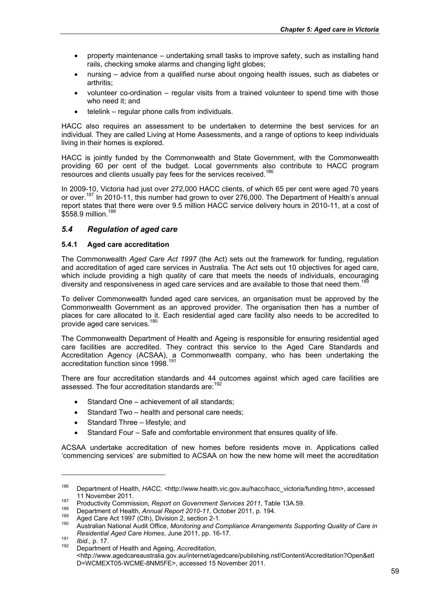- property maintenance undertaking small tasks to improve safety, such as installing hand rails, checking smoke alarms and changing light globes;
- nursing advice from a qualified nurse about ongoing health issues, such as diabetes or arthritis;
- volunteer co-ordination regular visits from a trained volunteer to spend time with those who need it; and
- telelink regular phone calls from individuals.

HACC also requires an assessment to be undertaken to determine the best services for an individual. They are called Living at Home Assessments, and a range of options to keep individuals living in their homes is explored.

HACC is jointly funded by the Commonwealth and State Government, with the Commonwealth providing 60 per cent of the budget. Local governments also contribute to HACC program resources and clients usually pay fees for the services received.<sup>186</sup>

In 2009-10, Victoria had just over 272,000 HACC clients, of which 65 per cent were aged 70 years or over.<sup>187</sup> In 2010-11, this number had grown to over 276,000. The Department of Health's annual report states that there were over 9.5 million HACC service delivery hours in 2010-11, at a cost of \$558.9 million.<sup>188</sup>

# *5.4 Regulation of aged care*

# **5.4.1 Aged care accreditation**

The Commonwealth *Aged Care Act 1997* (the Act) sets out the framework for funding, regulation and accreditation of aged care services in Australia. The Act sets out 10 objectives for aged care, which include providing a high quality of care that meets the needs of individuals, encouraging diversity and responsiveness in aged care services and are available to those that need them.<sup>1</sup>

To deliver Commonwealth funded aged care services, an organisation must be approved by the Commonwealth Government as an approved provider. The organisation then has a number of places for care allocated to it. Each residential aged care facility also needs to be accredited to provide aged care services.<sup>190</sup>

The Commonwealth Department of Health and Ageing is responsible for ensuring residential aged care facilities are accredited. They contract this service to the Aged Care Standards and Accreditation Agency (ACSAA), a Commonwealth company, who has been undertaking the accreditation function since 1998.<sup>191</sup>

There are four accreditation standards and 44 outcomes against which aged care facilities are assessed. The four accreditation standards are:<sup>192</sup>

- Standard One achievement of all standards:
- Standard Two health and personal care needs;
- Standard Three lifestyle; and
- Standard Four Safe and comfortable environment that ensures quality of life.

ACSAA undertake accreditation of new homes before residents move in. Applications called 'commencing services' are submitted to ACSAA on how the new home will meet the accreditation

<sup>186</sup> Department of Health, *HACC, <*http://www.health.vic.gov.au/hacc/hacc\_victoria/funding.htm>, accessed

<sup>11</sup> November 2011.<br>
Productivity Commission, Report on Government Services 2011, Table 13A.59.<br>
188 Department of Health, Annual Report 2010-11, October 2011, p. 194.<br>
189 Aged Care Act 1997 (Cth), Division 2, section 2-1.<br>

*Residential Aged Care Homes*, June 2011, pp. 16-17. 191 *Ibid.,* p. 17. 192 Department of Health and Ageing, *Accreditation*, <http://www.agedcareaustralia.gov.au/internet/agedcare/publishing.nsf/Content/Accreditation?Open&etI D=WCMEXT05-WCME-8NM5FE>, accessed 15 November 2011.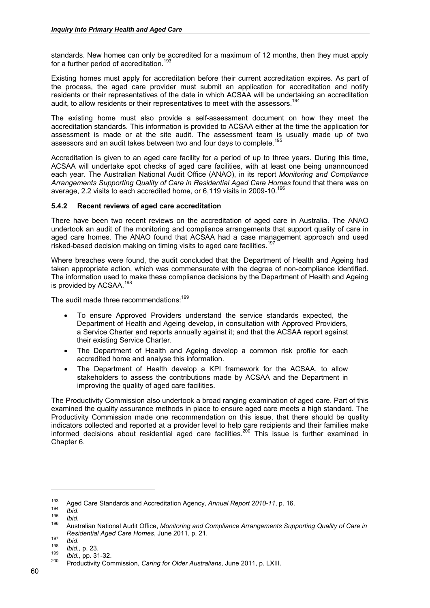standards. New homes can only be accredited for a maximum of 12 months, then they must apply for a further period of accreditation.<sup>193</sup>

Existing homes must apply for accreditation before their current accreditation expires. As part of the process, the aged care provider must submit an application for accreditation and notify residents or their representatives of the date in which ACSAA will be undertaking an accreditation audit, to allow residents or their representatives to meet with the assessors.<sup>194</sup>

The existing home must also provide a self-assessment document on how they meet the accreditation standards. This information is provided to ACSAA either at the time the application for assessment is made or at the site audit. The assessment team is usually made up of two assessors and an audit takes between two and four days to complete.

Accreditation is given to an aged care facility for a period of up to three years. During this time, ACSAA will undertake spot checks of aged care facilities, with at least one being unannounced each year. The Australian National Audit Office (ANAO), in its report *Monitoring and Compliance Arrangements Supporting Quality of Care in Residential Aged Care Homes* found that there was on average, 2.2 visits to each accredited home, or 6,119 visits in 2009-10.<sup>196</sup>

## **5.4.2 Recent reviews of aged care accreditation**

There have been two recent reviews on the accreditation of aged care in Australia. The ANAO undertook an audit of the monitoring and compliance arrangements that support quality of care in aged care homes. The ANAO found that ACSAA had a case management approach and used risked-based decision making on timing visits to aged care facilities.<sup>197</sup>

Where breaches were found, the audit concluded that the Department of Health and Ageing had taken appropriate action, which was commensurate with the degree of non-compliance identified. The information used to make these compliance decisions by the Department of Health and Ageing is provided by ACSAA.<sup>198</sup>

The audit made three recommendations:<sup>199</sup>

- To ensure Approved Providers understand the service standards expected, the Department of Health and Ageing develop, in consultation with Approved Providers, a Service Charter and reports annually against it; and that the ACSAA report against their existing Service Charter.
- The Department of Health and Ageing develop a common risk profile for each accredited home and analyse this information.
- The Department of Health develop a KPI framework for the ACSAA, to allow stakeholders to assess the contributions made by ACSAA and the Department in improving the quality of aged care facilities.

The Productivity Commission also undertook a broad ranging examination of aged care. Part of this examined the quality assurance methods in place to ensure aged care meets a high standard. The Productivity Commission made one recommendation on this issue, that there should be quality indicators collected and reported at a provider level to help care recipients and their families make informed decisions about residential aged care facilities.200 This issue is further examined in Chapter 6.

Aged Care Standards and Accreditation Agency, Annual Report 2010-11, p. 16.<br>
194 *Ibid.*<br>
195 *Ibid.*<br>
496 Australian National Audit Office, Monitoring and Compliance Arrangements Supporting Quality of Care in *Residential Aged Care Homes*, June 2011, p. 21.<br>
<sup>197</sup> *Ibid.*<br>
<sup>198</sup> *Ibid.*, p. 23.<br>
<sup>200</sup> Productivity Commission, *Caring for Older Australians*, June 2011, p. LXIII.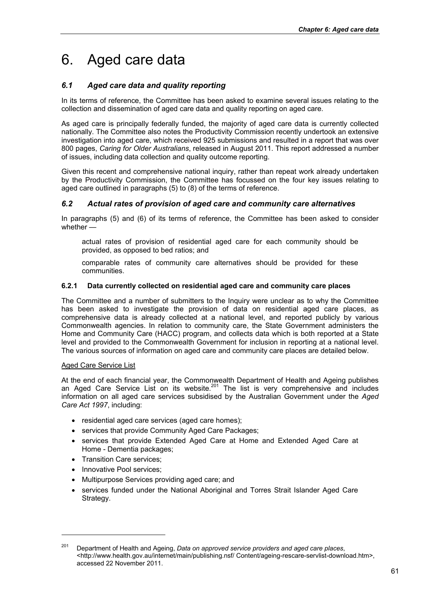# 6. Aged care data

# *6.1 Aged care data and quality reporting*

In its terms of reference, the Committee has been asked to examine several issues relating to the collection and dissemination of aged care data and quality reporting on aged care.

As aged care is principally federally funded, the majority of aged care data is currently collected nationally. The Committee also notes the Productivity Commission recently undertook an extensive investigation into aged care, which received 925 submissions and resulted in a report that was over 800 pages, *Caring for Older Australians*, released in August 2011. This report addressed a number of issues, including data collection and quality outcome reporting.

Given this recent and comprehensive national inquiry, rather than repeat work already undertaken by the Productivity Commission, the Committee has focussed on the four key issues relating to aged care outlined in paragraphs (5) to (8) of the terms of reference.

# *6.2 Actual rates of provision of aged care and community care alternatives*

In paragraphs (5) and (6) of its terms of reference, the Committee has been asked to consider whether —

actual rates of provision of residential aged care for each community should be provided, as opposed to bed ratios; and

comparable rates of community care alternatives should be provided for these communities.

# **6.2.1 Data currently collected on residential aged care and community care places**

The Committee and a number of submitters to the Inquiry were unclear as to why the Committee has been asked to investigate the provision of data on residential aged care places, as comprehensive data is already collected at a national level, and reported publicly by various Commonwealth agencies. In relation to community care, the State Government administers the Home and Community Care (HACC) program, and collects data which is both reported at a State level and provided to the Commonwealth Government for inclusion in reporting at a national level. The various sources of information on aged care and community care places are detailed below.

# Aged Care Service List

At the end of each financial year, the Commonwealth Department of Health and Ageing publishes an Aged Care Service List on its website.<sup>201</sup> The list is very comprehensive and includes information on all aged care services subsidised by the Australian Government under the *Aged Care Act 1997*, including:

- residential aged care services (aged care homes);
- services that provide Community Aged Care Packages;
- services that provide Extended Aged Care at Home and Extended Aged Care at Home - Dementia packages;
- Transition Care services;
- Innovative Pool services;

- Multipurpose Services providing aged care; and
- services funded under the National Aboriginal and Torres Strait Islander Aged Care Strategy.

<sup>201</sup> Department of Health and Ageing, *Data on approved service providers and aged care places*, <http://www.health.gov.au/internet/main/publishing.nsf/ Content/ageing-rescare-servlist-download.htm>, accessed 22 November 2011.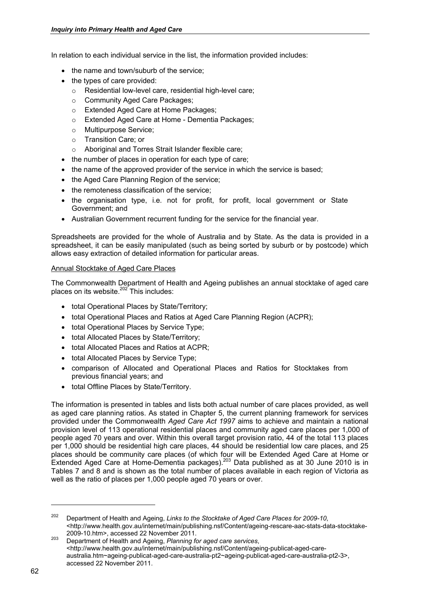In relation to each individual service in the list, the information provided includes:

- the name and town/suburb of the service;
- the types of care provided:
	- o Residential low-level care, residential high-level care;
	- o Community Aged Care Packages;
	- o Extended Aged Care at Home Packages;
	- o Extended Aged Care at Home Dementia Packages;
	- o Multipurpose Service;
	- o Transition Care; or
	- o Aboriginal and Torres Strait Islander flexible care;
- the number of places in operation for each type of care;
- the name of the approved provider of the service in which the service is based;
- the Aged Care Planning Region of the service;
- the remoteness classification of the service;
- the organisation type, i.e. not for profit, for profit, local government or State Government; and
- Australian Government recurrent funding for the service for the financial year.

Spreadsheets are provided for the whole of Australia and by State. As the data is provided in a spreadsheet, it can be easily manipulated (such as being sorted by suburb or by postcode) which allows easy extraction of detailed information for particular areas.

# Annual Stocktake of Aged Care Places

The Commonwealth Department of Health and Ageing publishes an annual stocktake of aged care places on its website. $202'$  This includes:

- total Operational Places by State/Territory;
- total Operational Places and Ratios at Aged Care Planning Region (ACPR);
- total Operational Places by Service Type;
- total Allocated Places by State/Territory;
- total Allocated Places and Ratios at ACPR;
- total Allocated Places by Service Type;
- comparison of Allocated and Operational Places and Ratios for Stocktakes from previous financial years; and
- total Offline Places by State/Territory.

The information is presented in tables and lists both actual number of care places provided, as well as aged care planning ratios. As stated in Chapter 5, the current planning framework for services provided under the Commonwealth *Aged Care Act 1997* aims to achieve and maintain a national provision level of 113 operational residential places and community aged care places per 1,000 of people aged 70 years and over. Within this overall target provision ratio, 44 of the total 113 places per 1,000 should be residential high care places, 44 should be residential low care places, and 25 places should be community care places (of which four will be Extended Aged Care at Home or Extended Aged Care at Home-Dementia packages).203 Data published as at 30 June 2010 is in Tables 7 and 8 and is shown as the total number of places available in each region of Victoria as well as the ratio of places per 1,000 people aged 70 years or over.

<sup>202</sup> Department of Health and Ageing, *Links to the Stocktake of Aged Care Places for 2009-10*, <http://www.health.gov.au/internet/main/publishing.nsf/Content/ageing-rescare-aac-stats-data-stocktake-

<sup>2009-10.</sup>htm>, accessed 22 November 2011. 203 Department of Health and Ageing, *Planning for aged care services*, <http://www.health.gov.au/internet/main/publishing.nsf/Content/ageing-publicat-aged-careaustralia.htm~ageing-publicat-aged-care-australia-pt2~ageing-publicat-aged-care-australia-pt2-3>, accessed 22 November 2011.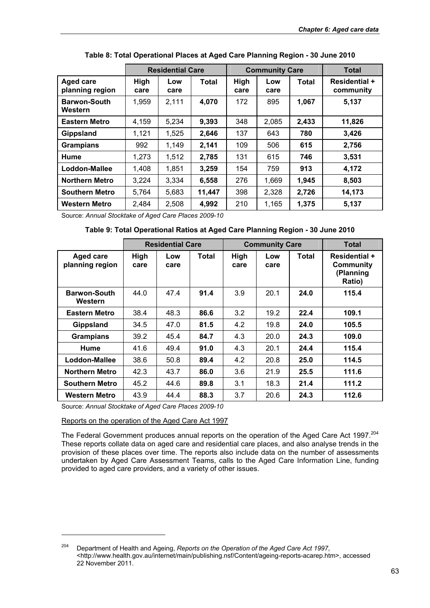|                                     | <b>Residential Care</b> |             | <b>Community Care</b> |              |             | <b>Total</b> |                                   |
|-------------------------------------|-------------------------|-------------|-----------------------|--------------|-------------|--------------|-----------------------------------|
| <b>Aged care</b><br>planning region | High<br>care            | Low<br>care | <b>Total</b>          | High<br>care | Low<br>care | Total        | <b>Residential +</b><br>community |
| <b>Barwon-South</b><br>Western      | 1,959                   | 2,111       | 4,070                 | 172          | 895         | 1,067        | 5,137                             |
| <b>Eastern Metro</b>                | 4.159                   | 5,234       | 9,393                 | 348          | 2,085       | 2,433        | 11,826                            |
| <b>Gippsland</b>                    | 1,121                   | 1.525       | 2,646                 | 137          | 643         | 780          | 3,426                             |
| <b>Grampians</b>                    | 992                     | 1.149       | 2,141                 | 109          | 506         | 615          | 2,756                             |
| <b>Hume</b>                         | 1,273                   | 1,512       | 2,785                 | 131          | 615         | 746          | 3,531                             |
| Loddon-Mallee                       | 1,408                   | 1,851       | 3,259                 | 154          | 759         | 913          | 4,172                             |
| <b>Northern Metro</b>               | 3,224                   | 3,334       | 6,558                 | 276          | 1,669       | 1,945        | 8,503                             |
| <b>Southern Metro</b>               | 5,764                   | 5,683       | 11,447                | 398          | 2,328       | 2,726        | 14,173                            |
| Western Metro                       | 2,484                   | 2,508       | 4,992                 | 210          | 1,165       | 1,375        | 5,137                             |

**Table 8: Total Operational Places at Aged Care Planning Region - 30 June 2010** 

Source: *Annual Stocktake of Aged Care Places 2009-10* 

|  | Table 9: Total Operational Ratios at Aged Care Planning Region - 30 June 2010 |
|--|-------------------------------------------------------------------------------|
|  |                                                                               |

|                                     |              | <b>Residential Care</b> |       | <b>Community Care</b> |             |       | <b>Total</b>                                             |  |
|-------------------------------------|--------------|-------------------------|-------|-----------------------|-------------|-------|----------------------------------------------------------|--|
| <b>Aged care</b><br>planning region | High<br>care | Low<br>care             | Total | High<br>care          | Low<br>care | Total | <b>Residential +</b><br>Community<br>(Planning<br>Ratio) |  |
| <b>Barwon-South</b><br>Western      | 44.0         | 47.4                    | 91.4  | 3.9                   | 20.1        | 24.0  | 115.4                                                    |  |
| <b>Eastern Metro</b>                | 38.4         | 48.3                    | 86.6  | 3.2                   | 19.2        | 22.4  | 109.1                                                    |  |
| Gippsland                           | 34.5         | 47.0                    | 81.5  | 4.2                   | 19.8        | 24.0  | 105.5                                                    |  |
| <b>Grampians</b>                    | 39.2         | 45.4                    | 84.7  | 4.3                   | 20.0        | 24.3  | 109.0                                                    |  |
| Hume                                | 41.6         | 49.4                    | 91.0  | 4.3                   | 20.1        | 24.4  | 115.4                                                    |  |
| Loddon-Mallee                       | 38.6         | 50.8                    | 89.4  | 4.2                   | 20.8        | 25.0  | 114.5                                                    |  |
| <b>Northern Metro</b>               | 42.3         | 43.7                    | 86.0  | 3.6                   | 21.9        | 25.5  | 111.6                                                    |  |
| <b>Southern Metro</b>               | 45.2         | 44.6                    | 89.8  | 3.1                   | 18.3        | 21.4  | 111.2                                                    |  |
| <b>Western Metro</b>                | 43.9         | 44.4                    | 88.3  | 3.7                   | 20.6        | 24.3  | 112.6                                                    |  |

Source: *Annual Stocktake of Aged Care Places 2009-10* 

Reports on the operation of the Aged Care Act 1997

-

The Federal Government produces annual reports on the operation of the Aged Care Act 1997.<sup>204</sup> These reports collate data on aged care and residential care places, and also analyse trends in the provision of these places over time. The reports also include data on the number of assessments undertaken by Aged Care Assessment Teams, calls to the Aged Care Information Line, funding provided to aged care providers, and a variety of other issues.

<sup>204</sup> Department of Health and Ageing, *Reports on the Operation of the Aged Care Act 1997*, <http://www.health.gov.au/internet/main/publishing.nsf/Content/ageing-reports-acarep.htm>, accessed 22 November 2011.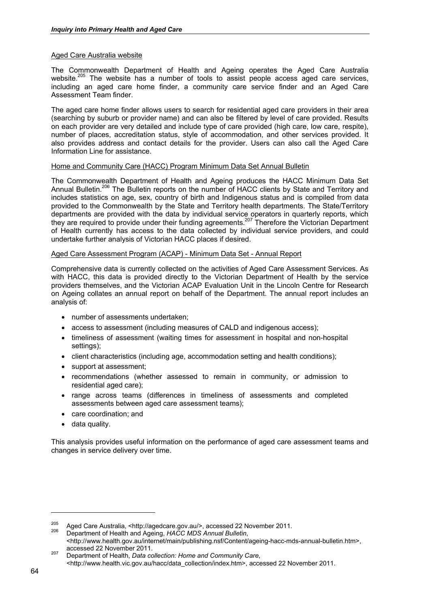# Aged Care Australia website

The Commonwealth Department of Health and Ageing operates the Aged Care Australia website.<sup>205</sup> The website has a number of tools to assist people access aged care services, including an aged care home finder, a community care service finder and an Aged Care Assessment Team finder.

The aged care home finder allows users to search for residential aged care providers in their area (searching by suburb or provider name) and can also be filtered by level of care provided. Results on each provider are very detailed and include type of care provided (high care, low care, respite), number of places, accreditation status, style of accommodation, and other services provided. It also provides address and contact details for the provider. Users can also call the Aged Care Information Line for assistance.

## Home and Community Care (HACC) Program Minimum Data Set Annual Bulletin

The Commonwealth Department of Health and Ageing produces the HACC Minimum Data Set Annual Bulletin.<sup>206</sup> The Bulletin reports on the number of HACC clients by State and Territory and includes statistics on age, sex, country of birth and Indigenous status and is compiled from data provided to the Commonwealth by the State and Territory health departments. The State/Territory departments are provided with the data by individual service operators in quarterly reports, which they are required to provide under their funding agreements.<sup>207</sup> Therefore the Victorian Department of Health currently has access to the data collected by individual service providers, and could undertake further analysis of Victorian HACC places if desired.

## Aged Care Assessment Program (ACAP) - Minimum Data Set - Annual Report

Comprehensive data is currently collected on the activities of Aged Care Assessment Services. As with HACC, this data is provided directly to the Victorian Department of Health by the service providers themselves, and the Victorian ACAP Evaluation Unit in the Lincoln Centre for Research on Ageing collates an annual report on behalf of the Department. The annual report includes an analysis of:

- number of assessments undertaken;
- access to assessment (including measures of CALD and indigenous access);
- timeliness of assessment (waiting times for assessment in hospital and non-hospital settings);
- client characteristics (including age, accommodation setting and health conditions);
- support at assessment;
- recommendations (whether assessed to remain in community, or admission to residential aged care);
- range across teams (differences in timeliness of assessments and completed assessments between aged care assessment teams);
- care coordination; and
- data quality.

This analysis provides useful information on the performance of aged care assessment teams and changes in service delivery over time.

<sup>205</sup> Aged Care Australia, <http://agedcare.gov.au/>, accessed 22 November 2011. 206 Department of Health and Ageing, *HACC MDS Annual Bulletin*,

<sup>&</sup>lt;http://www.health.gov.au/internet/main/publishing.nsf/Content/ageing-hacc-mds-annual-bulletin.htm>,

accessed 22 November 2011. 207 Department of Health, *Data collection: Home and Community Care*, <http://www.health.vic.gov.au/hacc/data\_collection/index.htm>, accessed 22 November 2011.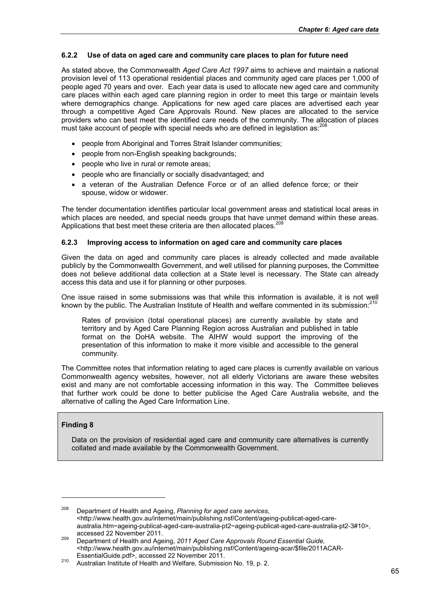# **6.2.2 Use of data on aged care and community care places to plan for future need**

As stated above, the Commonwealth *Aged Care Act 1997* aims to achieve and maintain a national provision level of 113 operational residential places and community aged care places per 1,000 of people aged 70 years and over. Each year data is used to allocate new aged care and community care places within each aged care planning region in order to meet this targe or maintain levels where demographics change. Applications for new aged care places are advertised each year through a competitive Aged Care Approvals Round. New places are allocated to the service providers who can best meet the identified care needs of the community. The allocation of places must take account of people with special needs who are defined in legislation as:<sup>208</sup>

- people from Aboriginal and Torres Strait Islander communities;
- people from non-English speaking backgrounds;
- people who live in rural or remote areas;
- people who are financially or socially disadvantaged; and
- a veteran of the Australian Defence Force or of an allied defence force; or their spouse, widow or widower.

The tender documentation identifies particular local government areas and statistical local areas in which places are needed, and special needs groups that have unmet demand within these areas. Applications that best meet these criteria are then allocated places.<sup>209</sup>

# **6.2.3 Improving access to information on aged care and community care places**

Given the data on aged and community care places is already collected and made available publicly by the Commonwealth Government, and well utilised for planning purposes, the Committee does not believe additional data collection at a State level is necessary. The State can already access this data and use it for planning or other purposes.

One issue raised in some submissions was that while this information is available, it is not well known by the public. The Australian Institute of Health and welfare commented in its submission:<sup>210</sup>

Rates of provision (total operational places) are currently available by state and territory and by Aged Care Planning Region across Australian and published in table format on the DoHA website. The AIHW would support the improving of the presentation of this information to make it more visible and accessible to the general community.

The Committee notes that information relating to aged care places is currently available on various Commonwealth agency websites, however, not all elderly Victorians are aware these websites exist and many are not comfortable accessing information in this way. The Committee believes that further work could be done to better publicise the Aged Care Australia website, and the alternative of calling the Aged Care Information Line.

# **Finding 8**

-

Data on the provision of residential aged care and community care alternatives is currently collated and made available by the Commonwealth Government.

<sup>208</sup> Department of Health and Ageing, *Planning for aged care services*, <http://www.health.gov.au/internet/main/publishing.nsf/Content/ageing-publicat-aged-careaustralia.htm~ageing-publicat-aged-care-australia-pt2~ageing-publicat-aged-care-australia-pt2-3#10>,

accessed 22 November 2011. 209 Department of Health and Ageing, *2011 Aged Care Approvals Round Essential Guide,*  <http://www.health.gov.au/internet/main/publishing.nsf/Content/ageing-acar/\$file/2011ACAR-

<sup>210</sup> Australian Institute of Health and Welfare, Submission No. 19, p. 2.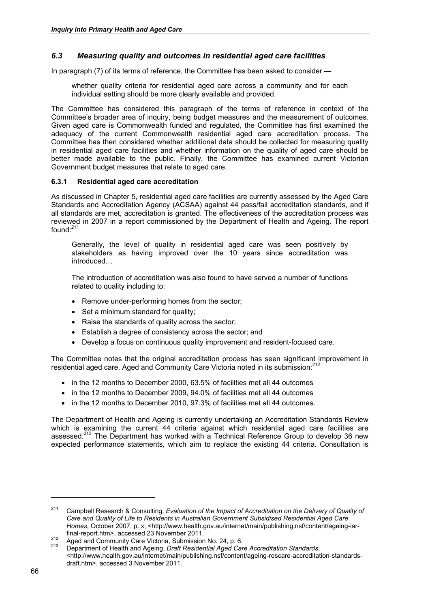# *6.3 Measuring quality and outcomes in residential aged care facilities*

In paragraph (7) of its terms of reference, the Committee has been asked to consider —

whether quality criteria for residential aged care across a community and for each individual setting should be more clearly available and provided.

The Committee has considered this paragraph of the terms of reference in context of the Committee's broader area of inquiry, being budget measures and the measurement of outcomes. Given aged care is Commonwealth funded and regulated, the Committee has first examined the adequacy of the current Commonwealth residential aged care accreditation process. The Committee has then considered whether additional data should be collected for measuring quality in residential aged care facilities and whether information on the quality of aged care should be better made available to the public. Finally, the Committee has examined current Victorian Government budget measures that relate to aged care.

## **6.3.1 Residential aged care accreditation**

As discussed in Chapter 5, residential aged care facilities are currently assessed by the Aged Care Standards and Accreditation Agency (ACSAA) against 44 pass/fail accreditation standards, and if all standards are met, accreditation is granted. The effectiveness of the accreditation process was reviewed in 2007 in a report commissioned by the Department of Health and Ageing. The report found<sup> $.211$ </sup>

Generally, the level of quality in residential aged care was seen positively by stakeholders as having improved over the 10 years since accreditation was introduced…

The introduction of accreditation was also found to have served a number of functions related to quality including to:

- Remove under-performing homes from the sector:
- Set a minimum standard for quality:
- Raise the standards of quality across the sector;
- Establish a degree of consistency across the sector; and
- Develop a focus on continuous quality improvement and resident-focused care.

The Committee notes that the original accreditation process has seen significant improvement in residential aged care. Aged and Community Care Victoria noted in its submission:<sup>212</sup>

- in the 12 months to December 2000, 63.5% of facilities met all 44 outcomes
- in the 12 months to December 2009, 94.0% of facilities met all 44 outcomes
- in the 12 months to December 2010, 97.3% of facilities met all 44 outcomes.

The Department of Health and Ageing is currently undertaking an Accreditation Standards Review which is examining the current 44 criteria against which residential aged care facilities are assessed.<sup>213</sup> The Department has worked with a Technical Reference Group to develop 36 new expected performance statements, which aim to replace the existing 44 criteria. Consultation is

<sup>&</sup>lt;sup>211</sup> Campbell Research & Consulting, *Evaluation of the Impact of Accreditation on the Delivery of Quality of Care and Quality of Life to Residents in Australian Government Subsidised Residential Aged Care Homes*, October 2007, p. x, <http://www.health.gov.au/internet/main/publishing.nsf/content/ageing-iar-<br>final-report.htm>, accessed 23 November 2011.

final-report.htm>, accessed 23 November 2011. 212 Aged and Community Care Victoria, Submission No. 24, p. 6. 213 Department of Health and Ageing, *Draft Residential Aged Care Accreditation Standards*, <http://www.health.gov.au/internet/main/publishing.nsf/content/ageing-rescare-accreditation-standardsdraft.htm>, accessed 3 November 2011.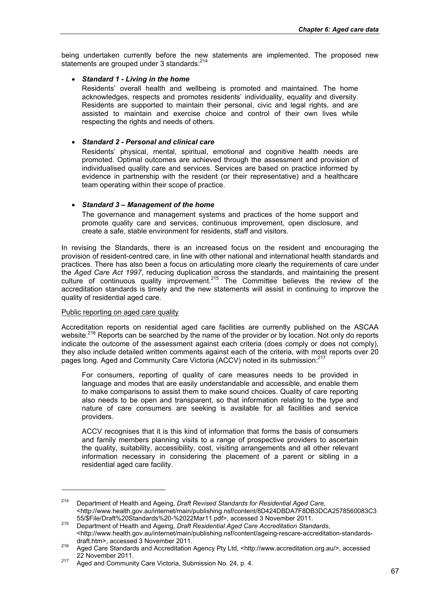being undertaken currently before the new statements are implemented. The proposed new statements are grouped under 3 standards: <sup>214</sup>

## *Standard 1 - Living in the home*

Residents' overall health and wellbeing is promoted and maintained. The home acknowledges, respects and promotes residents' individuality, equality and diversity. Residents are supported to maintain their personal, civic and legal rights, and are assisted to maintain and exercise choice and control of their own lives while respecting the rights and needs of others.

## *Standard 2 - Personal and clinical care*

Residents' physical, mental, spiritual, emotional and cognitive health needs are promoted. Optimal outcomes are achieved through the assessment and provision of individualised quality care and services. Services are based on practice informed by evidence in partnership with the resident (or their representative) and a healthcare team operating within their scope of practice.

## *Standard 3 – Management of the home*

The governance and management systems and practices of the home support and promote quality care and services, continuous improvement, open disclosure, and create a safe, stable environment for residents, staff and visitors.

In revising the Standards, there is an increased focus on the resident and encouraging the provision of resident-centred care, in line with other national and international health standards and practices. There has also been a focus on articulating more clearly the requirements of care under the *Aged Care Act 1997*, reducing duplication across the standards, and maintaining the present culture of continuous quality improvement.<sup>215</sup> The Committee believes the review of the accreditation standards is timely and the new statements will assist in continuing to improve the quality of residential aged care.

# Public reporting on aged care quality

1

Accreditation reports on residential aged care facilities are currently published on the ASCAA website.<sup>216</sup> Reports can be searched by the name of the provider or by location. Not only do reports indicate the outcome of the assessment against each criteria (does comply or does not comply), they also include detailed written comments against each of the criteria, with most reports over 20 pages long. Aged and Community Care Victoria (ACCV) noted in its submission:<sup>217</sup>

For consumers, reporting of quality of care measures needs to be provided in language and modes that are easily understandable and accessible, and enable them to make comparisons to assist them to make sound choices. Quality of care reporting also needs to be open and transparent, so that information relating to the type and nature of care consumers are seeking is available for all facilities and service providers.

ACCV recognises that it is this kind of information that forms the basis of consumers and family members planning visits to a range of prospective providers to ascertain the quality, suitability, accessibility, cost, visiting arrangements and all other relevant information necessary in considering the placement of a parent or sibling in a residential aged care facility.

<sup>214</sup> Department of Health and Ageing, *Draft Revised Standards for Residential Aged Care*, <http://www.health.gov.au/internet/main/publishing.nsf/content/8D424DBDA7F8DB3DCA2578560083C3

<sup>55/\$</sup>File/Draft%20Standards%20-%2022Mar11.pdf>, accessed 3 November 2011. 215 Department of Health and Ageing, *Draft Residential Aged Care Accreditation Standards*, <http://www.health.gov.au/internet/main/publishing.nsf/content/ageing-rescare-accreditation-standards-<br>draft.htm>, accessed 3 November 2011.

draft.htm>, accessed 3 November 2011. 216 Aged Care Standards and Accreditation Agency Pty Ltd, <http://www.accreditation.org.au/>, accessed

<sup>&</sup>lt;sup>217</sup> Aged and Community Care Victoria, Submission No. 24, p. 4.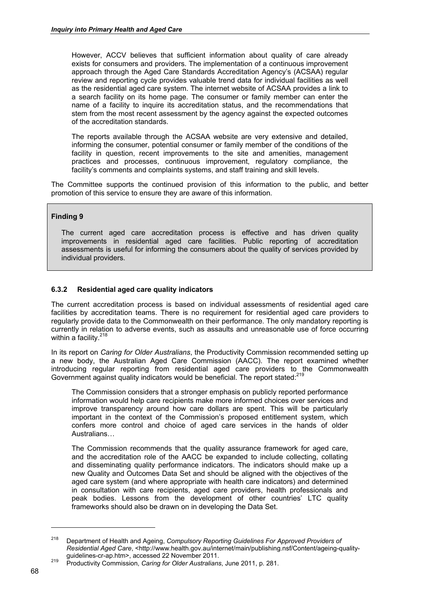However, ACCV believes that sufficient information about quality of care already exists for consumers and providers. The implementation of a continuous improvement approach through the Aged Care Standards Accreditation Agency's (ACSAA) regular review and reporting cycle provides valuable trend data for individual facilities as well as the residential aged care system. The internet website of ACSAA provides a link to a search facility on its home page. The consumer or family member can enter the name of a facility to inquire its accreditation status, and the recommendations that stem from the most recent assessment by the agency against the expected outcomes of the accreditation standards.

The reports available through the ACSAA website are very extensive and detailed, informing the consumer, potential consumer or family member of the conditions of the facility in question, recent improvements to the site and amenities, management practices and processes, continuous improvement, regulatory compliance, the facility's comments and complaints systems, and staff training and skill levels.

The Committee supports the continued provision of this information to the public, and better promotion of this service to ensure they are aware of this information.

# **Finding 9**

The current aged care accreditation process is effective and has driven quality improvements in residential aged care facilities. Public reporting of accreditation assessments is useful for informing the consumers about the quality of services provided by individual providers.

## **6.3.2 Residential aged care quality indicators**

The current accreditation process is based on individual assessments of residential aged care facilities by accreditation teams. There is no requirement for residential aged care providers to regularly provide data to the Commonwealth on their performance. The only mandatory reporting is currently in relation to adverse events, such as assaults and unreasonable use of force occurring within a facility. $218$ 

In its report on *Caring for Older Australians*, the Productivity Commission recommended setting up a new body, the Australian Aged Care Commission (AACC). The report examined whether introducing regular reporting from residential aged care providers to the Commonwealth Government against quality indicators would be beneficial. The report stated:<sup>219</sup>

The Commission considers that a stronger emphasis on publicly reported performance information would help care recipients make more informed choices over services and improve transparency around how care dollars are spent. This will be particularly important in the context of the Commission's proposed entitlement system, which confers more control and choice of aged care services in the hands of older Australians…

The Commission recommends that the quality assurance framework for aged care, and the accreditation role of the AACC be expanded to include collecting, collating and disseminating quality performance indicators. The indicators should make up a new Quality and Outcomes Data Set and should be aligned with the objectives of the aged care system (and where appropriate with health care indicators) and determined in consultation with care recipients, aged care providers, health professionals and peak bodies. Lessons from the development of other countries' LTC quality frameworks should also be drawn on in developing the Data Set.

<sup>218</sup> Department of Health and Ageing, *Compulsory Reporting Guidelines For Approved Providers of Residential Aged Care*, <http://www.health.gov.au/internet/main/publishing.nsf/Content/ageing-quality-

guidelines-cr-ap.htm>, accessed 22 November 2011. 219 Productivity Commission, *Caring for Older Australians*, June 2011, p. 281.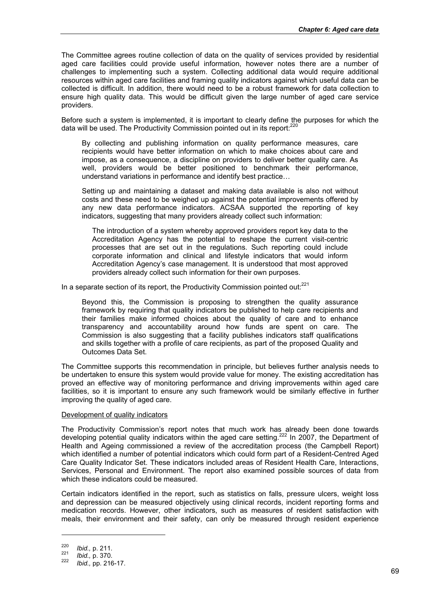The Committee agrees routine collection of data on the quality of services provided by residential aged care facilities could provide useful information, however notes there are a number of challenges to implementing such a system. Collecting additional data would require additional resources within aged care facilities and framing quality indicators against which useful data can be collected is difficult. In addition, there would need to be a robust framework for data collection to ensure high quality data. This would be difficult given the large number of aged care service providers.

Before such a system is implemented, it is important to clearly define the purposes for which the data will be used. The Productivity Commission pointed out in its report:<sup>220</sup>

By collecting and publishing information on quality performance measures, care recipients would have better information on which to make choices about care and impose, as a consequence, a discipline on providers to deliver better quality care. As well, providers would be better positioned to benchmark their performance, understand variations in performance and identify best practice…

Setting up and maintaining a dataset and making data available is also not without costs and these need to be weighed up against the potential improvements offered by any new data performance indicators. ACSAA supported the reporting of key indicators, suggesting that many providers already collect such information:

The introduction of a system whereby approved providers report key data to the Accreditation Agency has the potential to reshape the current visit-centric processes that are set out in the regulations. Such reporting could include corporate information and clinical and lifestyle indicators that would inform Accreditation Agency's case management. It is understood that most approved providers already collect such information for their own purposes.

In a separate section of its report, the Productivity Commission pointed out: $^{221}$ 

Beyond this, the Commission is proposing to strengthen the quality assurance framework by requiring that quality indicators be published to help care recipients and their families make informed choices about the quality of care and to enhance transparency and accountability around how funds are spent on care. The Commission is also suggesting that a facility publishes indicators staff qualifications and skills together with a profile of care recipients, as part of the proposed Quality and Outcomes Data Set.

The Committee supports this recommendation in principle, but believes further analysis needs to be undertaken to ensure this system would provide value for money. The existing accreditation has proved an effective way of monitoring performance and driving improvements within aged care facilities, so it is important to ensure any such framework would be similarly effective in further improving the quality of aged care.

## Development of quality indicators

The Productivity Commission's report notes that much work has already been done towards developing potential quality indicators within the aged care setting.<sup>222</sup> In 2007, the Department of Health and Ageing commissioned a review of the accreditation process (the Campbell Report) which identified a number of potential indicators which could form part of a Resident-Centred Aged Care Quality Indicator Set. These indicators included areas of Resident Health Care, Interactions, Services, Personal and Environment. The report also examined possible sources of data from which these indicators could be measured.

Certain indicators identified in the report, such as statistics on falls, pressure ulcers, weight loss and depression can be measured objectively using clinical records, incident reporting forms and medication records. However, other indicators, such as measures of resident satisfaction with meals, their environment and their safety, can only be measured through resident experience

-

<sup>220</sup>*Ibid.,* p. 211. 221 *Ibid.,* p. 370. 222 *Ibid.,* pp. 216-17.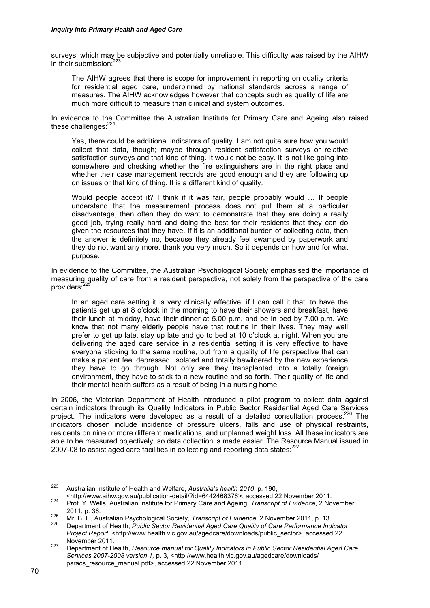surveys, which may be subjective and potentially unreliable. This difficulty was raised by the AIHW in their submission.<sup>223</sup>

The AIHW agrees that there is scope for improvement in reporting on quality criteria for residential aged care, underpinned by national standards across a range of measures. The AIHW acknowledges however that concepts such as quality of life are much more difficult to measure than clinical and system outcomes.

In evidence to the Committee the Australian Institute for Primary Care and Ageing also raised these challenges:<sup>224</sup>

Yes, there could be additional indicators of quality. I am not quite sure how you would collect that data, though; maybe through resident satisfaction surveys or relative satisfaction surveys and that kind of thing. It would not be easy. It is not like going into somewhere and checking whether the fire extinguishers are in the right place and whether their case management records are good enough and they are following up on issues or that kind of thing. It is a different kind of quality.

Would people accept it? I think if it was fair, people probably would … If people understand that the measurement process does not put them at a particular disadvantage, then often they do want to demonstrate that they are doing a really good job, trying really hard and doing the best for their residents that they can do given the resources that they have. If it is an additional burden of collecting data, then the answer is definitely no, because they already feel swamped by paperwork and they do not want any more, thank you very much. So it depends on how and for what purpose.

In evidence to the Committee, the Australian Psychological Society emphasised the importance of measuring quality of care from a resident perspective, not solely from the perspective of the care providers:

In an aged care setting it is very clinically effective, if I can call it that, to have the patients get up at 8 o'clock in the morning to have their showers and breakfast, have their lunch at midday, have their dinner at 5.00 p.m. and be in bed by 7.00 p.m. We know that not many elderly people have that routine in their lives. They may well prefer to get up late, stay up late and go to bed at 10 o'clock at night. When you are delivering the aged care service in a residential setting it is very effective to have everyone sticking to the same routine, but from a quality of life perspective that can make a patient feel depressed, isolated and totally bewildered by the new experience they have to go through. Not only are they transplanted into a totally foreign environment, they have to stick to a new routine and so forth. Their quality of life and their mental health suffers as a result of being in a nursing home.

In 2006, the Victorian Department of Health introduced a pilot program to collect data against certain indicators through its Quality Indicators in Public Sector Residential Aged Care Services project. The indicators were developed as a result of a detailed consultation process.<sup>226</sup> The indicators chosen include incidence of pressure ulcers, falls and use of physical restraints, residents on nine or more different medications, and unplanned weight loss. All these indicators are able to be measured objectively, so data collection is made easier. The Resource Manual issued in 2007-08 to assist aged care facilities in collecting and reporting data states: $227$ 

<sup>223</sup> Australian Institute of Health and Welfare, *Australia's health 2010*, p. 190,

<sup>&</sup>lt;http://www.aihw.gov.au/publication-detail/?id=6442468376>, accessed 22 November 2011. 224 Prof. Y. Wells, Australian Institute for Primary Care and Ageing, *Transcript of Evidence*, 2 November

<sup>2011,</sup> p. 36. 225 Mr. B. Li, Australian Psychological Society, *Transcript of Evidence*, 2 November 2011, p. 13. 226 Department of Health, *Public Sector Residential Aged Care Quality of Care Performance Indicator* 

*Project Report*, <http://www.health.vic.gov.au/agedcare/downloads/public\_sector>, accessed 22 November 2011. 227 Department of Health, *Resource manual for Quality Indicators in Public Sector Residential Aged Care* 

*Services 2007-2008 version 1,* p. 3, <http://www.health.vic.gov.au/agedcare/downloads/ psracs\_resource\_manual.pdf>, accessed 22 November 2011.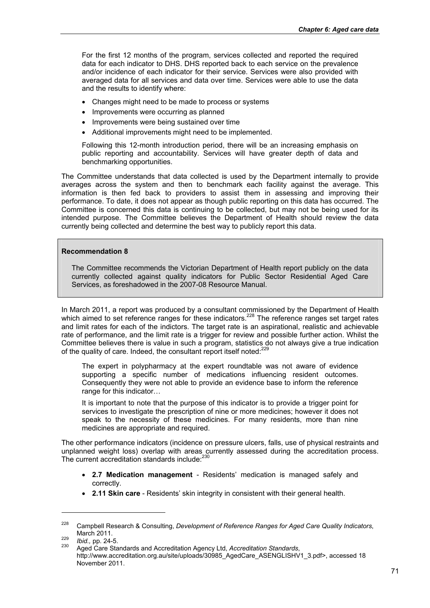For the first 12 months of the program, services collected and reported the required data for each indicator to DHS. DHS reported back to each service on the prevalence and/or incidence of each indicator for their service. Services were also provided with averaged data for all services and data over time. Services were able to use the data and the results to identify where:

- Changes might need to be made to process or systems
- Improvements were occurring as planned
- Improvements were being sustained over time
- Additional improvements might need to be implemented.

Following this 12-month introduction period, there will be an increasing emphasis on public reporting and accountability. Services will have greater depth of data and benchmarking opportunities.

The Committee understands that data collected is used by the Department internally to provide averages across the system and then to benchmark each facility against the average. This information is then fed back to providers to assist them in assessing and improving their performance. To date, it does not appear as though public reporting on this data has occurred. The Committee is concerned this data is continuing to be collected, but may not be being used for its intended purpose. The Committee believes the Department of Health should review the data currently being collected and determine the best way to publicly report this data.

#### **Recommendation 8**

The Committee recommends the Victorian Department of Health report publicly on the data currently collected against quality indicators for Public Sector Residential Aged Care Services, as foreshadowed in the 2007-08 Resource Manual.

In March 2011, a report was produced by a consultant commissioned by the Department of Health which aimed to set reference ranges for these indicators.<sup>228</sup> The reference ranges set target rates and limit rates for each of the indictors. The target rate is an aspirational, realistic and achievable rate of performance, and the limit rate is a trigger for review and possible further action. Whilst the Committee believes there is value in such a program, statistics do not always give a true indication of the quality of care. Indeed, the consultant report itself noted:<sup>229</sup>

The expert in polypharmacy at the expert roundtable was not aware of evidence supporting a specific number of medications influencing resident outcomes. Consequently they were not able to provide an evidence base to inform the reference range for this indicator…

It is important to note that the purpose of this indicator is to provide a trigger point for services to investigate the prescription of nine or more medicines; however it does not speak to the necessity of these medicines. For many residents, more than nine medicines are appropriate and required.

The other performance indicators (incidence on pressure ulcers, falls, use of physical restraints and unplanned weight loss) overlap with areas currently assessed during the accreditation process. The current accreditation standards include:<sup>230</sup>

- **2.7 Medication management** Residents' medication is managed safely and correctly.
- **2.11 Skin care**  Residents' skin integrity in consistent with their general health.

<sup>228</sup> Campbell Research & Consulting, *Development of Reference Ranges for Aged Care Quality Indicators*,

March 2011. 229 *Ibid.,* pp. 24-5. 230 Aged Care Standards and Accreditation Agency Ltd, *Accreditation Standards*, http://www.accreditation.org.au/site/uploads/30985\_AgedCare\_ASENGLISHV1\_3.pdf>, accessed 18 November 2011.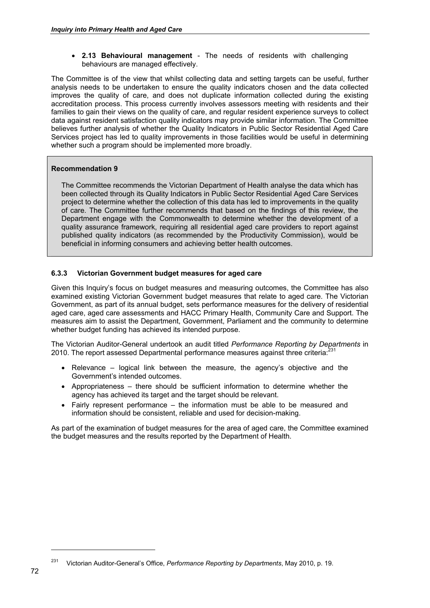**2.13 Behavioural management** - The needs of residents with challenging behaviours are managed effectively.

The Committee is of the view that whilst collecting data and setting targets can be useful, further analysis needs to be undertaken to ensure the quality indicators chosen and the data collected improves the quality of care, and does not duplicate information collected during the existing accreditation process. This process currently involves assessors meeting with residents and their families to gain their views on the quality of care, and regular resident experience surveys to collect data against resident satisfaction quality indicators may provide similar information. The Committee believes further analysis of whether the Quality Indicators in Public Sector Residential Aged Care Services project has led to quality improvements in those facilities would be useful in determining whether such a program should be implemented more broadly.

#### **Recommendation 9**

The Committee recommends the Victorian Department of Health analyse the data which has been collected through its Quality Indicators in Public Sector Residential Aged Care Services project to determine whether the collection of this data has led to improvements in the quality of care. The Committee further recommends that based on the findings of this review, the Department engage with the Commonwealth to determine whether the development of a quality assurance framework, requiring all residential aged care providers to report against published quality indicators (as recommended by the Productivity Commission), would be beneficial in informing consumers and achieving better health outcomes.

#### **6.3.3 Victorian Government budget measures for aged care**

Given this Inquiry's focus on budget measures and measuring outcomes, the Committee has also examined existing Victorian Government budget measures that relate to aged care. The Victorian Government, as part of its annual budget, sets performance measures for the delivery of residential aged care, aged care assessments and HACC Primary Health, Community Care and Support. The measures aim to assist the Department, Government, Parliament and the community to determine whether budget funding has achieved its intended purpose.

The Victorian Auditor-General undertook an audit titled *Performance Reporting by Departments* in 2010. The report assessed Departmental performance measures against three criteria:

- $\bullet$  Relevance logical link between the measure, the agency's objective and the Government's intended outcomes.
- Appropriateness there should be sufficient information to determine whether the agency has achieved its target and the target should be relevant.
- Fairly represent performance the information must be able to be measured and information should be consistent, reliable and used for decision-making.

As part of the examination of budget measures for the area of aged care, the Committee examined the budget measures and the results reported by the Department of Health.

<sup>231</sup> Victorian Auditor-General's Office, *Performance Reporting by Departments*, May 2010, p. 19.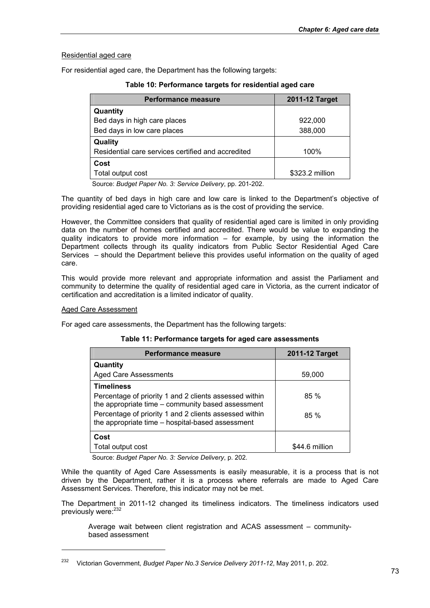## Residential aged care

For residential aged care, the Department has the following targets:

| <b>Performance measure</b>                         | 2011-12 Target  |
|----------------------------------------------------|-----------------|
| Quantity                                           |                 |
| Bed days in high care places                       | 922,000         |
| Bed days in low care places                        | 388,000         |
| Quality                                            |                 |
| Residential care services certified and accredited | 100%            |
| Cost                                               |                 |
| Total output cost                                  | \$323.2 million |

**Table 10: Performance targets for residential aged care** 

Source: *Budget Paper No. 3: Service Delivery*, pp. 201-202.

The quantity of bed days in high care and low care is linked to the Department's objective of providing residential aged care to Victorians as is the cost of providing the service.

However, the Committee considers that quality of residential aged care is limited in only providing data on the number of homes certified and accredited. There would be value to expanding the quality indicators to provide more information – for example, by using the information the Department collects through its quality indicators from Public Sector Residential Aged Care Services – should the Department believe this provides useful information on the quality of aged care.

This would provide more relevant and appropriate information and assist the Parliament and community to determine the quality of residential aged care in Victoria, as the current indicator of certification and accreditation is a limited indicator of quality.

#### Aged Care Assessment

1

For aged care assessments, the Department has the following targets:

| Table 11: Performance targets for aged care assessments |  |  |  |
|---------------------------------------------------------|--|--|--|
|---------------------------------------------------------|--|--|--|

| <b>Performance measure</b>                                                                                  | 2011-12 Target |
|-------------------------------------------------------------------------------------------------------------|----------------|
| Quantity                                                                                                    |                |
| <b>Aged Care Assessments</b>                                                                                | 59,000         |
| <b>Timeliness</b>                                                                                           |                |
| Percentage of priority 1 and 2 clients assessed within<br>the appropriate time – community based assessment | 85%            |
| Percentage of priority 1 and 2 clients assessed within<br>the appropriate time - hospital-based assessment  | 85%            |
| Cost                                                                                                        |                |
| Total output cost                                                                                           | \$44.6 million |

Source: *Budget Paper No. 3: Service Delivery*, p. 202.

While the quantity of Aged Care Assessments is easily measurable, it is a process that is not driven by the Department, rather it is a process where referrals are made to Aged Care Assessment Services. Therefore, this indicator may not be met.

The Department in 2011-12 changed its timeliness indicators. The timeliness indicators used previously were: $2<sup>23</sup>$ 

Average wait between client registration and ACAS assessment – communitybased assessment

<sup>232</sup> Victorian Government, *Budget Paper No.3 Service Delivery 2011-12*, May 2011, p. 202.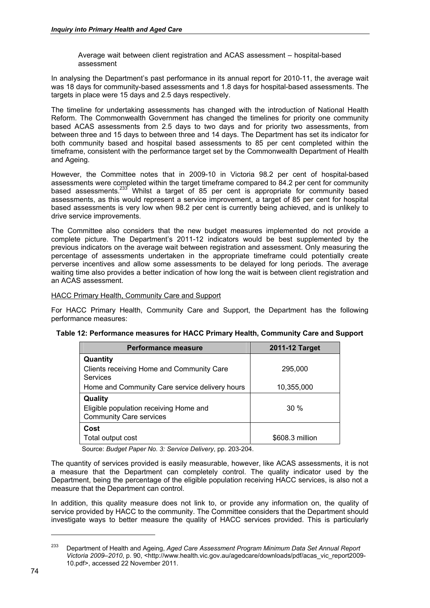Average wait between client registration and ACAS assessment – hospital-based assessment

In analysing the Department's past performance in its annual report for 2010-11, the average wait was 18 days for community-based assessments and 1.8 days for hospital-based assessments. The targets in place were 15 days and 2.5 days respectively.

The timeline for undertaking assessments has changed with the introduction of National Health Reform. The Commonwealth Government has changed the timelines for priority one community based ACAS assessments from 2.5 days to two days and for priority two assessments, from between three and 15 days to between three and 14 days. The Department has set its indicator for both community based and hospital based assessments to 85 per cent completed within the timeframe, consistent with the performance target set by the Commonwealth Department of Health and Ageing.

However, the Committee notes that in 2009-10 in Victoria 98.2 per cent of hospital-based assessments were completed within the target timeframe compared to 84.2 per cent for community based assessments.233 Whilst a target of 85 per cent is appropriate for community based assessments, as this would represent a service improvement, a target of 85 per cent for hospital based assessments is very low when 98.2 per cent is currently being achieved, and is unlikely to drive service improvements.

The Committee also considers that the new budget measures implemented do not provide a complete picture. The Department's 2011-12 indicators would be best supplemented by the previous indicators on the average wait between registration and assessment. Only measuring the percentage of assessments undertaken in the appropriate timeframe could potentially create perverse incentives and allow some assessments to be delayed for long periods. The average waiting time also provides a better indication of how long the wait is between client registration and an ACAS assessment.

#### HACC Primary Health, Community Care and Support

For HACC Primary Health, Community Care and Support, the Department has the following performance measures:

| Table 12: Performance measures for HACC Primary Health, Community Care and Support |  |
|------------------------------------------------------------------------------------|--|
|                                                                                    |  |

| <b>Performance measure</b>                                               | 2011-12 Target  |
|--------------------------------------------------------------------------|-----------------|
| Quantity                                                                 |                 |
| Clients receiving Home and Community Care<br>Services                    | 295,000         |
| Home and Community Care service delivery hours                           | 10,355,000      |
| Quality                                                                  |                 |
| Eligible population receiving Home and<br><b>Community Care services</b> | $30\%$          |
| Cost                                                                     |                 |
| Total output cost                                                        | \$608.3 million |

Source: *Budget Paper No. 3: Service Delivery*, pp. 203-204.

The quantity of services provided is easily measurable, however, like ACAS assessments, it is not a measure that the Department can completely control. The quality indicator used by the Department, being the percentage of the eligible population receiving HACC services, is also not a measure that the Department can control.

In addition, this quality measure does not link to, or provide any information on, the quality of service provided by HACC to the community. The Committee considers that the Department should investigate ways to better measure the quality of HACC services provided. This is particularly

-

<sup>233</sup> Department of Health and Ageing, *Aged Care Assessment Program Minimum Data Set Annual Report Victoria 2009–2010*, p. 90, <http://www.health.vic.gov.au/agedcare/downloads/pdf/acas\_vic\_report2009- 10.pdf>, accessed 22 November 2011.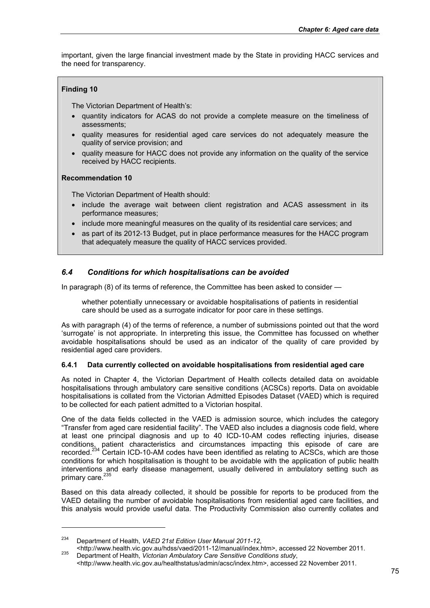important, given the large financial investment made by the State in providing HACC services and the need for transparency.

## **Finding 10**

The Victorian Department of Health's:

- quantity indicators for ACAS do not provide a complete measure on the timeliness of assessments;
- quality measures for residential aged care services do not adequately measure the quality of service provision; and
- quality measure for HACC does not provide any information on the quality of the service received by HACC recipients.

#### **Recommendation 10**

1

The Victorian Department of Health should:

- include the average wait between client registration and ACAS assessment in its performance measures;
- include more meaningful measures on the quality of its residential care services; and
- as part of its 2012-13 Budget, put in place performance measures for the HACC program that adequately measure the quality of HACC services provided.

## *6.4 Conditions for which hospitalisations can be avoided*

In paragraph (8) of its terms of reference, the Committee has been asked to consider —

whether potentially unnecessary or avoidable hospitalisations of patients in residential care should be used as a surrogate indicator for poor care in these settings.

As with paragraph (4) of the terms of reference, a number of submissions pointed out that the word 'surrogate' is not appropriate. In interpreting this issue, the Committee has focussed on whether avoidable hospitalisations should be used as an indicator of the quality of care provided by residential aged care providers.

#### **6.4.1 Data currently collected on avoidable hospitalisations from residential aged care**

As noted in Chapter 4, the Victorian Department of Health collects detailed data on avoidable hospitalisations through ambulatory care sensitive conditions (ACSCs) reports. Data on avoidable hospitalisations is collated from the Victorian Admitted Episodes Dataset (VAED) which is required to be collected for each patient admitted to a Victorian hospital.

One of the data fields collected in the VAED is admission source, which includes the category "Transfer from aged care residential facility". The VAED also includes a diagnosis code field, where at least one principal diagnosis and up to 40 ICD-10-AM codes reflecting injuries, disease conditions, patient characteristics and circumstances impacting this episode of care are recorded.<sup>234</sup> Certain ICD-10-AM codes have been identified as relating to ACSCs, which are those conditions for which hospitalisation is thought to be avoidable with the application of public health interventions and early disease management, usually delivered in ambulatory setting such as primary care.<sup>235</sup>

Based on this data already collected, it should be possible for reports to be produced from the VAED detailing the number of avoidable hospitalisations from residential aged care facilities, and this analysis would provide useful data. The Productivity Commission also currently collates and

<sup>234</sup> Department of Health, *VAED 21st Edition User Manual 2011-12*,

<sup>&</sup>lt;http://www.health.vic.gov.au/hdss/vaed/2011-12/manual/index.htm>, accessed 22 November 2011. 235 Department of Health, *Victorian Ambulatory Care Sensitive Conditions study*,

<sup>&</sup>lt;http://www.health.vic.gov.au/healthstatus/admin/acsc/index.htm>, accessed 22 November 2011.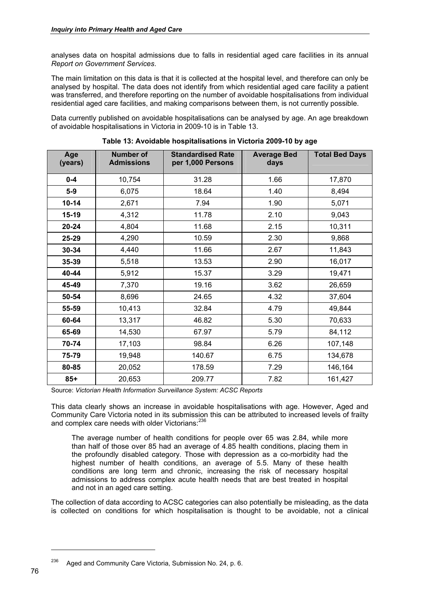analyses data on hospital admissions due to falls in residential aged care facilities in its annual *Report on Government Services*.

The main limitation on this data is that it is collected at the hospital level, and therefore can only be analysed by hospital. The data does not identify from which residential aged care facility a patient was transferred, and therefore reporting on the number of avoidable hospitalisations from individual residential aged care facilities, and making comparisons between them, is not currently possible.

Data currently published on avoidable hospitalisations can be analysed by age. An age breakdown of avoidable hospitalisations in Victoria in 2009-10 is in Table 13.

| Age<br>(years) | <b>Number of</b><br><b>Admissions</b> | <b>Standardised Rate</b><br>per 1,000 Persons | <b>Average Bed</b><br>days | <b>Total Bed Days</b> |
|----------------|---------------------------------------|-----------------------------------------------|----------------------------|-----------------------|
| $0 - 4$        | 10,754                                | 31.28                                         | 1.66                       | 17,870                |
| $5-9$          | 6,075                                 | 18.64                                         | 1.40                       | 8,494                 |
| $10 - 14$      | 2,671                                 | 7.94                                          | 1.90                       | 5,071                 |
| 15-19          | 4,312                                 | 11.78                                         | 2.10                       | 9,043                 |
| 20-24          | 4,804                                 | 11.68                                         | 2.15                       | 10,311                |
| 25-29          | 4,290                                 | 10.59                                         | 2.30                       | 9,868                 |
| 30-34          | 4,440                                 | 11.66                                         | 2.67                       | 11,843                |
| 35-39          | 5,518                                 | 13.53                                         | 2.90                       | 16,017                |
| 40-44          | 5,912                                 | 15.37                                         | 3.29                       | 19,471                |
| 45-49          | 7,370                                 | 19.16                                         | 3.62                       | 26,659                |
| 50-54          | 8,696                                 | 24.65                                         | 4.32                       | 37,604                |
| 55-59          | 10,413                                | 32.84                                         | 4.79                       | 49,844                |
| 60-64          | 13,317                                | 46.82                                         | 5.30                       | 70,633                |
| 65-69          | 14,530                                | 67.97                                         | 5.79                       | 84,112                |
| 70-74          | 17,103                                | 98.84                                         | 6.26                       | 107,148               |
| 75-79          | 19,948                                | 140.67                                        | 6.75                       | 134,678               |
| 80-85          | 20,052                                | 178.59                                        | 7.29                       | 146,164               |
| $85+$          | 20,653                                | 209.77                                        | 7.82                       | 161,427               |

**Table 13: Avoidable hospitalisations in Victoria 2009-10 by age** 

Source: *Victorian Health Information Surveillance System: ACSC Reports*

This data clearly shows an increase in avoidable hospitalisations with age. However, Aged and Community Care Victoria noted in its submission this can be attributed to increased levels of frailty and complex care needs with older Victorians:<sup>236</sup>

The average number of health conditions for people over 65 was 2.84, while more than half of those over 85 had an average of 4.85 health conditions, placing them in the profoundly disabled category. Those with depression as a co-morbidity had the highest number of health conditions, an average of 5.5. Many of these health conditions are long term and chronic, increasing the risk of necessary hospital admissions to address complex acute health needs that are best treated in hospital and not in an aged care setting.

The collection of data according to ACSC categories can also potentially be misleading, as the data is collected on conditions for which hospitalisation is thought to be avoidable, not a clinical

 $236$  Aged and Community Care Victoria, Submission No. 24, p. 6.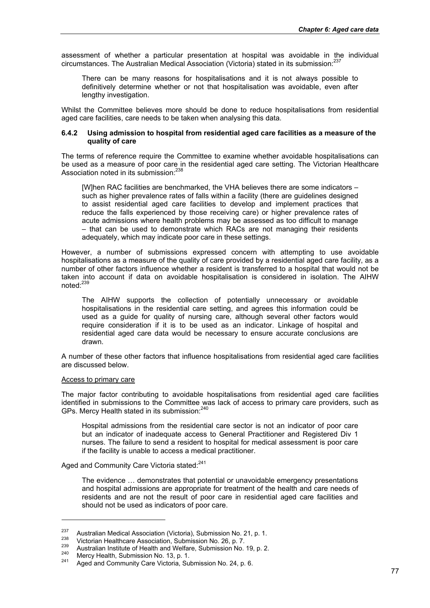assessment of whether a particular presentation at hospital was avoidable in the individual circumstances. The Australian Medical Association (Victoria) stated in its submission: $^{237}$ 

There can be many reasons for hospitalisations and it is not always possible to definitively determine whether or not that hospitalisation was avoidable, even after lengthy investigation.

Whilst the Committee believes more should be done to reduce hospitalisations from residential aged care facilities, care needs to be taken when analysing this data.

#### **6.4.2 Using admission to hospital from residential aged care facilities as a measure of the quality of care**

The terms of reference require the Committee to examine whether avoidable hospitalisations can be used as a measure of poor care in the residential aged care setting. The Victorian Healthcare Association noted in its submission:<sup>238</sup>

[W]hen RAC facilities are benchmarked, the VHA believes there are some indicators – such as higher prevalence rates of falls within a facility (there are guidelines designed to assist residential aged care facilities to develop and implement practices that reduce the falls experienced by those receiving care) or higher prevalence rates of acute admissions where health problems may be assessed as too difficult to manage – that can be used to demonstrate which RACs are not managing their residents adequately, which may indicate poor care in these settings.

However, a number of submissions expressed concern with attempting to use avoidable hospitalisations as a measure of the quality of care provided by a residential aged care facility, as a number of other factors influence whether a resident is transferred to a hospital that would not be taken into account if data on avoidable hospitalisation is considered in isolation. The AIHW noted:<sup>239</sup>

The AIHW supports the collection of potentially unnecessary or avoidable hospitalisations in the residential care setting, and agrees this information could be used as a guide for quality of nursing care, although several other factors would require consideration if it is to be used as an indicator. Linkage of hospital and residential aged care data would be necessary to ensure accurate conclusions are drawn.

A number of these other factors that influence hospitalisations from residential aged care facilities are discussed below.

#### Access to primary care

1

The major factor contributing to avoidable hospitalisations from residential aged care facilities identified in submissions to the Committee was lack of access to primary care providers, such as GPs. Mercy Health stated in its submission:<sup>240</sup>

Hospital admissions from the residential care sector is not an indicator of poor care but an indicator of inadequate access to General Practitioner and Registered Div 1 nurses. The failure to send a resident to hospital for medical assessment is poor care if the facility is unable to access a medical practitioner.

Aged and Community Care Victoria stated:<sup>241</sup>

The evidence … demonstrates that potential or unavoidable emergency presentations and hospital admissions are appropriate for treatment of the health and care needs of residents and are not the result of poor care in residential aged care facilities and should not be used as indicators of poor care.

<sup>&</sup>lt;sup>237</sup> Australian Medical Association (Victoria), Submission No. 21, p. 1.<br>
<sup>238</sup> Victorian Healthcare Association, Submission No. 26, p. 7.<br>
Australian Institute of Health and Welfare, Submission No. 19, p. 2.<br>
Mercy Heal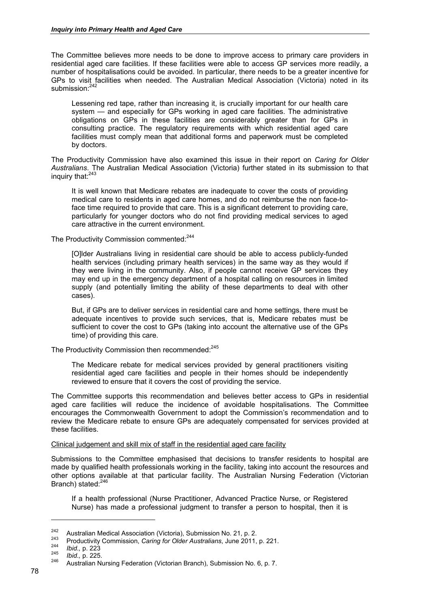The Committee believes more needs to be done to improve access to primary care providers in residential aged care facilities. If these facilities were able to access GP services more readily, a number of hospitalisations could be avoided. In particular, there needs to be a greater incentive for GPs to visit facilities when needed. The Australian Medical Association (Victoria) noted in its submission:<sup>242</sup>

Lessening red tape, rather than increasing it, is crucially important for our health care system — and especially for GPs working in aged care facilities. The administrative obligations on GPs in these facilities are considerably greater than for GPs in consulting practice. The regulatory requirements with which residential aged care facilities must comply mean that additional forms and paperwork must be completed by doctors.

The Productivity Commission have also examined this issue in their report on *Caring for Older Australians*. The Australian Medical Association (Victoria) further stated in its submission to that inquiry that:<sup>243</sup>

It is well known that Medicare rebates are inadequate to cover the costs of providing medical care to residents in aged care homes, and do not reimburse the non face-toface time required to provide that care. This is a significant deterrent to providing care, particularly for younger doctors who do not find providing medical services to aged care attractive in the current environment.

The Productivity Commission commented:<sup>244</sup>

[O]lder Australians living in residential care should be able to access publicly-funded health services (including primary health services) in the same way as they would if they were living in the community. Also, if people cannot receive GP services they may end up in the emergency department of a hospital calling on resources in limited supply (and potentially limiting the ability of these departments to deal with other cases).

But, if GPs are to deliver services in residential care and home settings, there must be adequate incentives to provide such services, that is, Medicare rebates must be sufficient to cover the cost to GPs (taking into account the alternative use of the GPs time) of providing this care.

The Productivity Commission then recommended:<sup>245</sup>

The Medicare rebate for medical services provided by general practitioners visiting residential aged care facilities and people in their homes should be independently reviewed to ensure that it covers the cost of providing the service.

The Committee supports this recommendation and believes better access to GPs in residential aged care facilities will reduce the incidence of avoidable hospitalisations. The Committee encourages the Commonwealth Government to adopt the Commission's recommendation and to review the Medicare rebate to ensure GPs are adequately compensated for services provided at these facilities.

#### Clinical judgement and skill mix of staff in the residential aged care facility

Submissions to the Committee emphasised that decisions to transfer residents to hospital are made by qualified health professionals working in the facility, taking into account the resources and other options available at that particular facility. The Australian Nursing Federation (Victorian Branch) stated:<sup>246</sup>

If a health professional (Nurse Practitioner, Advanced Practice Nurse, or Registered Nurse) has made a professional judgment to transfer a person to hospital, then it is

<sup>&</sup>lt;sup>242</sup> Australian Medical Association (Victoria), Submission No. 21, p. 2.<br><sup>243</sup> Productivity Commission, *Caring for Older Australians*, June 2011, p. 221.<br><sup>245</sup> *Ibid.*, p. 225.<br><sup>246</sup> Australian Nursing Federation (Victo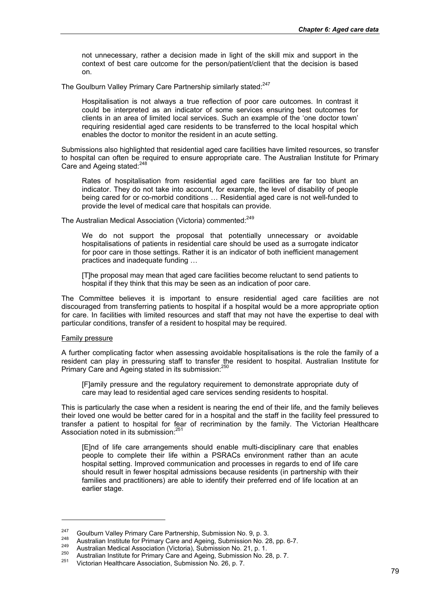not unnecessary, rather a decision made in light of the skill mix and support in the context of best care outcome for the person/patient/client that the decision is based on.

The Goulburn Valley Primary Care Partnership similarly stated:<sup>247</sup>

Hospitalisation is not always a true reflection of poor care outcomes. In contrast it could be interpreted as an indicator of some services ensuring best outcomes for clients in an area of limited local services. Such an example of the 'one doctor town' requiring residential aged care residents to be transferred to the local hospital which enables the doctor to monitor the resident in an acute setting.

Submissions also highlighted that residential aged care facilities have limited resources, so transfer to hospital can often be required to ensure appropriate care. The Australian Institute for Primary Care and Ageing stated:<sup>248</sup>

Rates of hospitalisation from residential aged care facilities are far too blunt an indicator. They do not take into account, for example, the level of disability of people being cared for or co-morbid conditions … Residential aged care is not well-funded to provide the level of medical care that hospitals can provide.

The Australian Medical Association (Victoria) commented:<sup>249</sup>

We do not support the proposal that potentially unnecessary or avoidable hospitalisations of patients in residential care should be used as a surrogate indicator for poor care in those settings. Rather it is an indicator of both inefficient management practices and inadequate funding …

[T]he proposal may mean that aged care facilities become reluctant to send patients to hospital if they think that this may be seen as an indication of poor care.

The Committee believes it is important to ensure residential aged care facilities are not discouraged from transferring patients to hospital if a hospital would be a more appropriate option for care. In facilities with limited resources and staff that may not have the expertise to deal with particular conditions, transfer of a resident to hospital may be required.

#### Family pressure

1

A further complicating factor when assessing avoidable hospitalisations is the role the family of a resident can play in pressuring staff to transfer the resident to hospital. Australian Institute for Primary Care and Ageing stated in its submission:<sup>250</sup>

[F]amily pressure and the regulatory requirement to demonstrate appropriate duty of care may lead to residential aged care services sending residents to hospital.

This is particularly the case when a resident is nearing the end of their life, and the family believes their loved one would be better cared for in a hospital and the staff in the facility feel pressured to transfer a patient to hospital for fear of recrimination by the family. The Victorian Healthcare Association noted in its submission:251

[E]nd of life care arrangements should enable multi-disciplinary care that enables people to complete their life within a PSRACs environment rather than an acute hospital setting. Improved communication and processes in regards to end of life care should result in fewer hospital admissions because residents (in partnership with their families and practitioners) are able to identify their preferred end of life location at an earlier stage.

<sup>&</sup>lt;sup>247</sup> Goulburn Valley Primary Care Partnership, Submission No. 9, p. 3.<br>
Australian Institute for Primary Care and Ageing, Submission No. 28, pp. 6-7.<br>
Australian Medical Association (Victoria), Submission No. 21, p. 1.<br>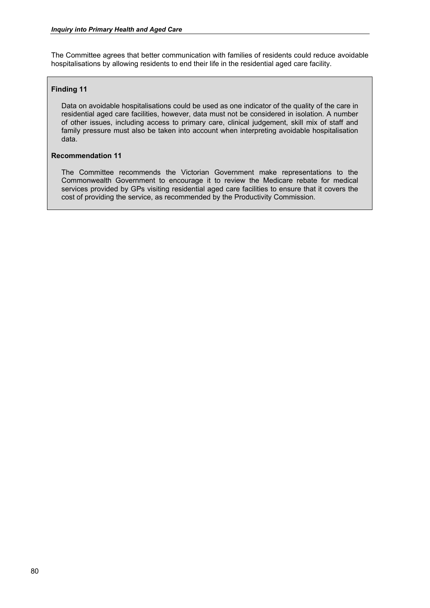The Committee agrees that better communication with families of residents could reduce avoidable hospitalisations by allowing residents to end their life in the residential aged care facility.

#### **Finding 11**

Data on avoidable hospitalisations could be used as one indicator of the quality of the care in residential aged care facilities, however, data must not be considered in isolation. A number of other issues, including access to primary care, clinical judgement, skill mix of staff and family pressure must also be taken into account when interpreting avoidable hospitalisation data.

#### **Recommendation 11**

The Committee recommends the Victorian Government make representations to the Commonwealth Government to encourage it to review the Medicare rebate for medical services provided by GPs visiting residential aged care facilities to ensure that it covers the cost of providing the service, as recommended by the Productivity Commission.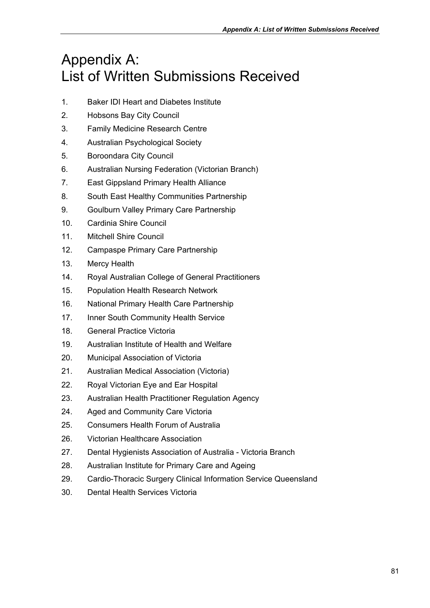# Appendix A: List of Written Submissions Received

- 1. Baker IDI Heart and Diabetes Institute
- 2. Hobsons Bay City Council
- 3. Family Medicine Research Centre
- 4. Australian Psychological Society
- 5. Boroondara City Council
- 6. Australian Nursing Federation (Victorian Branch)
- 7. East Gippsland Primary Health Alliance
- 8. South East Healthy Communities Partnership
- 9. Goulburn Valley Primary Care Partnership
- 10. Cardinia Shire Council
- 11. Mitchell Shire Council
- 12. Campaspe Primary Care Partnership
- 13. Mercy Health
- 14. Royal Australian College of General Practitioners
- 15. Population Health Research Network
- 16. National Primary Health Care Partnership
- 17. Inner South Community Health Service
- 18. General Practice Victoria
- 19. Australian Institute of Health and Welfare
- 20. Municipal Association of Victoria
- 21. Australian Medical Association (Victoria)
- 22. Royal Victorian Eye and Ear Hospital
- 23. Australian Health Practitioner Regulation Agency
- 24. Aged and Community Care Victoria
- 25. Consumers Health Forum of Australia
- 26. Victorian Healthcare Association
- 27. Dental Hygienists Association of Australia Victoria Branch
- 28. Australian Institute for Primary Care and Ageing
- 29. Cardio-Thoracic Surgery Clinical Information Service Queensland
- 30. Dental Health Services Victoria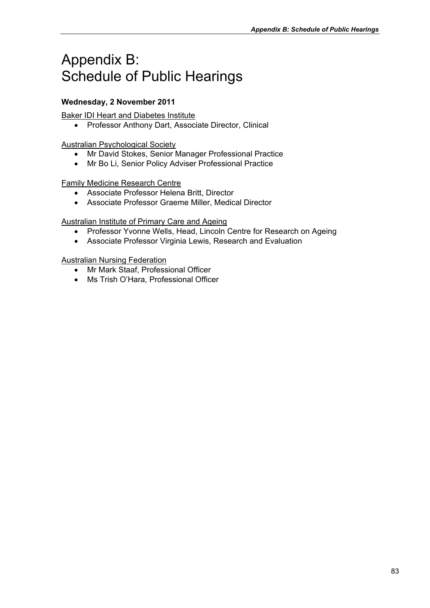# Appendix B: Schedule of Public Hearings

# **Wednesday, 2 November 2011**

Baker IDI Heart and Diabetes Institute

• Professor Anthony Dart, Associate Director, Clinical

Australian Psychological Society

- Mr David Stokes, Senior Manager Professional Practice
- Mr Bo Li, Senior Policy Adviser Professional Practice

Family Medicine Research Centre

- Associate Professor Helena Britt, Director
- Associate Professor Graeme Miller, Medical Director

Australian Institute of Primary Care and Ageing

- Professor Yvonne Wells, Head, Lincoln Centre for Research on Ageing
- Associate Professor Virginia Lewis, Research and Evaluation

Australian Nursing Federation

- Mr Mark Staaf, Professional Officer
- Ms Trish O'Hara, Professional Officer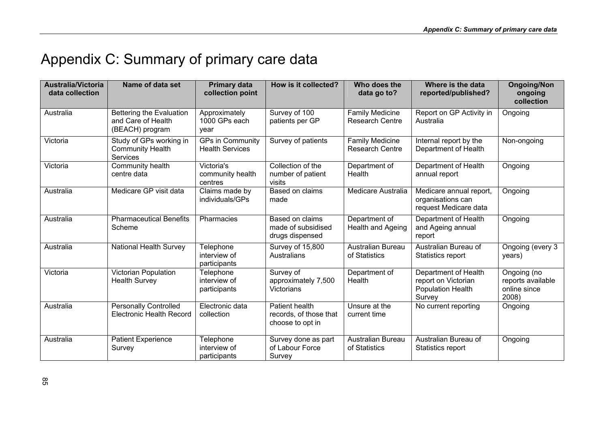# Appendix C: Summary of primary care data

| <b>Australia/Victoria</b><br>data collection | Name of data set                                                      | <b>Primary data</b><br>collection point           | How is it collected?                                         | Who does the<br>data go to?                      | Where is the data<br>reported/published?                                          | <b>Ongoing/Non</b><br>ongoing<br>collection               |
|----------------------------------------------|-----------------------------------------------------------------------|---------------------------------------------------|--------------------------------------------------------------|--------------------------------------------------|-----------------------------------------------------------------------------------|-----------------------------------------------------------|
| Australia                                    | Bettering the Evaluation<br>and Care of Health<br>(BEACH) program     | Approximately<br>1000 GPs each<br>vear            | Survey of 100<br>patients per GP                             | Family Medicine<br><b>Research Centre</b>        | Report on GP Activity in<br>Australia                                             | Ongoing                                                   |
| Victoria                                     | Study of GPs working in<br><b>Community Health</b><br><b>Services</b> | <b>GPs in Community</b><br><b>Health Services</b> | Survey of patients                                           | <b>Family Medicine</b><br><b>Research Centre</b> | Internal report by the<br>Department of Health                                    | Non-ongoing                                               |
| Victoria                                     | Community health<br>centre data                                       | Victoria's<br>community health<br>centres         | Collection of the<br>number of patient<br>visits             | Department of<br>Health                          | Department of Health<br>annual report                                             | Ongoing                                                   |
| Australia                                    | Medicare GP visit data                                                | Claims made by<br>individuals/GPs                 | Based on claims<br>made                                      | Medicare Australia                               | Medicare annual report,<br>organisations can<br>request Medicare data             | Ongoing                                                   |
| Australia                                    | <b>Pharmaceutical Benefits</b><br>Scheme                              | Pharmacies                                        | Based on claims<br>made of subsidised<br>drugs dispensed     | Department of<br><b>Health and Ageing</b>        | Department of Health<br>and Ageing annual<br>report                               | Ongoing                                                   |
| Australia                                    | National Health Survey                                                | Telephone<br>interview of<br>participants         | Survey of 15,800<br><b>Australians</b>                       | Australian Bureau<br>of Statistics               | Australian Bureau of<br>Statistics report                                         | Ongoing (every 3<br>years)                                |
| Victoria                                     | Victorian Population<br><b>Health Survey</b>                          | Telephone<br>interview of<br>participants         | Survey of<br>approximately 7,500<br><b>Victorians</b>        | Department of<br>Health                          | Department of Health<br>report on Victorian<br><b>Population Health</b><br>Survey | Ongoing (no<br>reports available<br>online since<br>2008) |
| Australia                                    | <b>Personally Controlled</b><br><b>Electronic Health Record</b>       | Electronic data<br>collection                     | Patient health<br>records, of those that<br>choose to opt in | Unsure at the<br>current time                    | No current reporting                                                              | Ongoing                                                   |
| Australia                                    | <b>Patient Experience</b><br>Survey                                   | Telephone<br>interview of<br>participants         | Survey done as part<br>of Labour Force<br>Survey             | Australian Bureau<br>of Statistics               | Australian Bureau of<br>Statistics report                                         | Ongoing                                                   |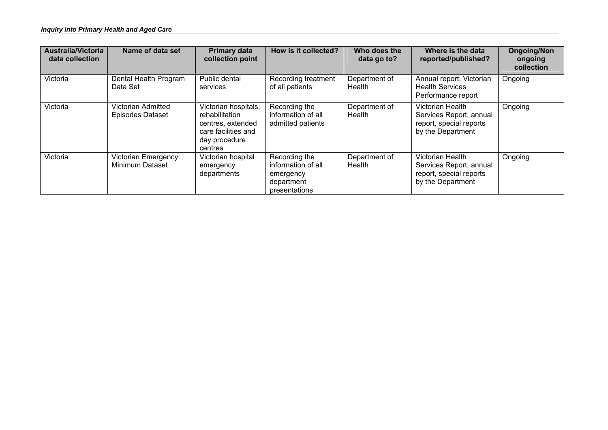| <b>Australia/Victoria</b><br>data collection | Name of data set                              | <b>Primary data</b><br>collection point                                                                        | How is it collected?                                                            | Who does the<br>data go to? | Where is the data<br>reported/published?                                                    | <b>Ongoing/Non</b><br>ongoing<br>collection |
|----------------------------------------------|-----------------------------------------------|----------------------------------------------------------------------------------------------------------------|---------------------------------------------------------------------------------|-----------------------------|---------------------------------------------------------------------------------------------|---------------------------------------------|
| Victoria                                     | Dental Health Program<br>Data Set             | Public dental<br>services                                                                                      | Recording treatment<br>of all patients                                          | Department of<br>Health     | Annual report, Victorian<br><b>Health Services</b><br>Performance report                    | Ongoing                                     |
| Victoria                                     | Victorian Admitted<br><b>Episodes Dataset</b> | Victorian hospitals,<br>rehabilitation<br>centres, extended<br>care facilities and<br>day procedure<br>centres | Recording the<br>information of all<br>admitted patients                        | Department of<br>Health     | Victorian Health<br>Services Report, annual<br>report, special reports<br>by the Department | Ongoing                                     |
| Victoria                                     | <b>Victorian Emergency</b><br>Minimum Dataset | Victorian hospital<br>emergency<br>departments                                                                 | Recording the<br>information of all<br>emergency<br>department<br>presentations | Department of<br>Health     | Victorian Health<br>Services Report, annual<br>report, special reports<br>by the Department | Ongoing                                     |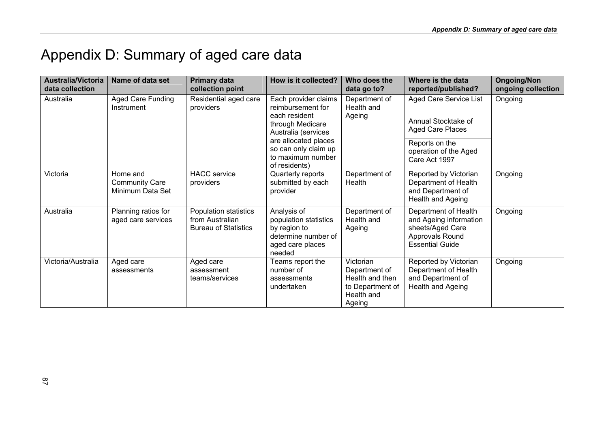# Appendix D: Summary of aged care data

| <b>Australia/Victoria</b><br>data collection | Name of data set                                      | <b>Primary data</b><br>collection point                                 | How is it collected?                                                                                                                                                                        | Who does the<br>data go to?                                                               | Where is the data<br>reported/published?                                                                                      | <b>Ongoing/Non</b><br>ongoing collection |
|----------------------------------------------|-------------------------------------------------------|-------------------------------------------------------------------------|---------------------------------------------------------------------------------------------------------------------------------------------------------------------------------------------|-------------------------------------------------------------------------------------------|-------------------------------------------------------------------------------------------------------------------------------|------------------------------------------|
| Australia                                    | <b>Aged Care Funding</b><br>Instrument                | Residential aged care<br>providers                                      | Each provider claims<br>reimbursement for<br>each resident<br>through Medicare<br>Australia (services<br>are allocated places<br>so can only claim up<br>to maximum number<br>of residents) | Department of<br>Health and<br>Ageing                                                     | Aged Care Service List<br>Annual Stocktake of<br>Aged Care Places<br>Reports on the<br>operation of the Aged<br>Care Act 1997 | Ongoing                                  |
| Victoria                                     | Home and<br><b>Community Care</b><br>Minimum Data Set | <b>HACC</b> service<br>providers                                        | Quarterly reports<br>submitted by each<br>provider                                                                                                                                          | Department of<br>Health                                                                   | Reported by Victorian<br>Department of Health<br>and Department of<br>Health and Ageing                                       | Ongoing                                  |
| Australia                                    | Planning ratios for<br>aged care services             | Population statistics<br>from Australian<br><b>Bureau of Statistics</b> | Analysis of<br>population statistics<br>by region to<br>determine number of<br>aged care places<br>needed                                                                                   | Department of<br>Health and<br>Ageing                                                     | Department of Health<br>and Ageing information<br>sheets/Aged Care<br>Approvals Round<br><b>Essential Guide</b>               | Ongoing                                  |
| Victoria/Australia                           | Aged care<br>assessments                              | Aged care<br>assessment<br>teams/services                               | Teams report the<br>number of<br>assessments<br>undertaken                                                                                                                                  | Victorian<br>Department of<br>Health and then<br>to Department of<br>Health and<br>Ageing | Reported by Victorian<br>Department of Health<br>and Department of<br>Health and Ageing                                       | Ongoing                                  |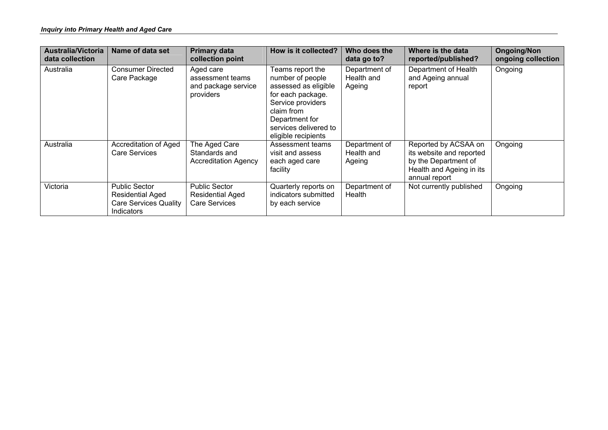| <b>Australia/Victoria</b><br>data collection | Name of data set                                                                                     | <b>Primary data</b><br>collection point                                 | How is it collected?                                                                                                                                                                   | Who does the<br>data go to?           | Where is the data<br>reported/published?                                                                              | <b>Ongoing/Non</b><br>ongoing collection |
|----------------------------------------------|------------------------------------------------------------------------------------------------------|-------------------------------------------------------------------------|----------------------------------------------------------------------------------------------------------------------------------------------------------------------------------------|---------------------------------------|-----------------------------------------------------------------------------------------------------------------------|------------------------------------------|
| Australia                                    | <b>Consumer Directed</b><br>Care Package                                                             | Aged care<br>assessment teams<br>and package service<br>providers       | Teams report the<br>number of people<br>assessed as eligible<br>for each package.<br>Service providers<br>claim from<br>Department for<br>services delivered to<br>eligible recipients | Department of<br>Health and<br>Ageing | Department of Health<br>and Ageing annual<br>report                                                                   | Ongoing                                  |
| Australia                                    | Accreditation of Aged<br>Care Services                                                               | The Aged Care<br>Standards and<br><b>Accreditation Agency</b>           | Assessment teams<br>visit and assess<br>each aged care<br>facility                                                                                                                     | Department of<br>Health and<br>Ageing | Reported by ACSAA on<br>its website and reported<br>by the Department of<br>Health and Ageing in its<br>annual report | Ongoing                                  |
| Victoria                                     | <b>Public Sector</b><br><b>Residential Aged</b><br><b>Care Services Quality</b><br><b>Indicators</b> | <b>Public Sector</b><br><b>Residential Aged</b><br><b>Care Services</b> | Quarterly reports on<br>indicators submitted<br>by each service                                                                                                                        | Department of<br>Health               | Not currently published                                                                                               | Ongoing                                  |